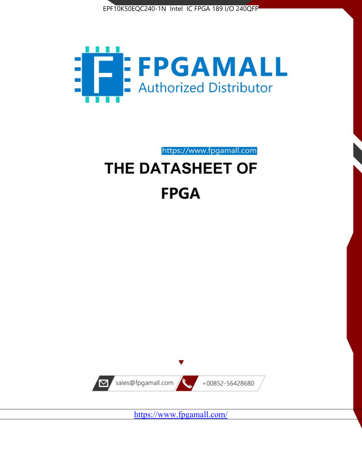



https://www.fpgamall.com THE DATASHEET OF

# **FPGA**



<https://www.fpgamall.com/>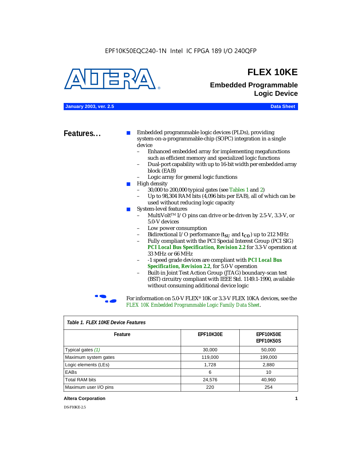

## **FLEX 10KE**

## **Embedded Programmable Logic Device**

**January 2003, ver. 2.5 Data Sheet**

**Features...** ■ Embedded programmable logic devices (PLDs), providing system-on-a-programmable-chip (SOPC) integration in a single device

- Enhanced embedded array for implementing megafunctions such as efficient memory and specialized logic functions
- Dual-port capability with up to 16-bit width per embedded array block (EAB)
- Logic array for general logic functions
- High density
	- 30,000 to 200,000 typical gates (see Tables 1 and 2)
	- Up to 98,304 RAM bits (4,096 bits per EAB), all of which can be used without reducing logic capacity
- System-level features
	- MultiVolt<sup>™</sup> I/O pins can drive or be driven by 2.5-V, 3.3-V, or 5.0-V devices
	- Low power consumption
	- Bidirectional I/O performance  $(t_{SI}$  and  $t_{CO}$ ) up to 212 MHz
	- Fully compliant with the PCI Special Interest Group (PCI SIG) *PCI Local Bus Specification, Revision 2.2* for 3.3-V operation at 33 MHz or 66 MHz
	- -1 speed grade devices are compliant with *PCI Local Bus Specification, Revision 2.2*, for 5.0-V operation
	- Built-in Joint Test Action Group (JTAG) boundary-scan test (BST) circuitry compliant with IEEE Std. 1149.1-1990, available without consuming additional device logic



For information on 5.0-V FLEX<sup>®</sup> 10K or 3.3-V FLEX 10KA devices, see the *FLEX 10K Embedded Programmable Logic Family Data Sheet*.

| Table T. FLEX TUKE Device Features |                  |                                      |  |  |
|------------------------------------|------------------|--------------------------------------|--|--|
| Feature                            | <b>EPF10K30E</b> | <b>EPF10K50E</b><br><b>EPF10K50S</b> |  |  |
| Typical gates (1)                  | 30,000           | 50,000                               |  |  |
| Maximum system gates               | 119,000          | 199,000                              |  |  |
| Logic elements (LEs)               | 1,728            | 2,880                                |  |  |
| EABs                               | 6                | 10                                   |  |  |
| <b>Total RAM bits</b>              | 24,576           | 40,960                               |  |  |
| Maximum user I/O pins              | 220              | 254                                  |  |  |

#### *Table 1. FLEX 10KE Device Features*

#### **Altera Corporation 1**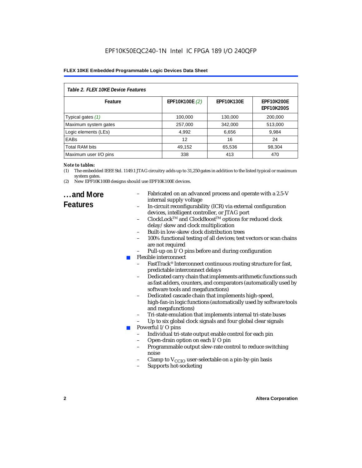| Table 2. FLEX 10KE Device Features |                |                   |                                        |  |
|------------------------------------|----------------|-------------------|----------------------------------------|--|
| Feature                            | EPF10K100E (2) | <b>EPF10K130E</b> | <b>EPF10K200E</b><br><b>EPF10K200S</b> |  |
| Typical gates (1)                  | 100,000        | 130,000           | 200,000                                |  |
| Maximum system gates               | 257,000        | 342,000           | 513,000                                |  |
| Logic elements (LEs)               | 4,992          | 6,656             | 9,984                                  |  |
| <b>EABs</b>                        | 12             | 16                | 24                                     |  |
| <b>Total RAM bits</b>              | 49,152         | 65,536            | 98,304                                 |  |
| Maximum user I/O pins              | 338            | 413               | 470                                    |  |

#### *Note to tables:*

- (1) The embedded IEEE Std. 1149.1 JTAG circuitry adds up to 31,250 gates in addition to the listed typical or maximum system gates.
- (2) New EPF10K100B designs should use EPF10K100E devices.

### **...and More Features**

- Fabricated on an advanced process and operate with a 2.5-V internal supply voltage
- In-circuit reconfigurability (ICR) via external configuration devices, intelligent controller, or JTAG port
- ClockLockTM and ClockBoostTM options for reduced clock delay/skew and clock multiplication
- Built-in low-skew clock distribution trees
- 100% functional testing of all devices; test vectors or scan chains are not required
- Pull-up on I/O pins before and during configuration
- Flexible interconnect
	- FastTrack<sup>®</sup> Interconnect continuous routing structure for fast, predictable interconnect delays
	- Dedicated carry chain that implements arithmetic functions such as fast adders, counters, and comparators (automatically used by software tools and megafunctions)
	- Dedicated cascade chain that implements high-speed, high-fan-in logic functions (automatically used by software tools and megafunctions)
	- Tri-state emulation that implements internal tri-state buses
	- Up to six global clock signals and four global clear signals
	- Powerful I/O pins
		- Individual tri-state output enable control for each pin
		- Open-drain option on each I/O pin
		- Programmable output slew-rate control to reduce switching noise
		- Clamp to  $V_{\text{CCIO}}$  user-selectable on a pin-by-pin basis
		- Supports hot-socketing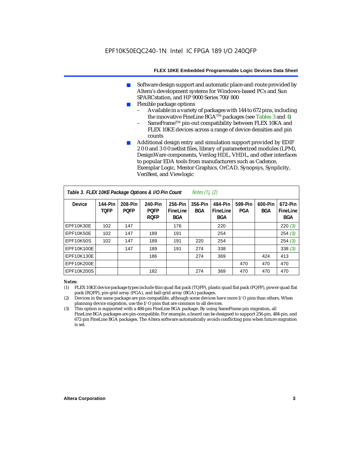- Software design support and automatic place-and-route provided by Altera's development systems for Windows-based PCs and Sun SPARCstation, and HP 9000 Series 700/800
- Flexible package options
	- Available in a variety of packages with 144 to 672 pins, including the innovative FineLine BGA<sup>TM</sup> packages (see Tables 3 and 4)
	- SameFrame™ pin-out compatibility between FLEX 10KA and FLEX 10KE devices across a range of device densities and pin counts
- Additional design entry and simulation support provided by EDIF 2 0 0 and 3 0 0 netlist files, library of parameterized modules (LPM), DesignWare components, Verilog HDL, VHDL, and other interfaces to popular EDA tools from manufacturers such as Cadence, Exemplar Logic, Mentor Graphics, OrCAD, Synopsys, Synplicity, VeriBest, and Viewlogic

| Table 3. FLEX 10KE Package Options & I/O Pin Count<br><i>Notes <math>(1)</math>, <math>(2)</math></i> |                        |                        |                                       |                                   |                |                                   |                |                       |                                   |
|-------------------------------------------------------------------------------------------------------|------------------------|------------------------|---------------------------------------|-----------------------------------|----------------|-----------------------------------|----------------|-----------------------|-----------------------------------|
| <b>Device</b>                                                                                         | 144-Pin<br><b>TOFP</b> | 208-Pin<br><b>POFP</b> | 240-Pin<br><b>POFP</b><br><b>ROFP</b> | 256-Pin<br>FineLine<br><b>BGA</b> | 356-Pin<br>BGA | 484-Pin<br>FineLine<br><b>BGA</b> | 599-Pin<br>PGA | 600-Pin<br><b>BGA</b> | 672-Pin<br>FineLine<br><b>BGA</b> |
| EPF10K30E                                                                                             | 102                    | 147                    |                                       | 176                               |                | 220                               |                |                       | 220(3)                            |
| EPF10K50E                                                                                             | 102                    | 147                    | 189                                   | 191                               |                | 254                               |                |                       | 254(3)                            |
| <b>EPF10K50S</b>                                                                                      | 102                    | 147                    | 189                                   | 191                               | 220            | 254                               |                |                       | 254(3)                            |
| EPF10K100E                                                                                            |                        | 147                    | 189                                   | 191                               | 274            | 338                               |                |                       | 338(3)                            |
| EPF10K130E                                                                                            |                        |                        | 186                                   |                                   | 274            | 369                               |                | 424                   | 413                               |
| EPF10K200E                                                                                            |                        |                        |                                       |                                   |                |                                   | 470            | 470                   | 470                               |
| EPF10K200S                                                                                            |                        |                        | 182                                   |                                   | 274            | 369                               | 470            | 470                   | 470                               |

#### *Notes:*

- (1) FLEX 10KE device package types include thin quad flat pack (TQFP), plastic quad flat pack (PQFP), power quad flat pack (RQFP), pin-grid array (PGA), and ball-grid array (BGA) packages.
- (2) Devices in the same package are pin-compatible, although some devices have more I/O pins than others. When planning device migration, use the I/O pins that are common to all devices.
- (3) This option is supported with a 484-pin FineLine BGA package. By using SameFrame pin migration, all FineLine BGA packages are pin-compatible. For example, a board can be designed to support 256-pin, 484-pin, and 672-pin FineLine BGA packages. The Altera software automatically avoids conflicting pins when future migration is set.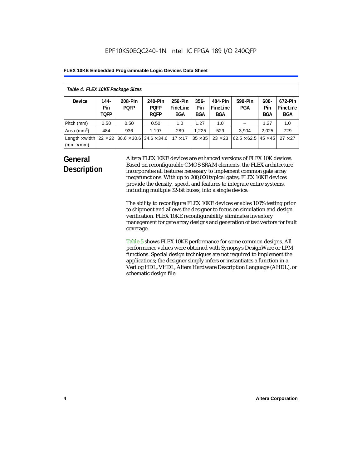| Table 4. FLEX 10KE Package Sizes          |                            |                                                      |                                       |                                   |                       |                            |                                     |                              |                                   |
|-------------------------------------------|----------------------------|------------------------------------------------------|---------------------------------------|-----------------------------------|-----------------------|----------------------------|-------------------------------------|------------------------------|-----------------------------------|
| <b>Device</b>                             | 144-<br>Pin<br><b>TOFP</b> | 208-Pin<br><b>POFP</b>                               | 240-Pin<br><b>POFP</b><br><b>ROFP</b> | 256-Pin<br>FineLine<br><b>BGA</b> | $356 -$<br>Pin<br>BGA | 484-Pin<br>FineLine<br>BGA | 599-Pin<br>PGA                      | $600 -$<br>Pin<br><b>BGA</b> | 672-Pin<br>FineLine<br><b>BGA</b> |
| Pitch (mm)                                | 0.50                       | 0.50                                                 | 0.50                                  | 1.0                               | 1.27                  | 1.0                        |                                     | 1.27                         | 1.0                               |
| Area $(mm2)$                              | 484                        | 936                                                  | 1,197                                 | 289                               | 1.225                 | 529                        | 3.904                               | 2,025                        | 729                               |
| Length $\times$ width<br>$(mm \times mm)$ |                            | $22 \times 22$ 30.6 $\times$ 30.6 34.6 $\times$ 34.6 |                                       | $17 \times 17$                    | $35 \times 35$        | $23 \times 23$             | $62.5 \times 62.5$   45 $\times$ 45 |                              | $27 \times 27$                    |

## **General Description**

Altera FLEX 10KE devices are enhanced versions of FLEX 10K devices. Based on reconfigurable CMOS SRAM elements, the FLEX architecture incorporates all features necessary to implement common gate array megafunctions. With up to 200,000 typical gates, FLEX 10KE devices provide the density, speed, and features to integrate entire systems, including multiple 32-bit buses, into a single device.

The ability to reconfigure FLEX 10KE devices enables 100% testing prior to shipment and allows the designer to focus on simulation and design verification. FLEX 10KE reconfigurability eliminates inventory management for gate array designs and generation of test vectors for fault coverage.

Table 5 shows FLEX 10KE performance for some common designs. All performance values were obtained with Synopsys DesignWare or LPM functions. Special design techniques are not required to implement the applications; the designer simply infers or instantiates a function in a Verilog HDL, VHDL, Altera Hardware Description Language (AHDL), or schematic design file.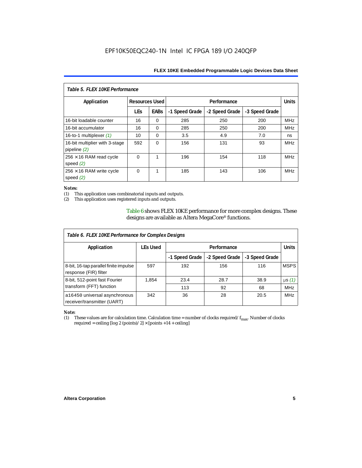| Table 5. FLEX 10KE Performance                   |                       |             |                |                |                |            |  |
|--------------------------------------------------|-----------------------|-------------|----------------|----------------|----------------|------------|--|
| Application                                      | <b>Resources Used</b> |             |                | Performance    |                |            |  |
|                                                  | <b>LEs</b>            | <b>EABs</b> | -1 Speed Grade | -2 Speed Grade | -3 Speed Grade |            |  |
| 16-bit loadable counter                          | 16                    | $\Omega$    | 285            | 250            | 200            | <b>MHz</b> |  |
| 16-bit accumulator                               | 16                    | $\Omega$    | 285            | 250            | 200            | <b>MHz</b> |  |
| 16-to-1 multiplexer $(1)$                        | 10                    | $\Omega$    | 3.5            | 4.9            | 7.0            | ns         |  |
| 16-bit multiplier with 3-stage<br>pipeline $(2)$ | 592                   | $\Omega$    | 156            | 131            | 93             | <b>MHz</b> |  |
| $256 \times 16$ RAM read cycle<br>speed $(2)$    | $\Omega$              | 1           | 196            | 154            | 118            | <b>MHz</b> |  |
| $256 \times 16$ RAM write cycle<br>speed $(2)$   | $\Omega$              | 1           | 185            | 143            | 106            | <b>MHz</b> |  |

#### *Notes:*

(1) This application uses combinatorial inputs and outputs.

This application uses registered inputs and outputs.

Table 6 shows FLEX 10KE performance for more complex designs. These designs are available as Altera MegaCore® functions.

| Table 6. FLEX 10KE Performance for Complex Designs             |                 |                |                |                |              |
|----------------------------------------------------------------|-----------------|----------------|----------------|----------------|--------------|
| Application                                                    | <b>LEs Used</b> | Performance    |                |                | <b>Units</b> |
|                                                                |                 | -1 Speed Grade | -2 Speed Grade | -3 Speed Grade |              |
| 8-bit, 16-tap parallel finite impulse<br>response (FIR) filter | 597             | 192            | 156            | 116            | <b>MSPS</b>  |
| 8-bit, 512-point fast Fourier                                  | 1,854           | 23.4           | 28.7           | 38.9           | $\mu s(1)$   |
| transform (FFT) function                                       |                 | 113            | 92             | 68             | <b>MHz</b>   |
| a16450 universal asynchronous<br>receiver/transmitter (UART)   | 342             | 36             | 28             | 20.5           | <b>MHz</b>   |

## *Note:*<br>(1) 1

These values are for calculation time. Calculation time = number of clocks required/ $f_{max}$ . Number of clocks required = ceiling [log 2 (points)/2]  $\times$  [points +14 + ceiling]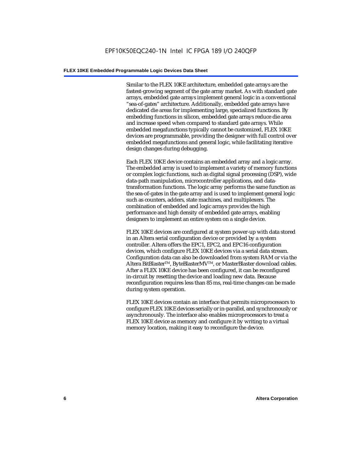Similar to the FLEX 10KE architecture, embedded gate arrays are the fastest-growing segment of the gate array market. As with standard gate arrays, embedded gate arrays implement general logic in a conventional "sea-of-gates" architecture. Additionally, embedded gate arrays have dedicated die areas for implementing large, specialized functions. By embedding functions in silicon, embedded gate arrays reduce die area and increase speed when compared to standard gate arrays. While embedded megafunctions typically cannot be customized, FLEX 10KE devices are programmable, providing the designer with full control over embedded megafunctions and general logic, while facilitating iterative design changes during debugging.

Each FLEX 10KE device contains an embedded array and a logic array. The embedded array is used to implement a variety of memory functions or complex logic functions, such as digital signal processing (DSP), wide data-path manipulation, microcontroller applications, and datatransformation functions. The logic array performs the same function as the sea-of-gates in the gate array and is used to implement general logic such as counters, adders, state machines, and multiplexers. The combination of embedded and logic arrays provides the high performance and high density of embedded gate arrays, enabling designers to implement an entire system on a single device.

FLEX 10KE devices are configured at system power-up with data stored in an Altera serial configuration device or provided by a system controller. Altera offers the EPC1, EPC2, and EPC16 configuration devices, which configure FLEX 10KE devices via a serial data stream. Configuration data can also be downloaded from system RAM or via the Altera BitBlaster™, ByteBlasterMV™, or MasterBlaster download cables. After a FLEX 10KE device has been configured, it can be reconfigured in-circuit by resetting the device and loading new data. Because reconfiguration requires less than 85 ms, real-time changes can be made during system operation.

FLEX 10KE devices contain an interface that permits microprocessors to configure FLEX 10KE devices serially or in-parallel, and synchronously or asynchronously. The interface also enables microprocessors to treat a FLEX 10KE device as memory and configure it by writing to a virtual memory location, making it easy to reconfigure the device.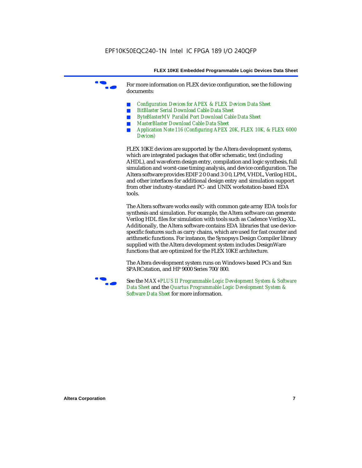For more information on FLEX device configuration, see the following documents:

- *Configuration Devices for APEX & FLEX Devices Data Sheet*
- *BitBlaster Serial Download Cable Data Sheet*
- *ByteBlasterMV Parallel Port Download Cable Data Sheet*
- *MasterBlaster Download Cable Data Sheet*
- *Application Note 116 (Configuring APEX 20K, FLEX 10K, & FLEX 6000 Devices)*

FLEX 10KE devices are supported by the Altera development systems, which are integrated packages that offer schematic, text (including AHDL), and waveform design entry, compilation and logic synthesis, full simulation and worst-case timing analysis, and device configuration. The Altera software provides EDIF 2 0 0 and 3 0 0, LPM, VHDL, Verilog HDL, and other interfaces for additional design entry and simulation support from other industry-standard PC- and UNIX workstation-based EDA tools.

The Altera software works easily with common gate array EDA tools for synthesis and simulation. For example, the Altera software can generate Verilog HDL files for simulation with tools such as Cadence Verilog-XL. Additionally, the Altera software contains EDA libraries that use devicespecific features such as carry chains, which are used for fast counter and arithmetic functions. For instance, the Synopsys Design Compiler library supplied with the Altera development system includes DesignWare functions that are optimized for the FLEX 10KE architecture.

The Altera development system runs on Windows-based PCs and Sun SPARCstation, and HP 9000 Series 700/800.



See the *MAX+PLUS II Programmable Logic Development System & Software Data Sheet* and the *Quartus Programmable Logic Development System & Software Data Sheet* for more information.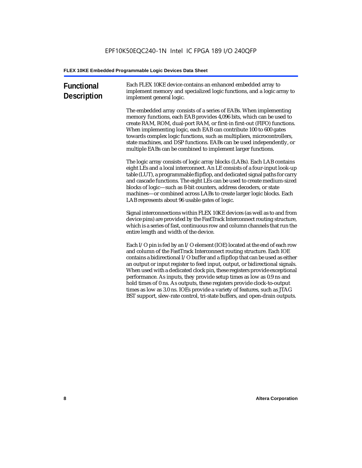| <b>Functional</b><br><b>Description</b> | Each FLEX 10KE device contains an enhanced embedded array to<br>implement memory and specialized logic functions, and a logic array to<br>implement general logic.                                                                                                                                                                                                                                                                                                                                                                                                                                                                                                                                             |
|-----------------------------------------|----------------------------------------------------------------------------------------------------------------------------------------------------------------------------------------------------------------------------------------------------------------------------------------------------------------------------------------------------------------------------------------------------------------------------------------------------------------------------------------------------------------------------------------------------------------------------------------------------------------------------------------------------------------------------------------------------------------|
|                                         | The embedded array consists of a series of EABs. When implementing<br>memory functions, each EAB provides 4,096 bits, which can be used to<br>create RAM, ROM, dual-port RAM, or first-in first-out (FIFO) functions.<br>When implementing logic, each EAB can contribute 100 to 600 gates<br>towards complex logic functions, such as multipliers, microcontrollers,<br>state machines, and DSP functions. EABs can be used independently, or<br>multiple EABs can be combined to implement larger functions.                                                                                                                                                                                                 |
|                                         | The logic array consists of logic array blocks (LABs). Each LAB contains<br>eight LEs and a local interconnect. An LE consists of a four-input look-up<br>table (LUT), a programmable flipflop, and dedicated signal paths for carry<br>and cascade functions. The eight LEs can be used to create medium-sized<br>blocks of logic-such as 8-bit counters, address decoders, or state<br>machines-or combined across LABs to create larger logic blocks. Each<br>LAB represents about 96 usable gates of logic.                                                                                                                                                                                                |
|                                         | Signal interconnections within FLEX 10KE devices (as well as to and from<br>device pins) are provided by the FastTrack Interconnect routing structure,<br>which is a series of fast, continuous row and column channels that run the<br>entire length and width of the device.                                                                                                                                                                                                                                                                                                                                                                                                                                 |
|                                         | Each I/O pin is fed by an I/O element (IOE) located at the end of each row<br>and column of the FastTrack Interconnect routing structure. Each IOE<br>contains a bidirectional I/O buffer and a flipflop that can be used as either<br>an output or input register to feed input, output, or bidirectional signals.<br>When used with a dedicated clock pin, these registers provide exceptional<br>performance. As inputs, they provide setup times as low as 0.9 ns and<br>hold times of 0 ns. As outputs, these registers provide clock-to-output<br>times as low as 3.0 ns. IOEs provide a variety of features, such as JTAG<br>BST support, slew-rate control, tri-state buffers, and open-drain outputs. |
|                                         |                                                                                                                                                                                                                                                                                                                                                                                                                                                                                                                                                                                                                                                                                                                |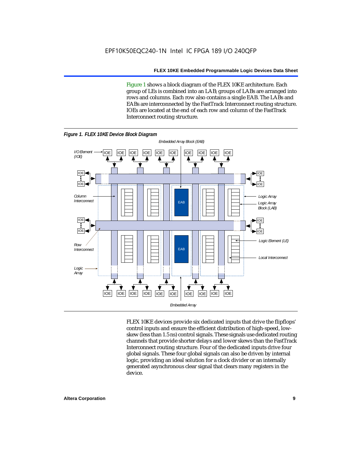Figure 1 shows a block diagram of the FLEX 10KE architecture. Each group of LEs is combined into an LAB; groups of LABs are arranged into rows and columns. Each row also contains a single EAB. The LABs and EABs are interconnected by the FastTrack Interconnect routing structure. IOEs are located at the end of each row and column of the FastTrack Interconnect routing structure.



FLEX 10KE devices provide six dedicated inputs that drive the flipflops' control inputs and ensure the efficient distribution of high-speed, lowskew (less than 1.5 ns) control signals. These signals use dedicated routing channels that provide shorter delays and lower skews than the FastTrack Interconnect routing structure. Four of the dedicated inputs drive four global signals. These four global signals can also be driven by internal logic, providing an ideal solution for a clock divider or an internally generated asynchronous clear signal that clears many registers in the device.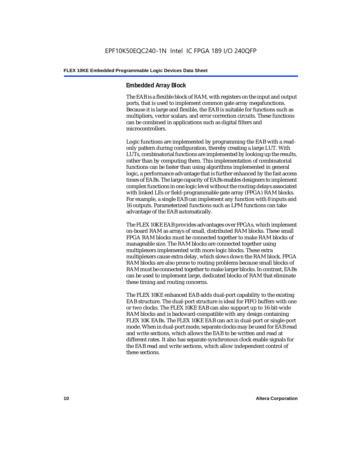#### **Embedded Array Block**

The EAB is a flexible block of RAM, with registers on the input and output ports, that is used to implement common gate array megafunctions. Because it is large and flexible, the EAB is suitable for functions such as multipliers, vector scalars, and error correction circuits. These functions can be combined in applications such as digital filters and microcontrollers.

Logic functions are implemented by programming the EAB with a readonly pattern during configuration, thereby creating a large LUT. With LUTs, combinatorial functions are implemented by looking up the results, rather than by computing them. This implementation of combinatorial functions can be faster than using algorithms implemented in general logic, a performance advantage that is further enhanced by the fast access times of EABs. The large capacity of EABs enables designers to implement complex functions in one logic level without the routing delays associated with linked LEs or field-programmable gate array (FPGA) RAM blocks. For example, a single EAB can implement any function with 8 inputs and 16 outputs. Parameterized functions such as LPM functions can take advantage of the EAB automatically.

The FLEX 10KE EAB provides advantages over FPGAs, which implement on-board RAM as arrays of small, distributed RAM blocks. These small FPGA RAM blocks must be connected together to make RAM blocks of manageable size. The RAM blocks are connected together using multiplexers implemented with more logic blocks. These extra multiplexers cause extra delay, which slows down the RAM block. FPGA RAM blocks are also prone to routing problems because small blocks of RAM must be connected together to make larger blocks. In contrast, EABs can be used to implement large, dedicated blocks of RAM that eliminate these timing and routing concerns.

The FLEX 10KE enhanced EAB adds dual-port capability to the existing EAB structure. The dual-port structure is ideal for FIFO buffers with one or two clocks. The FLEX 10KE EAB can also support up to 16-bit-wide RAM blocks and is backward-compatible with any design containing FLEX 10K EABs. The FLEX 10KE EAB can act in dual-port or single-port mode. When in dual-port mode, separate clocks may be used for EAB read and write sections, which allows the EAB to be written and read at different rates. It also has separate synchronous clock enable signals for the EAB read and write sections, which allow independent control of these sections.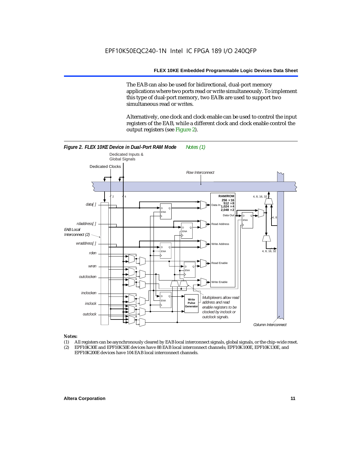The EAB can also be used for bidirectional, dual-port memory applications where two ports read or write simultaneously. To implement this type of dual-port memory, two EABs are used to support two simultaneous read or writes.

Alternatively, one clock and clock enable can be used to control the input registers of the EAB, while a different clock and clock enable control the output registers (see Figure 2).



#### *Notes:*

- (1) All registers can be asynchronously cleared by EAB local interconnect signals, global signals, or the chip-wide reset.
- (2) EPF10K30E and EPF10K50E devices have 88 EAB local interconnect channels; EPF10K100E, EPF10K130E, and EPF10K200E devices have 104 EAB local interconnect channels.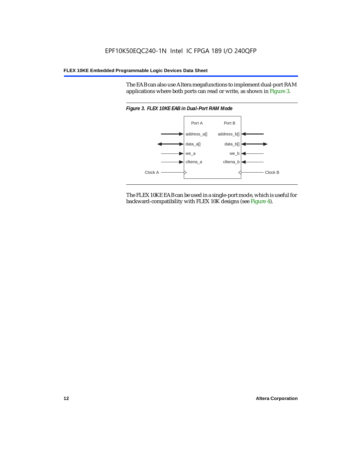The EAB can also use Altera megafunctions to implement dual-port RAM applications where both ports can read or write, as shown in Figure 3.



The FLEX 10KE EAB can be used in a single-port mode, which is useful for backward-compatibility with FLEX 10K designs (see Figure 4).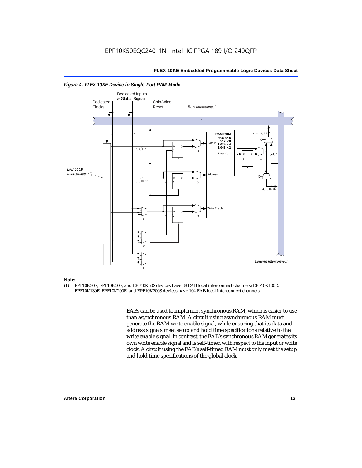

#### *Figure 4. FLEX 10KE Device in Single-Port RAM Mode*

## *Note:*<br>(1) **F**

(1) EPF10K30E, EPF10K50E, and EPF10K50S devices have 88 EAB local interconnect channels; EPF10K100E, EPF10K130E, EPF10K200E, and EPF10K200S devices have 104 EAB local interconnect channels.

> EABs can be used to implement synchronous RAM, which is easier to use than asynchronous RAM. A circuit using asynchronous RAM must generate the RAM write enable signal, while ensuring that its data and address signals meet setup and hold time specifications relative to the write enable signal. In contrast, the EAB's synchronous RAM generates its own write enable signal and is self-timed with respect to the input or write clock. A circuit using the EAB's self-timed RAM must only meet the setup and hold time specifications of the global clock.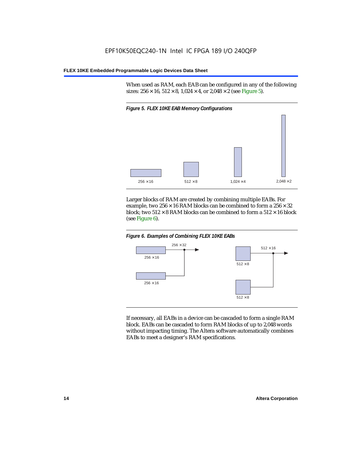When used as RAM, each EAB can be configured in any of the following sizes:  $256 \times 16$ ,  $512 \times 8$ ,  $1,024 \times 4$ , or  $2,048 \times 2$  (see Figure 5).



Larger blocks of RAM are created by combining multiple EABs. For example, two  $256 \times 16$  RAM blocks can be combined to form a  $256 \times 32$ block; two  $512 \times 8$  RAM blocks can be combined to form a  $512 \times 16$  block (see Figure 6).





If necessary, all EABs in a device can be cascaded to form a single RAM block. EABs can be cascaded to form RAM blocks of up to 2,048 words without impacting timing. The Altera software automatically combines EABs to meet a designer's RAM specifications.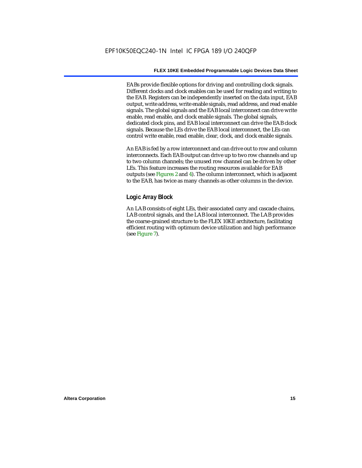EABs provide flexible options for driving and controlling clock signals. Different clocks and clock enables can be used for reading and writing to the EAB. Registers can be independently inserted on the data input, EAB output, write address, write enable signals, read address, and read enable signals. The global signals and the EAB local interconnect can drive write enable, read enable, and clock enable signals. The global signals, dedicated clock pins, and EAB local interconnect can drive the EAB clock signals. Because the LEs drive the EAB local interconnect, the LEs can control write enable, read enable, clear, clock, and clock enable signals.

An EAB is fed by a row interconnect and can drive out to row and column interconnects. Each EAB output can drive up to two row channels and up to two column channels; the unused row channel can be driven by other LEs. This feature increases the routing resources available for EAB outputs (see Figures 2 and 4). The column interconnect, which is adjacent to the EAB, has twice as many channels as other columns in the device.

#### **Logic Array Block**

An LAB consists of eight LEs, their associated carry and cascade chains, LAB control signals, and the LAB local interconnect. The LAB provides the coarse-grained structure to the FLEX 10KE architecture, facilitating efficient routing with optimum device utilization and high performance (see Figure 7).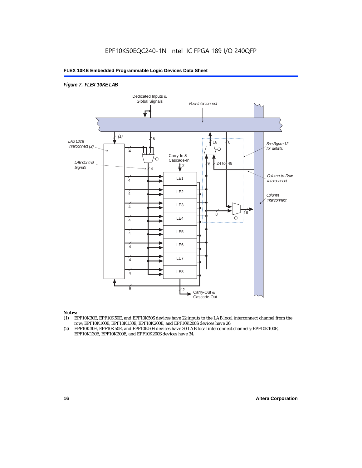#### *Figure 7. FLEX 10KE LAB*



#### *Notes:*

- (1) EPF10K30E, EPF10K50E, and EPF10K50S devices have 22 inputs to the LAB local interconnect channel from the row; EPF10K100E, EPF10K130E, EPF10K200E, and EPF10K200S devices have 26.
- (2) EPF10K30E, EPF10K50E, and EPF10K50S devices have 30 LAB local interconnect channels; EPF10K100E, EPF10K130E, EPF10K200E, and EPF10K200S devices have 34.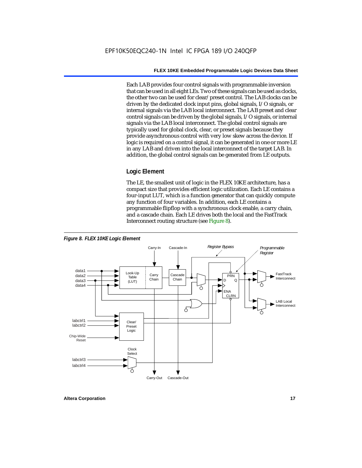Each LAB provides four control signals with programmable inversion that can be used in all eight LEs. Two of these signals can be used as clocks, the other two can be used for clear/preset control. The LAB clocks can be driven by the dedicated clock input pins, global signals, I/O signals, or internal signals via the LAB local interconnect. The LAB preset and clear control signals can be driven by the global signals, I/O signals, or internal signals via the LAB local interconnect. The global control signals are typically used for global clock, clear, or preset signals because they provide asynchronous control with very low skew across the device. If logic is required on a control signal, it can be generated in one or more LE in any LAB and driven into the local interconnect of the target LAB. In addition, the global control signals can be generated from LE outputs.

#### **Logic Element**

The LE, the smallest unit of logic in the FLEX 10KE architecture, has a compact size that provides efficient logic utilization. Each LE contains a four-input LUT, which is a function generator that can quickly compute any function of four variables. In addition, each LE contains a programmable flipflop with a synchronous clock enable, a carry chain, and a cascade chain. Each LE drives both the local and the FastTrack Interconnect routing structure (see Figure 8).

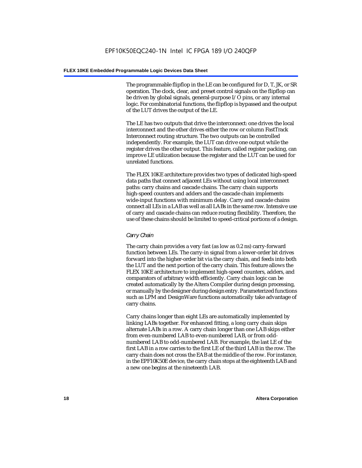The programmable flipflop in the LE can be configured for D, T, JK, or SR operation. The clock, clear, and preset control signals on the flipflop can be driven by global signals, general-purpose I/O pins, or any internal logic. For combinatorial functions, the flipflop is bypassed and the output of the LUT drives the output of the LE.

The LE has two outputs that drive the interconnect: one drives the local interconnect and the other drives either the row or column FastTrack Interconnect routing structure. The two outputs can be controlled independently. For example, the LUT can drive one output while the register drives the other output. This feature, called register packing, can improve LE utilization because the register and the LUT can be used for unrelated functions.

The FLEX 10KE architecture provides two types of dedicated high-speed data paths that connect adjacent LEs without using local interconnect paths: carry chains and cascade chains. The carry chain supports high-speed counters and adders and the cascade chain implements wide-input functions with minimum delay. Carry and cascade chains connect all LEs in a LAB as well as all LABs in the same row. Intensive use of carry and cascade chains can reduce routing flexibility. Therefore, the use of these chains should be limited to speed-critical portions of a design.

#### *Carry Chain*

The carry chain provides a very fast (as low as 0.2 ns) carry-forward function between LEs. The carry-in signal from a lower-order bit drives forward into the higher-order bit via the carry chain, and feeds into both the LUT and the next portion of the carry chain. This feature allows the FLEX 10KE architecture to implement high-speed counters, adders, and comparators of arbitrary width efficiently. Carry chain logic can be created automatically by the Altera Compiler during design processing, or manually by the designer during design entry. Parameterized functions such as LPM and DesignWare functions automatically take advantage of carry chains.

Carry chains longer than eight LEs are automatically implemented by linking LABs together. For enhanced fitting, a long carry chain skips alternate LABs in a row. A carry chain longer than one LAB skips either from even-numbered LAB to even-numbered LAB, or from oddnumbered LAB to odd-numbered LAB. For example, the last LE of the first LAB in a row carries to the first LE of the third LAB in the row. The carry chain does not cross the EAB at the middle of the row. For instance, in the EPF10K50E device, the carry chain stops at the eighteenth LAB and a new one begins at the nineteenth LAB.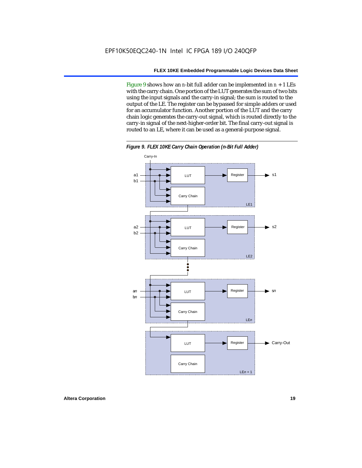Figure 9 shows how an *n*-bit full adder can be implemented in *n* + 1 LEs with the carry chain. One portion of the LUT generates the sum of two bits using the input signals and the carry-in signal; the sum is routed to the output of the LE. The register can be bypassed for simple adders or used for an accumulator function. Another portion of the LUT and the carry chain logic generates the carry-out signal, which is routed directly to the carry-in signal of the next-higher-order bit. The final carry-out signal is routed to an LE, where it can be used as a general-purpose signal.



*Figure 9. FLEX 10KE Carry Chain Operation (n-Bit Full Adder)*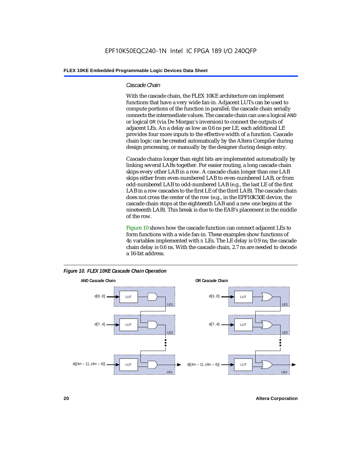#### *Cascade Chain*

With the cascade chain, the FLEX 10KE architecture can implement functions that have a very wide fan-in. Adjacent LUTs can be used to compute portions of the function in parallel; the cascade chain serially connects the intermediate values. The cascade chain can use a logical AND or logical OR (via De Morgan's inversion) to connect the outputs of adjacent LEs. An a delay as low as 0.6 ns per LE, each additional LE provides four more inputs to the effective width of a function. Cascade chain logic can be created automatically by the Altera Compiler during design processing, or manually by the designer during design entry.

Cascade chains longer than eight bits are implemented automatically by linking several LABs together. For easier routing, a long cascade chain skips every other LAB in a row. A cascade chain longer than one LAB skips either from even-numbered LAB to even-numbered LAB, or from odd-numbered LAB to odd-numbered LAB (e.g., the last LE of the first LAB in a row cascades to the first LE of the third LAB). The cascade chain does not cross the center of the row (e.g., in the EPF10K50E device, the cascade chain stops at the eighteenth LAB and a new one begins at the nineteenth LAB). This break is due to the EAB's placement in the middle of the row.

Figure 10 shows how the cascade function can connect adjacent LEs to form functions with a wide fan-in. These examples show functions of 4*n* variables implemented with *n* LEs. The LE delay is 0.9 ns; the cascade chain delay is 0.6 ns. With the cascade chain, 2.7 ns are needed to decode a 16-bit address.



*Figure 10. FLEX 10KE Cascade Chain Operation*

**20 Altera Corporation**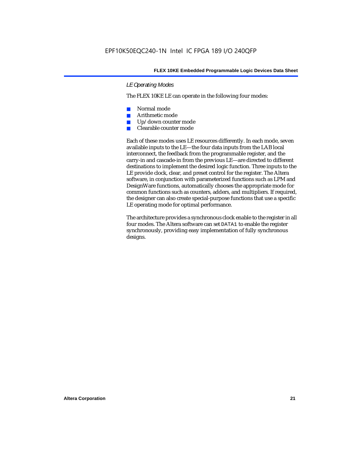#### *LE Operating Modes*

The FLEX 10KE LE can operate in the following four modes:

- Normal mode
- Arithmetic mode
- Up/down counter mode
- Clearable counter mode

Each of these modes uses LE resources differently. In each mode, seven available inputs to the LE—the four data inputs from the LAB local interconnect, the feedback from the programmable register, and the carry-in and cascade-in from the previous LE—are directed to different destinations to implement the desired logic function. Three inputs to the LE provide clock, clear, and preset control for the register. The Altera software, in conjunction with parameterized functions such as LPM and DesignWare functions, automatically chooses the appropriate mode for common functions such as counters, adders, and multipliers. If required, the designer can also create special-purpose functions that use a specific LE operating mode for optimal performance.

The architecture provides a synchronous clock enable to the register in all four modes. The Altera software can set DATA1 to enable the register synchronously, providing easy implementation of fully synchronous designs.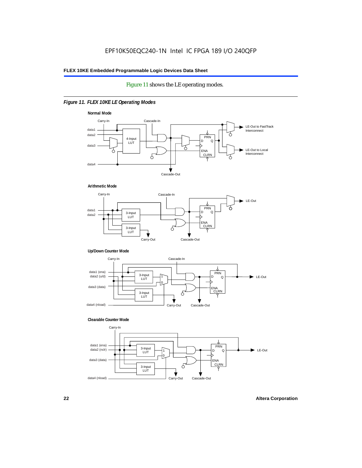#### Figure 11 shows the LE operating modes.

#### *Figure 11. FLEX 10KE LE Operating Modes*









#### **Clearable Counter Mode**

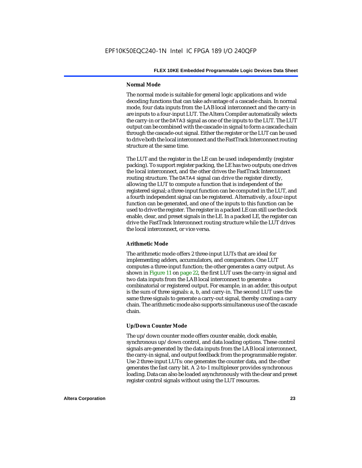#### **Normal Mode**

The normal mode is suitable for general logic applications and wide decoding functions that can take advantage of a cascade chain. In normal mode, four data inputs from the LAB local interconnect and the carry-in are inputs to a four-input LUT. The Altera Compiler automatically selects the carry-in or the DATA3 signal as one of the inputs to the LUT. The LUT output can be combined with the cascade-in signal to form a cascade chain through the cascade-out signal. Either the register or the LUT can be used to drive both the local interconnect and the FastTrack Interconnect routing structure at the same time.

The LUT and the register in the LE can be used independently (register packing). To support register packing, the LE has two outputs; one drives the local interconnect, and the other drives the FastTrack Interconnect routing structure. The DATA4 signal can drive the register directly, allowing the LUT to compute a function that is independent of the registered signal; a three-input function can be computed in the LUT, and a fourth independent signal can be registered. Alternatively, a four-input function can be generated, and one of the inputs to this function can be used to drive the register. The register in a packed LE can still use the clock enable, clear, and preset signals in the LE. In a packed LE, the register can drive the FastTrack Interconnect routing structure while the LUT drives the local interconnect, or vice versa.

#### **Arithmetic Mode**

The arithmetic mode offers 2 three-input LUTs that are ideal for implementing adders, accumulators, and comparators. One LUT computes a three-input function; the other generates a carry output. As shown in Figure 11 on page 22, the first LUT uses the carry-in signal and two data inputs from the LAB local interconnect to generate a combinatorial or registered output. For example, in an adder, this output is the sum of three signals: a, b, and carry-in. The second LUT uses the same three signals to generate a carry-out signal, thereby creating a carry chain. The arithmetic mode also supports simultaneous use of the cascade chain.

#### **Up/Down Counter Mode**

The up/down counter mode offers counter enable, clock enable, synchronous up/down control, and data loading options. These control signals are generated by the data inputs from the LAB local interconnect, the carry-in signal, and output feedback from the programmable register. Use 2 three-input LUTs: one generates the counter data, and the other generates the fast carry bit. A 2-to-1 multiplexer provides synchronous loading. Data can also be loaded asynchronously with the clear and preset register control signals without using the LUT resources.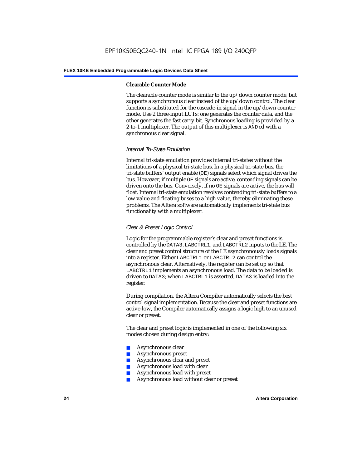#### **Clearable Counter Mode**

The clearable counter mode is similar to the up/down counter mode, but supports a synchronous clear instead of the up/down control. The clear function is substituted for the cascade-in signal in the up/down counter mode. Use 2 three-input LUTs: one generates the counter data, and the other generates the fast carry bit. Synchronous loading is provided by a 2-to-1 multiplexer. The output of this multiplexer is ANDed with a synchronous clear signal.

#### *Internal Tri-State Emulation*

Internal tri-state emulation provides internal tri-states without the limitations of a physical tri-state bus. In a physical tri-state bus, the tri-state buffers' output enable (OE) signals select which signal drives the bus. However, if multiple OE signals are active, contending signals can be driven onto the bus. Conversely, if no OE signals are active, the bus will float. Internal tri-state emulation resolves contending tri-state buffers to a low value and floating buses to a high value, thereby eliminating these problems. The Altera software automatically implements tri-state bus functionality with a multiplexer.

#### *Clear & Preset Logic Control*

Logic for the programmable register's clear and preset functions is controlled by the DATA3, LABCTRL1, and LABCTRL2 inputs to the LE. The clear and preset control structure of the LE asynchronously loads signals into a register. Either LABCTRL1 or LABCTRL2 can control the asynchronous clear. Alternatively, the register can be set up so that LABCTRL1 implements an asynchronous load. The data to be loaded is driven to DATA3; when LABCTRL1 is asserted, DATA3 is loaded into the register.

During compilation, the Altera Compiler automatically selects the best control signal implementation. Because the clear and preset functions are active-low, the Compiler automatically assigns a logic high to an unused clear or preset.

The clear and preset logic is implemented in one of the following six modes chosen during design entry:

- Asynchronous clear
- Asynchronous preset
- Asynchronous clear and preset
- Asynchronous load with clear
- Asynchronous load with preset
- Asynchronous load without clear or preset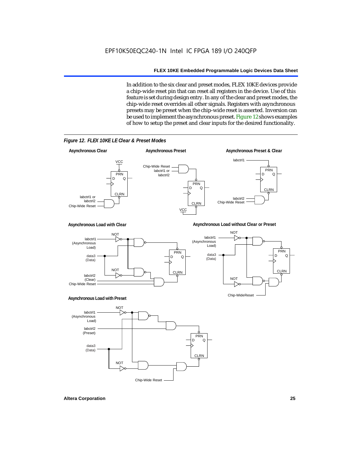In addition to the six clear and preset modes, FLEX 10KE devices provide a chip-wide reset pin that can reset all registers in the device. Use of this feature is set during design entry. In any of the clear and preset modes, the chip-wide reset overrides all other signals. Registers with asynchronous presets may be preset when the chip-wide reset is asserted. Inversion can be used to implement the asynchronous preset. Figure 12 shows examples of how to setup the preset and clear inputs for the desired functionality.

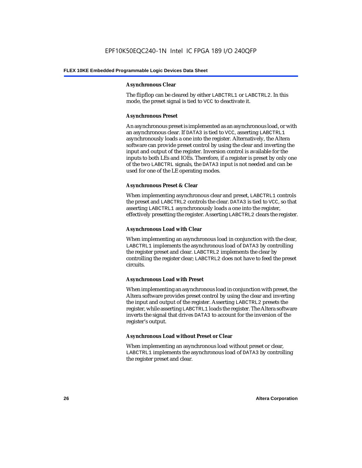#### **Asynchronous Clear**

The flipflop can be cleared by either LABCTRL1 or LABCTRL2. In this mode, the preset signal is tied to VCC to deactivate it.

#### **Asynchronous Preset**

An asynchronous preset is implemented as an asynchronous load, or with an asynchronous clear. If DATA3 is tied to VCC, asserting LABCTRL1 asynchronously loads a one into the register. Alternatively, the Altera software can provide preset control by using the clear and inverting the input and output of the register. Inversion control is available for the inputs to both LEs and IOEs. Therefore, if a register is preset by only one of the two LABCTRL signals, the DATA3 input is not needed and can be used for one of the LE operating modes.

#### **Asynchronous Preset & Clear**

When implementing asynchronous clear and preset, LABCTRL1 controls the preset and LABCTRL2 controls the clear. DATA3 is tied to VCC, so that asserting LABCTRL1 asynchronously loads a one into the register, effectively presetting the register. Asserting LABCTRL2 clears the register.

#### **Asynchronous Load with Clear**

When implementing an asynchronous load in conjunction with the clear, LABCTRL1 implements the asynchronous load of DATA3 by controlling the register preset and clear. LABCTRL2 implements the clear by controlling the register clear; LABCTRL2 does not have to feed the preset circuits.

#### **Asynchronous Load with Preset**

When implementing an asynchronous load in conjunction with preset, the Altera software provides preset control by using the clear and inverting the input and output of the register. Asserting LABCTRL2 presets the register, while asserting LABCTRL1 loads the register. The Altera software inverts the signal that drives DATA3 to account for the inversion of the register's output.

#### **Asynchronous Load without Preset or Clear**

When implementing an asynchronous load without preset or clear, LABCTRL1 implements the asynchronous load of DATA3 by controlling the register preset and clear.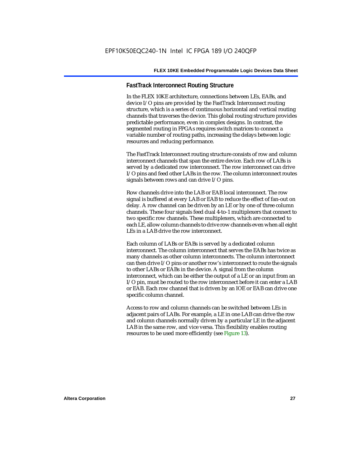#### **FastTrack Interconnect Routing Structure**

In the FLEX 10KE architecture, connections between LEs, EABs, and device I/O pins are provided by the FastTrack Interconnect routing structure, which is a series of continuous horizontal and vertical routing channels that traverses the device. This global routing structure provides predictable performance, even in complex designs. In contrast, the segmented routing in FPGAs requires switch matrices to connect a variable number of routing paths, increasing the delays between logic resources and reducing performance.

The FastTrack Interconnect routing structure consists of row and column interconnect channels that span the entire device. Each row of LABs is served by a dedicated row interconnect. The row interconnect can drive I/O pins and feed other LABs in the row. The column interconnect routes signals between rows and can drive I/O pins.

Row channels drive into the LAB or EAB local interconnect. The row signal is buffered at every LAB or EAB to reduce the effect of fan-out on delay. A row channel can be driven by an LE or by one of three column channels. These four signals feed dual 4-to-1 multiplexers that connect to two specific row channels. These multiplexers, which are connected to each LE, allow column channels to drive row channels even when all eight LEs in a LAB drive the row interconnect.

Each column of LABs or EABs is served by a dedicated column interconnect. The column interconnect that serves the EABs has twice as many channels as other column interconnects. The column interconnect can then drive I/O pins or another row's interconnect to route the signals to other LABs or EABs in the device. A signal from the column interconnect, which can be either the output of a LE or an input from an I/O pin, must be routed to the row interconnect before it can enter a LAB or EAB. Each row channel that is driven by an IOE or EAB can drive one specific column channel.

Access to row and column channels can be switched between LEs in adjacent pairs of LABs. For example, a LE in one LAB can drive the row and column channels normally driven by a particular LE in the adjacent LAB in the same row, and vice versa. This flexibility enables routing resources to be used more efficiently (see Figure 13).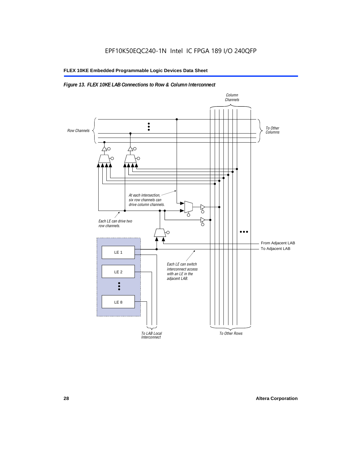#### *Figure 13. FLEX 10KE LAB Connections to Row & Column Interconnect*

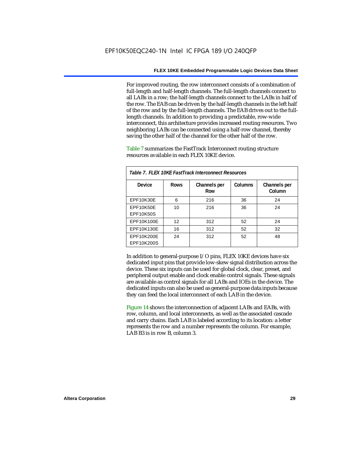For improved routing, the row interconnect consists of a combination of full-length and half-length channels. The full-length channels connect to all LABs in a row; the half-length channels connect to the LABs in half of the row. The EAB can be driven by the half-length channels in the left half of the row and by the full-length channels. The EAB drives out to the fulllength channels. In addition to providing a predictable, row-wide interconnect, this architecture provides increased routing resources. Two neighboring LABs can be connected using a half-row channel, thereby saving the other half of the channel for the other half of the row.

Table 7 summarizes the FastTrack Interconnect routing structure resources available in each FLEX 10KE device.

| Table 7. FLEX 10KE FastTrack Interconnect Resources |             |                     |         |                        |
|-----------------------------------------------------|-------------|---------------------|---------|------------------------|
| Device                                              | <b>Rows</b> | Channels per<br>Row | Columns | Channels per<br>Column |
| <b>EPF10K30E</b>                                    | 6           | 216                 | 36      | 24                     |
| EPF10K50E<br>EPF10K50S                              | 10          | 216                 | 36      | 24                     |
| EPF10K100E                                          | 12          | 312                 | 52      | 24                     |
| EPF10K130E                                          | 16          | 312                 | 52      | 32                     |
| EPF10K200E<br>EPF10K200S                            | 24          | 312                 | 52      | 48                     |

In addition to general-purpose I/O pins, FLEX 10KE devices have six dedicated input pins that provide low-skew signal distribution across the device. These six inputs can be used for global clock, clear, preset, and peripheral output enable and clock enable control signals. These signals are available as control signals for all LABs and IOEs in the device. The dedicated inputs can also be used as general-purpose data inputs because they can feed the local interconnect of each LAB in the device.

Figure 14 shows the interconnection of adjacent LABs and EABs, with row, column, and local interconnects, as well as the associated cascade and carry chains. Each LAB is labeled according to its location: a letter represents the row and a number represents the column. For example, LAB B3 is in row B, column 3.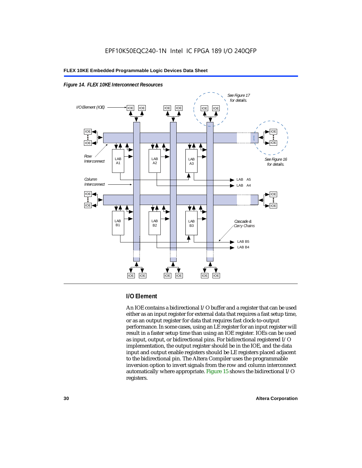



#### **I/O Element**

An IOE contains a bidirectional I/O buffer and a register that can be used either as an input register for external data that requires a fast setup time, or as an output register for data that requires fast clock-to-output performance. In some cases, using an LE register for an input register will result in a faster setup time than using an IOE register. IOEs can be used as input, output, or bidirectional pins. For bidirectional registered I/O implementation, the output register should be in the IOE, and the data input and output enable registers should be LE registers placed adjacent to the bidirectional pin. The Altera Compiler uses the programmable inversion option to invert signals from the row and column interconnect automatically where appropriate. Figure 15 shows the bidirectional I/O registers.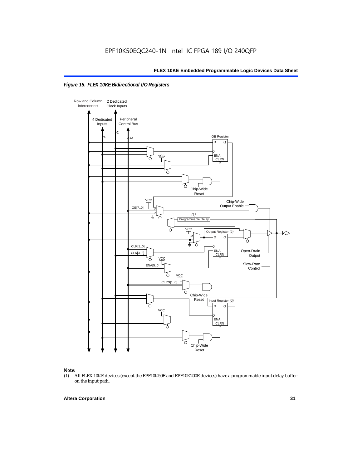



## *Note:*<br>(1) *A*

(1) All FLEX 10KE devices (except the EPF10K50E and EPF10K200E devices) have a programmable input delay buffer on the input path.

#### **Altera Corporation 31**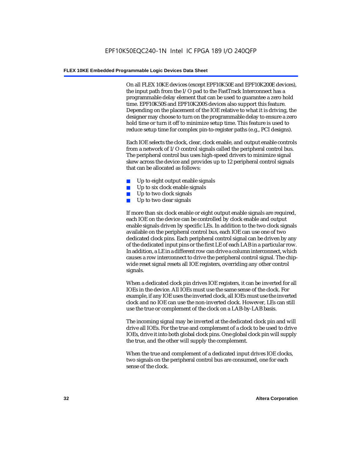On all FLEX 10KE devices (except EPF10K50E and EPF10K200E devices), the input path from the I/O pad to the FastTrack Interconnect has a programmable delay element that can be used to guarantee a zero hold time. EPF10K50S and EPF10K200S devices also support this feature. Depending on the placement of the IOE relative to what it is driving, the designer may choose to turn on the programmable delay to ensure a zero hold time or turn it off to minimize setup time. This feature is used to reduce setup time for complex pin-to-register paths (e.g., PCI designs).

Each IOE selects the clock, clear, clock enable, and output enable controls from a network of I/O control signals called the peripheral control bus. The peripheral control bus uses high-speed drivers to minimize signal skew across the device and provides up to 12 peripheral control signals that can be allocated as follows:

- Up to eight output enable signals
- Up to six clock enable signals
- Up to two clock signals
- Up to two clear signals

If more than six clock enable or eight output enable signals are required, each IOE on the device can be controlled by clock enable and output enable signals driven by specific LEs. In addition to the two clock signals available on the peripheral control bus, each IOE can use one of two dedicated clock pins. Each peripheral control signal can be driven by any of the dedicated input pins or the first LE of each LAB in a particular row. In addition, a LE in a different row can drive a column interconnect, which causes a row interconnect to drive the peripheral control signal. The chipwide reset signal resets all IOE registers, overriding any other control signals.

When a dedicated clock pin drives IOE registers, it can be inverted for all IOEs in the device. All IOEs must use the same sense of the clock. For example, if any IOE uses the inverted clock, all IOEs must use the inverted clock and no IOE can use the non-inverted clock. However, LEs can still use the true or complement of the clock on a LAB-by-LAB basis.

The incoming signal may be inverted at the dedicated clock pin and will drive all IOEs. For the true and complement of a clock to be used to drive IOEs, drive it into both global clock pins. One global clock pin will supply the true, and the other will supply the complement.

When the true and complement of a dedicated input drives IOE clocks, two signals on the peripheral control bus are consumed, one for each sense of the clock.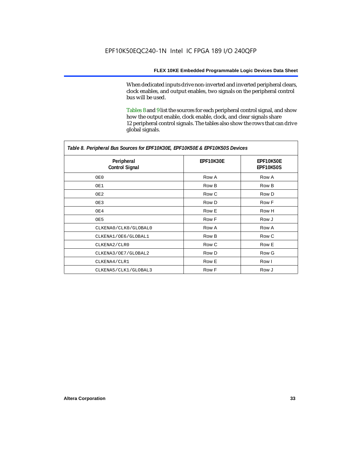When dedicated inputs drive non-inverted and inverted peripheral clears, clock enables, and output enables, two signals on the peripheral control bus will be used.

Tables 8 and 9 list the sources for each peripheral control signal, and show how the output enable, clock enable, clock, and clear signals share 12 peripheral control signals. The tables also show the rows that can drive global signals.

| Table 8. Peripheral Bus Sources for EPF10K30E, EPF10K50E & EPF10K50S Devices |                  |                        |  |  |
|------------------------------------------------------------------------------|------------------|------------------------|--|--|
| Peripheral<br><b>Control Signal</b>                                          | <b>EPF10K30E</b> | EPF10K50E<br>EPF10K50S |  |  |
| OE0                                                                          | Row A            | Row A                  |  |  |
| OE1                                                                          | Row B            | Row B                  |  |  |
| OE2                                                                          | Row C            | Row D                  |  |  |
| OE3                                                                          | Row D            | Row F                  |  |  |
| OE4                                                                          | Row E            | Row H                  |  |  |
| OE5                                                                          | Row F            | Row J                  |  |  |
| CLKENA0/CLK0/GLOBAL0                                                         | Row A            | Row A                  |  |  |
| CLKENA1/OE6/GLOBAL1                                                          | Row B            | Row C                  |  |  |
| CLKENA2/CLR0                                                                 | Row C            | Row E                  |  |  |
| CLKENA3/OE7/GLOBAL2                                                          | Row D            | Row G                  |  |  |
| CLKENA4/CLR1                                                                 | Row E            | Row I                  |  |  |
| CLKENA5/CLK1/GLOBAL3                                                         | Row F            | Row J                  |  |  |

*Table 8. Peripheral Bus Sources for EPF10K30E, EPF10K50E & EPF10K50S Devices*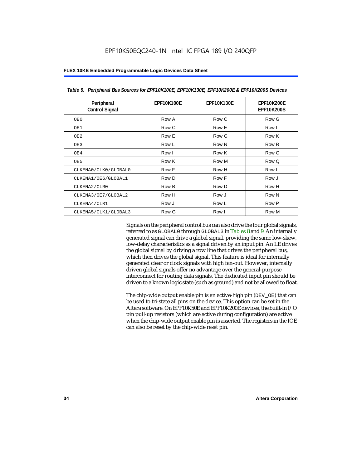| Table 9. Peripheral Bus Sources for EPF10K100E, EPF10K130E, EPF10K200E & EPF10K200S Devices |                   |                   |                                        |  |
|---------------------------------------------------------------------------------------------|-------------------|-------------------|----------------------------------------|--|
| Peripheral<br><b>Control Signal</b>                                                         | <b>EPF10K100E</b> | <b>EPF10K130E</b> | <b>EPF10K200E</b><br><b>EPF10K200S</b> |  |
| OE0                                                                                         | Row A             | Row C             | Row G                                  |  |
| OE1                                                                                         | Row C             | Row E             | Row I                                  |  |
| OE <sub>2</sub>                                                                             | Row E             | Row G             | Row K                                  |  |
| OE3                                                                                         | Row L             | Row N             | Row <sub>R</sub>                       |  |
| OE4                                                                                         | Row I             | Row K             | Row O                                  |  |
| OE5                                                                                         | Row K             | Row M             | Row Q                                  |  |
| CLKENA0/CLK0/GLOBAL0                                                                        | Row F             | Row H             | Row L                                  |  |
| CLKENA1/OE6/GLOBAL1                                                                         | Row D             | Row F             | Row J                                  |  |
| CLKENA2/CLR0                                                                                | Row B             | Row D             | Row H                                  |  |
| CLKENA3/OE7/GLOBAL2                                                                         | Row H             | Row J             | Row N                                  |  |
| CLKENA4/CLR1                                                                                | Row J             | Row L             | Row P                                  |  |
| CLKENA5/CLK1/GLOBAL3                                                                        | Row G             | Row I             | Row M                                  |  |

Signals on the peripheral control bus can also drive the four global signals, referred to as GLOBAL0 through GLOBAL3 in Tables 8 and 9. An internally generated signal can drive a global signal, providing the same low-skew, low-delay characteristics as a signal driven by an input pin. An LE drives the global signal by driving a row line that drives the peripheral bus, which then drives the global signal. This feature is ideal for internally generated clear or clock signals with high fan-out. However, internally driven global signals offer no advantage over the general-purpose interconnect for routing data signals. The dedicated input pin should be driven to a known logic state (such as ground) and not be allowed to float.

The chip-wide output enable pin is an active-high pin (DEV\_OE) that can be used to tri-state all pins on the device. This option can be set in the Altera software. On EPF10K50E and EPF10K200E devices, the built-in I/O pin pull-up resistors (which are active during configuration) are active when the chip-wide output enable pin is asserted. The registers in the IOE can also be reset by the chip-wide reset pin.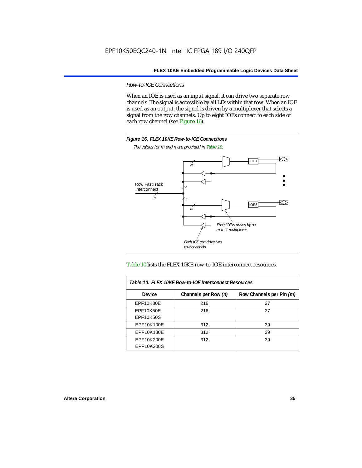*Row-to-IOE Connections*

When an IOE is used as an input signal, it can drive two separate row channels. The signal is accessible by all LEs within that row. When an IOE is used as an output, the signal is driven by a multiplexer that selects a signal from the row channels. Up to eight IOEs connect to each side of each row channel (see Figure 16).



*The values for m and n are provided in Table 10.*





| Table 10. FLEX 10KE Row-to-IOE Interconnect Resources |                      |                          |  |  |  |
|-------------------------------------------------------|----------------------|--------------------------|--|--|--|
| <b>Device</b>                                         | Channels per Row (n) | Row Channels per Pin (m) |  |  |  |
| <b>EPF10K30E</b>                                      | 216                  | 27                       |  |  |  |
| <b>EPF10K50E</b>                                      | 216                  | 27                       |  |  |  |
| <b>EPF10K50S</b>                                      |                      |                          |  |  |  |
| EPF10K100E                                            | 312                  | 39                       |  |  |  |
| EPF10K130E                                            | 312                  | 39                       |  |  |  |
| EPF10K200E<br>EPF10K200S                              | 312                  | 39                       |  |  |  |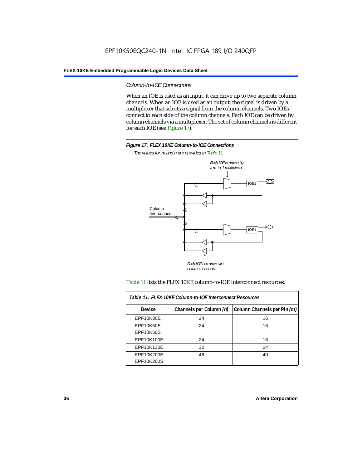### *Column-to-IOE Connections*

When an IOE is used as an input, it can drive up to two separate column channels. When an IOE is used as an output, the signal is driven by a multiplexer that selects a signal from the column channels. Two IOEs connect to each side of the column channels. Each IOE can be driven by column channels via a multiplexer. The set of column channels is different for each IOE (see Figure 17).



*The values for m and n are provided in Table 11.*



### Table 11 lists the FLEX 10KE column-to-IOE interconnect resources.

| Table 11. FLEX 10KE Column-to-IOE Interconnect Resources |                         |                             |  |  |  |
|----------------------------------------------------------|-------------------------|-----------------------------|--|--|--|
| <b>Device</b>                                            | Channels per Column (n) | Column Channels per Pin (m) |  |  |  |
| EPF10K30E                                                | 24                      | 16                          |  |  |  |
| EPF10K50E<br><b>EPF10K50S</b>                            | 24                      | 16                          |  |  |  |
| EPF10K100E                                               | 24                      | 16                          |  |  |  |
| EPF10K130E                                               | 32                      | 24                          |  |  |  |
| EPF10K200E<br>EPF10K200S                                 | 48                      | 40                          |  |  |  |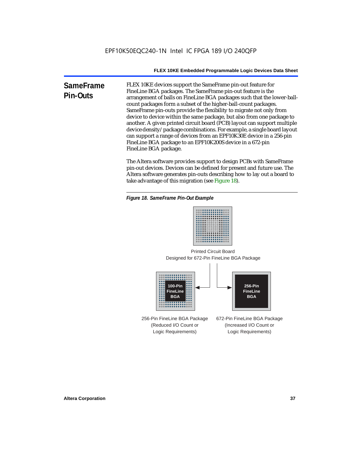**SameFrame Pin-Outs** FLEX 10KE devices support the SameFrame pin-out feature for FineLine BGA packages. The SameFrame pin-out feature is the arrangement of balls on FineLine BGA packages such that the lower-ballcount packages form a subset of the higher-ball-count packages. SameFrame pin-outs provide the flexibility to migrate not only from device to device within the same package, but also from one package to another. A given printed circuit board (PCB) layout can support multiple device density/package combinations. For example, a single board layout can support a range of devices from an EPF10K30E device in a 256-pin FineLine BGA package to an EPF10K200S device in a 672-pin FineLine BGA package.

> The Altera software provides support to design PCBs with SameFrame pin-out devices. Devices can be defined for present and future use. The Altera software generates pin-outs describing how to lay out a board to take advantage of this migration (see Figure 18).





Designed for 672-Pin FineLine BGA Package Printed Circuit Board



256-Pin FineLine BGA Package (Reduced I/O Count or Logic Requirements) 672-Pin FineLine BGA Package (Increased I/O Count or Logic Requirements)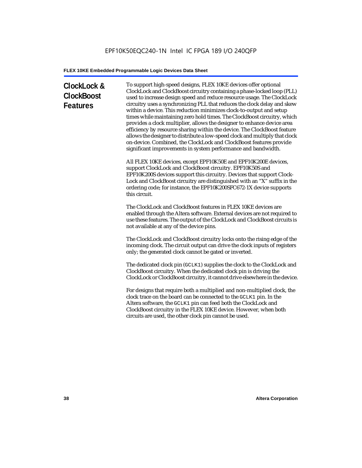# **ClockLock & ClockBoost Features**

To support high-speed designs, FLEX 10KE devices offer optional ClockLock and ClockBoost circuitry containing a phase-locked loop (PLL) used to increase design speed and reduce resource usage. The ClockLock circuitry uses a synchronizing PLL that reduces the clock delay and skew within a device. This reduction minimizes clock-to-output and setup times while maintaining zero hold times. The ClockBoost circuitry, which provides a clock multiplier, allows the designer to enhance device area efficiency by resource sharing within the device. The ClockBoost feature allows the designer to distribute a low-speed clock and multiply that clock on-device. Combined, the ClockLock and ClockBoost features provide significant improvements in system performance and bandwidth.

All FLEX 10KE devices, except EPF10K50E and EPF10K200E devices, support ClockLock and ClockBoost circuitry. EPF10K50S and EPF10K200S devices support this circuitry. Devices that support Clock-Lock and ClockBoost circuitry are distinguished with an "X" suffix in the ordering code; for instance, the EPF10K200SFC672-1X device supports this circuit.

The ClockLock and ClockBoost features in FLEX 10KE devices are enabled through the Altera software. External devices are not required to use these features. The output of the ClockLock and ClockBoost circuits is not available at any of the device pins.

The ClockLock and ClockBoost circuitry locks onto the rising edge of the incoming clock. The circuit output can drive the clock inputs of registers only; the generated clock cannot be gated or inverted.

The dedicated clock pin (GCLK1) supplies the clock to the ClockLock and ClockBoost circuitry. When the dedicated clock pin is driving the ClockLock or ClockBoost circuitry, it cannot drive elsewhere in the device.

For designs that require both a multiplied and non-multiplied clock, the clock trace on the board can be connected to the GCLK1 pin. In the Altera software, the GCLK1 pin can feed both the ClockLock and ClockBoost circuitry in the FLEX 10KE device. However, when both circuits are used, the other clock pin cannot be used.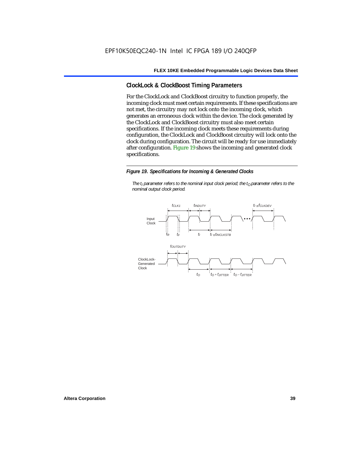# **ClockLock & ClockBoost Timing Parameters**

For the ClockLock and ClockBoost circuitry to function properly, the incoming clock must meet certain requirements. If these specifications are not met, the circuitry may not lock onto the incoming clock, which generates an erroneous clock within the device. The clock generated by the ClockLock and ClockBoost circuitry must also meet certain specifications. If the incoming clock meets these requirements during configuration, the ClockLock and ClockBoost circuitry will lock onto the clock during configuration. The circuit will be ready for use immediately after configuration. Figure 19 shows the incoming and generated clock specifications.

### *Figure 19. Specifications for Incoming & Generated Clocks*

*The t<sub>I</sub> parameter refers to the nominal input clock period; the t<sub>0</sub> parameter refers to the nominal output clock period.*

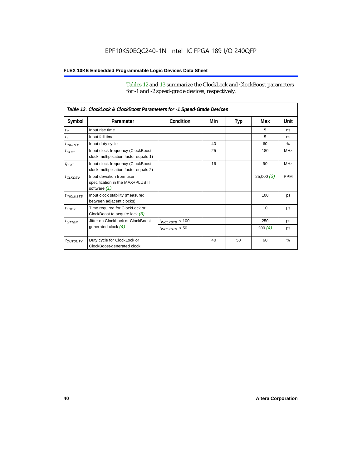Tables 12 and 13 summarize the ClockLock and ClockBoost parameters for -1 and -2 speed-grade devices, respectively.

| Table 12. ClockLock & ClockBoost Parameters for -1 Speed-Grade Devices |                                                                               |                      |     |     |           |               |
|------------------------------------------------------------------------|-------------------------------------------------------------------------------|----------------------|-----|-----|-----------|---------------|
| Symbol                                                                 | Parameter                                                                     | Condition            | Min | Typ | Max       | Unit          |
| $t_R$                                                                  | Input rise time                                                               |                      |     |     | 5         | ns            |
| $t_F$                                                                  | Input fall time                                                               |                      |     |     | 5         | ns            |
| $t$ <sub>INDUTY</sub>                                                  | Input duty cycle                                                              |                      | 40  |     | 60        | $\%$          |
| $f_{CLK1}$                                                             | Input clock frequency (ClockBoost<br>clock multiplication factor equals 1)    |                      | 25  |     | 180       | <b>MHz</b>    |
| $f_{CLK2}$                                                             | Input clock frequency (ClockBoost<br>clock multiplication factor equals 2)    |                      | 16  |     | 90        | <b>MHz</b>    |
| $f_{CLKDEV}$                                                           | Input deviation from user<br>specification in the MAX+PLUS II<br>software (1) |                      |     |     | 25,000(2) | <b>PPM</b>    |
| $t_{INCLKSTB}$                                                         | Input clock stability (measured<br>between adjacent clocks)                   |                      |     |     | 100       | ps            |
| $t_{\text{LOCK}}$                                                      | Time required for ClockLock or<br>ClockBoost to acquire lock $(3)$            |                      |     |     | 10        | μs            |
| $t_{JITTER}$                                                           | Jitter on ClockLock or ClockBoost-                                            | $t_{INCLKSTB} < 100$ |     |     | 250       | ps            |
|                                                                        | generated clock $(4)$                                                         | $t_{INCLKSTB}$ < 50  |     |     | 200 $(4)$ | ps            |
| <i>toutbuty</i>                                                        | Duty cycle for ClockLock or<br>ClockBoost-generated clock                     |                      | 40  | 50  | 60        | $\frac{9}{6}$ |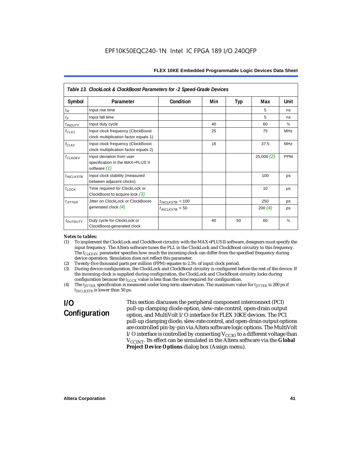| Table 13. ClockLock & ClockBoost Parameters for -2 Speed-Grade Devices |                                                                                 |                      |     |     |           |            |
|------------------------------------------------------------------------|---------------------------------------------------------------------------------|----------------------|-----|-----|-----------|------------|
| Symbol                                                                 | Parameter                                                                       | Condition            | Min | Typ | Max       | Unit       |
| $t_{R}$                                                                | Input rise time                                                                 |                      |     |     | 5         | ns         |
| $t_F$                                                                  | Input fall time                                                                 |                      |     |     | 5         | ns         |
| <i>t</i> <sub>INDUTY</sub>                                             | Input duty cycle                                                                |                      | 40  |     | 60        | $\%$       |
| $f_{CLK1}$                                                             | Input clock frequency (ClockBoost<br>clock multiplication factor equals 1)      |                      | 25  |     | 75        | <b>MHz</b> |
| $f_{CLK2}$                                                             | Input clock frequency (ClockBoost<br>clock multiplication factor equals 2)      |                      | 16  |     | 37.5      | <b>MHz</b> |
| $f_{CLKDEV}$                                                           | Input deviation from user<br>specification in the MAX+PLUS II<br>software $(1)$ |                      |     |     | 25,000(2) | <b>PPM</b> |
| $t_{INCLKSTB}$                                                         | Input clock stability (measured<br>between adjacent clocks)                     |                      |     |     | 100       | ps         |
| $t_{LOCK}$                                                             | Time required for ClockLock or<br>ClockBoost to acquire lock $(3)$              |                      |     |     | 10        | μs         |
| $t_{JITTER}$                                                           | Jitter on ClockLock or ClockBoost-                                              | $t_{INCLKSTB}$ < 100 |     |     | 250       | ps         |
|                                                                        | generated clock $(4)$                                                           | $t_{INCLKSTB}$ < 50  |     |     | 200 $(4)$ | ps         |
| toutputy                                                               | Duty cycle for ClockLock or<br>ClockBoost-generated clock                       |                      | 40  | 50  | 60        | $\%$       |

### *Notes to tables:*

- (1) To implement the ClockLock and ClockBoost circuitry with the MAX+PLUS II software, designers must specify the input frequency. The Altera software tunes the PLL in the ClockLock and ClockBoost circuitry to this frequency. The *f<sub>CLKDEV</sub>* parameter specifies how much the incoming clock can differ from the specified frequency during device operation. Simulation does not reflect this parameter.
- (2) Twenty-five thousand parts per million (PPM) equates to 2.5% of input clock period.<br>(3) During device configuration, the ClockLock and ClockBoost circuitry is configured b
- (3) During device configuration, the ClockLock and ClockBoost circuitry is configured before the rest of the device. If the incoming clock is supplied during configuration, the ClockLock and ClockBoost circuitry locks during configuration because the  $t_{LOCK}$  value is less than the time required for configuration.
- (4) The *tJITTER* specification is measured under long-term observation. The maximum value for *tJITTER* is 200 ps if  $t_{INCI KSTB}$  is lower than 50 ps.

# **I/O Configuration**

This section discusses the peripheral component interconnect (PCI) pull-up clamping diode option, slew-rate control, open-drain output option, and MultiVolt I/O interface for FLEX 10KE devices. The PCI pull-up clamping diode, slew-rate control, and open-drain output options are controlled pin-by-pin via Altera software logic options. The MultiVolt I/O interface is controlled by connecting  $V_{CCIO}$  to a different voltage than V<sub>CCINT</sub>. Its effect can be simulated in the Altera software via the Global **Project Device Options** dialog box (Assign menu).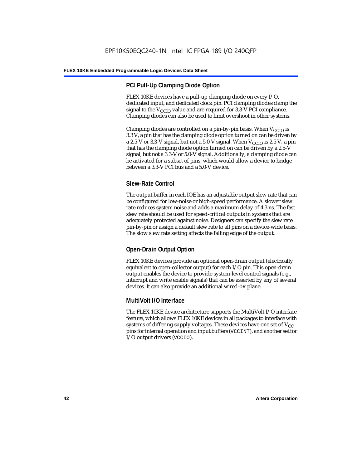# **PCI Pull-Up Clamping Diode Option**

FLEX 10KE devices have a pull-up clamping diode on every I/O, dedicated input, and dedicated clock pin. PCI clamping diodes clamp the signal to the  $V_{\text{CCIO}}$  value and are required for 3.3-V PCI compliance. Clamping diodes can also be used to limit overshoot in other systems.

Clamping diodes are controlled on a pin-by-pin basis. When  $V_{CCIO}$  is 3.3 V, a pin that has the clamping diode option turned on can be driven by a 2.5-V or 3.3-V signal, but not a 5.0-V signal. When  $V_{CCIO}$  is 2.5 V, a pin that has the clamping diode option turned on can be driven by a 2.5-V signal, but not a 3.3-V or 5.0-V signal. Additionally, a clamping diode can be activated for a subset of pins, which would allow a device to bridge between a 3.3-V PCI bus and a 5.0-V device.

# **Slew-Rate Control**

The output buffer in each IOE has an adjustable output slew rate that can be configured for low-noise or high-speed performance. A slower slew rate reduces system noise and adds a maximum delay of 4.3 ns. The fast slew rate should be used for speed-critical outputs in systems that are adequately protected against noise. Designers can specify the slew rate pin-by-pin or assign a default slew rate to all pins on a device-wide basis. The slow slew rate setting affects the falling edge of the output.

# **Open-Drain Output Option**

FLEX 10KE devices provide an optional open-drain output (electrically equivalent to open-collector output) for each I/O pin. This open-drain output enables the device to provide system-level control signals (e.g., interrupt and write enable signals) that can be asserted by any of several devices. It can also provide an additional wired-OR plane.

# **MultiVolt I/O Interface**

The FLEX 10KE device architecture supports the MultiVolt I/O interface feature, which allows FLEX 10KE devices in all packages to interface with systems of differing supply voltages. These devices have one set of  $V_{CC}$ pins for internal operation and input buffers (VCCINT), and another set for I/O output drivers (VCCIO).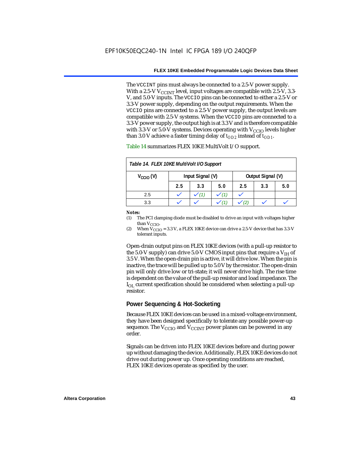The VCCINT pins must always be connected to a 2.5-V power supply. With a 2.5-V  $V_{CCMT}$  level, input voltages are compatible with 2.5-V, 3.3-V, and 5.0-V inputs. The VCCIO pins can be connected to either a 2.5-V or 3.3-V power supply, depending on the output requirements. When the VCCIO pins are connected to a 2.5-V power supply, the output levels are compatible with 2.5-V systems. When the VCCIO pins are connected to a 3.3-V power supply, the output high is at 3.3 V and is therefore compatible with 3.3-V or 5.0-V systems. Devices operating with  $V_{CCIO}$  levels higher than 3.0 V achieve a faster timing delay of  $t_{OD2}$  instead of  $t_{OD1}$ .

| Table 14. FLEX 10KE MultiVolt I/O Support |                                       |     |     |     |     |     |
|-------------------------------------------|---------------------------------------|-----|-----|-----|-----|-----|
| $V_{\text{CCIO}}(V)$                      | Input Signal (V)<br>Output Signal (V) |     |     |     |     |     |
|                                           | 2.5                                   | 3.3 | 5.0 | 2.5 | 3.3 | 5.0 |
| 2.5                                       |                                       |     |     |     |     |     |
| 3.3                                       |                                       |     |     |     |     |     |

Table 14 summarizes FLEX 10KE MultiVolt I/O support.

### *Notes:*

(1) The PCI clamping diode must be disabled to drive an input with voltages higher than  $V_{CCIO}$ .

(2) When  $V_{\text{CCIO}} = 3.3$  V, a FLEX 10KE device can drive a 2.5-V device that has 3.3-V tolerant inputs.

Open-drain output pins on FLEX 10KE devices (with a pull-up resistor to the 5.0-V supply) can drive 5.0-V CMOS input pins that require a  $V_{\text{H}}$  of 3.5 V. When the open-drain pin is active, it will drive low. When the pin is inactive, the trace will be pulled up to 5.0 V by the resistor. The open-drain pin will only drive low or tri-state; it will never drive high. The rise time is dependent on the value of the pull-up resistor and load impedance. The  $I_{\text{OL}}$  current specification should be considered when selecting a pull-up resistor.

### **Power Sequencing & Hot-Socketing**

Because FLEX 10KE devices can be used in a mixed-voltage environment, they have been designed specifically to tolerate any possible power-up sequence. The  $V_{\text{CCIO}}$  and  $V_{\text{CCINT}}$  power planes can be powered in any order.

Signals can be driven into FLEX 10KE devices before and during power up without damaging the device. Additionally, FLEX 10KE devices do not drive out during power up. Once operating conditions are reached, FLEX 10KE devices operate as specified by the user.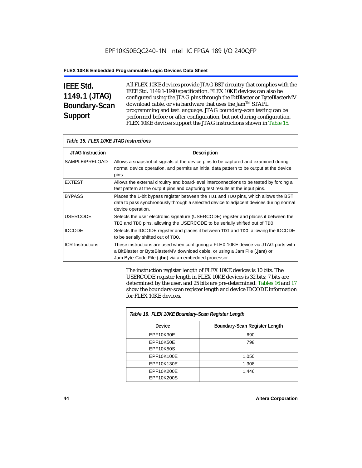# **IEEE Std. 1149.1 (JTAG) Boundary-Scan Support**

Г

All FLEX 10KE devices provide JTAG BST circuitry that complies with the IEEE Std. 1149.1-1990 specification. FLEX 10KE devices can also be configured using the JTAG pins through the BitBlaster or ByteBlasterMV download cable, or via hardware that uses the Jam™ STAPL programming and test language. JTAG boundary-scan testing can be performed before or after configuration, but not during configuration. FLEX 10KE devices support the JTAG instructions shown in Table 15.

| Table 15. FLEX 10KE JTAG Instructions |                                                                                                                                                                                                                            |  |  |  |
|---------------------------------------|----------------------------------------------------------------------------------------------------------------------------------------------------------------------------------------------------------------------------|--|--|--|
| <b>JTAG Instruction</b>               | <b>Description</b>                                                                                                                                                                                                         |  |  |  |
| SAMPLE/PRELOAD                        | Allows a snapshot of signals at the device pins to be captured and examined during<br>normal device operation, and permits an initial data pattern to be output at the device<br>pins.                                     |  |  |  |
| <b>EXTEST</b>                         | Allows the external circuitry and board-level interconnections to be tested by forcing a<br>test pattern at the output pins and capturing test results at the input pins.                                                  |  |  |  |
| <b>BYPASS</b>                         | Places the 1-bit bypass register between the TDI and TDO pins, which allows the BST<br>data to pass synchronously through a selected device to adjacent devices during normal<br>device operation.                         |  |  |  |
| <b>USERCODE</b>                       | Selects the user electronic signature (USERCODE) register and places it between the<br>TDI and TDO pins, allowing the USERCODE to be serially shifted out of TDO.                                                          |  |  |  |
| <b>IDCODE</b>                         | Selects the IDCODE register and places it between TDI and TDO, allowing the IDCODE<br>to be serially shifted out of TDO.                                                                                                   |  |  |  |
| <b>ICR Instructions</b>               | These instructions are used when configuring a FLEX 10KE device via JTAG ports with<br>a BitBlaster or ByteBlasterMV download cable, or using a Jam File (.jam) or<br>Jam Byte-Code File (.jbc) via an embedded processor. |  |  |  |

The instruction register length of FLEX 10KE devices is 10 bits. The USERCODE register length in FLEX 10KE devices is 32 bits; 7 bits are determined by the user, and 25 bits are pre-determined. Tables 16 and 17 show the boundary-scan register length and device IDCODE information for FLEX 10KE devices.

| Table 16. FLEX 10KE Boundary-Scan Register Length |                               |  |  |
|---------------------------------------------------|-------------------------------|--|--|
| Device                                            | Boundary-Scan Register Length |  |  |
| EPF10K30E                                         | 690                           |  |  |
| EPF10K50E                                         | 798                           |  |  |
| <b>EPF10K50S</b>                                  |                               |  |  |
| EPF10K100E                                        | 1,050                         |  |  |
| EPF10K130E                                        | 1,308                         |  |  |
| EPF10K200E                                        | 1.446                         |  |  |
| EPF10K200S                                        |                               |  |  |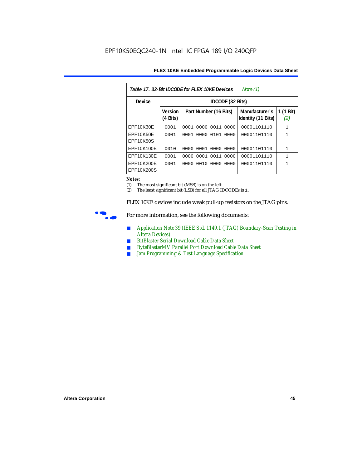| Table 17. 32-Bit IDCODE for FLEX 10KE Devices<br>Note (1) |                            |                              |                                      |                  |  |  |  |
|-----------------------------------------------------------|----------------------------|------------------------------|--------------------------------------|------------------|--|--|--|
| Device                                                    |                            | IDCODE (32 Bits)             |                                      |                  |  |  |  |
|                                                           | <b>Version</b><br>(4 Bits) | Part Number (16 Bits)        | Manufacturer's<br>Identity (11 Bits) | 1 (1 Bit)<br>(2) |  |  |  |
| EPF10K30E                                                 | 0001                       | 0000<br>0011<br>0001<br>0000 | 00001101110                          | 1                |  |  |  |
| EPF10K50E<br>EPF10K50S                                    | 0001                       | 0000<br>0101<br>0001<br>0000 | 00001101110                          | 1                |  |  |  |
| EPF10K100E                                                | 0010                       | 0001 0000<br>0000<br>0000    | 00001101110                          | $\mathbf{1}$     |  |  |  |
| EPF10K130E                                                | 0001                       | 0001<br>0011<br>0000<br>0000 | 00001101110                          | 1                |  |  |  |
| EPF10K200E<br>EPF10K200S                                  | 0001                       | 0010<br>0000<br>0000<br>0000 | 00001101110                          | 1                |  |  |  |

### *Notes:*

(1) The most significant bit (MSB) is on the left.

(2) The least significant bit (LSB) for all JTAG IDCODEs is 1.

FLEX 10KE devices include weak pull-up resistors on the JTAG pins.



For more information, see the following documents:

- *Application Note 39 (IEEE Std. 1149.1 (JTAG) Boundary-Scan Testing in Altera Devices)*
- *BitBlaster Serial Download Cable Data Sheet*
- *ByteBlasterMV Parallel Port Download Cable Data Sheet*
- *Jam Programming & Test Language Specification*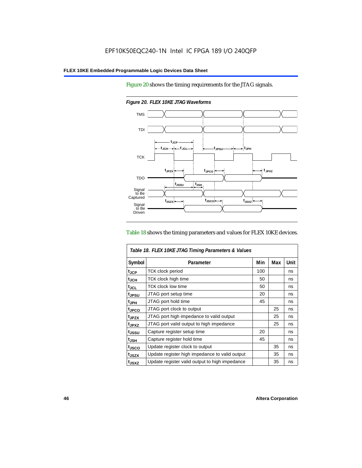Figure 20 shows the timing requirements for the JTAG signals.



*Figure 20. FLEX 10KE JTAG Waveforms*

### Table 18 shows the timing parameters and values for FLEX 10KE devices.

|                    | Table 18. FLEX 10KE JTAG Timing Parameters & Values |     |     |             |  |
|--------------------|-----------------------------------------------------|-----|-----|-------------|--|
| Symbol             | Parameter                                           | Min | Max | <b>Unit</b> |  |
| t <sub>JCP</sub>   | <b>TCK clock period</b>                             | 100 |     | ns          |  |
| $t_{JCH}$          | TCK clock high time                                 | 50  |     | ns          |  |
| $t_{\rm JCL}$      | <b>TCK clock low time</b>                           | 50  |     | ns          |  |
| tjpsu              | JTAG port setup time                                | 20  |     | ns          |  |
| t <sub>JPH</sub>   | JTAG port hold time                                 | 45  |     | ns          |  |
| t <sub>JPCO</sub>  | JTAG port clock to output                           |     | 25  | ns          |  |
| t <sub>.IPZX</sub> | JTAG port high impedance to valid output            |     | 25  | ns          |  |
| t <sub>JPXZ</sub>  | JTAG port valid output to high impedance            |     | 25  | ns          |  |
| tjssu              | Capture register setup time                         | 20  |     | ns          |  |
| $t_{JSH}$          | Capture register hold time                          | 45  |     | ns          |  |
| t <sub>JSCO</sub>  | Update register clock to output                     |     | 35  | ns          |  |
| t <sub>JSZX</sub>  | Update register high impedance to valid output      |     | 35  | ns          |  |
| t <sub>JSXZ</sub>  | Update register valid output to high impedance      |     | 35  | ns          |  |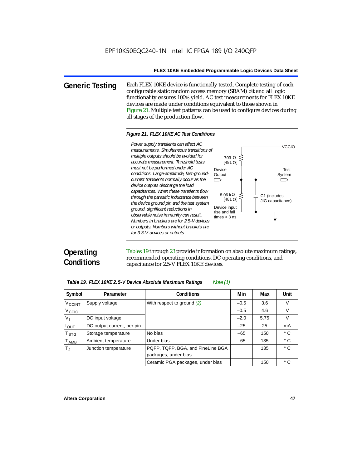**Generic Testing** Each FLEX 10KE device is functionally tested. Complete testing of each configurable static random access memory (SRAM) bit and all logic functionality ensures 100% yield. AC test measurements for FLEX 10KE devices are made under conditions equivalent to those shown in Figure 21. Multiple test patterns can be used to configure devices during all stages of the production flow.

### *Figure 21. FLEX 10KE AC Test Conditions*

*measurements. Simultaneous transitions of multiple outputs should be avoided for accurate measurement. Threshold tests must not be performed under AC conditions. Large-amplitude, fast-groundcurrent transients normally occur as the*   $\Box$ *device outputs discharge the load capacitances. When these transients flow through the parasitic inductance between the device ground pin and the test system ground, significant reductions in observable noise immunity can result. Numbers in brackets are for 2.5-V devices or outputs. Numbers without brackets are for 3.3-V. devices or outputs.*



# **Operating Conditions**

Tables 19 through 23 provide information on absolute maximum ratings, recommended operating conditions, DC operating conditions, and capacitance for 2.5-V FLEX 10KE devices.

| Table 19. FLEX 10KE 2.5-V Device Absolute Maximum Ratings<br>Note $(1)$ |                            |                                   |        |      |              |  |  |
|-------------------------------------------------------------------------|----------------------------|-----------------------------------|--------|------|--------------|--|--|
| Symbol                                                                  | Parameter                  | <b>Conditions</b>                 | Min    | Max  | <b>Unit</b>  |  |  |
| V <sub>CCINT</sub>                                                      | Supply voltage             | With respect to ground $(2)$      | $-0.5$ | 3.6  | V            |  |  |
| V <sub>CCIO</sub>                                                       |                            |                                   | $-0.5$ | 4.6  | V            |  |  |
| V <sub>1</sub>                                                          | DC input voltage           |                                   | $-2.0$ | 5.75 | $\vee$       |  |  |
| $I_{OUT}$                                                               | DC output current, per pin |                                   | $-25$  | 25   | mA           |  |  |
| <b>T</b> <sub>STG</sub>                                                 | Storage temperature        | No bias                           | $-65$  | 150  | $^{\circ}$ C |  |  |
| T <sub>AMB</sub>                                                        | Ambient temperature        | Under bias                        | $-65$  | 135  | $^{\circ}$ C |  |  |
| $T_{\rm J}$                                                             | Junction temperature       | PQFP, TQFP, BGA, and FineLine BGA |        | 135  | $^{\circ}$ C |  |  |
|                                                                         |                            | packages, under bias              |        |      |              |  |  |
|                                                                         |                            | Ceramic PGA packages, under bias  |        | 150  | $^{\circ}$ C |  |  |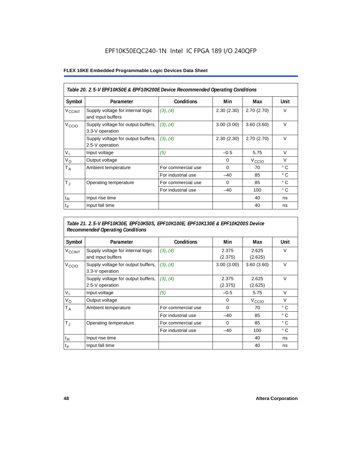# EPF10K50EQC240-1N Intel IC FPGA 189 I/O 240QFP

### **FLEX 10KE Embedded Programmable Logic Devices Data Sheet**

| Table 20. 2.5-V EPF10K50E & EPF10K200E Device Recommended Operating Conditions |                                                        |                    |            |                   |              |  |
|--------------------------------------------------------------------------------|--------------------------------------------------------|--------------------|------------|-------------------|--------------|--|
| Symbol                                                                         | Parameter                                              | <b>Conditions</b>  | Min        | Max               | Unit         |  |
| <b>V<sub>CCINT</sub></b>                                                       | Supply voltage for internal logic<br>and input buffers | (3), (4)           | 2.30(2.30) | 2.70(2.70)        | $\vee$       |  |
| V <sub>CCIO</sub>                                                              | Supply voltage for output buffers,<br>3.3-V operation  | (3), (4)           | 3.00(3.00) | 3.60(3.60)        | $\vee$       |  |
|                                                                                | Supply voltage for output buffers,<br>2.5-V operation  | (3), (4)           | 2.30(2.30) | 2.70(2.70)        | $\vee$       |  |
| $V_{1}$                                                                        | Input voltage                                          | (5)                | $-0.5$     | 5.75              | $\vee$       |  |
| $V_{\rm O}$                                                                    | Output voltage                                         |                    | 0          | V <sub>CCIO</sub> | $\vee$       |  |
| Т <sub>А</sub>                                                                 | Ambient temperature                                    | For commercial use | $\Omega$   | 70                | $^{\circ}$ C |  |
|                                                                                |                                                        | For industrial use | $-40$      | 85                | $^{\circ}$ C |  |
| $T_{\rm J}$                                                                    | Operating temperature                                  | For commercial use | $\Omega$   | 85                | $^{\circ}$ C |  |
|                                                                                |                                                        | For industrial use | $-40$      | 100               | $^{\circ}$ C |  |
| $t_{R}$                                                                        | Input rise time                                        |                    |            | 40                | ns           |  |
| $t_F$                                                                          | Input fall time                                        |                    |            | 40                | ns           |  |

## *Table 21. 2.5-V EPF10K30E, EPF10K50S, EPF10K100E, EPF10K130E & EPF10K200S Device Recommended Operating Conditions*

| Symbol                   | Parameter                                              | <b>Conditions</b>  | Min              | Max               | Unit         |
|--------------------------|--------------------------------------------------------|--------------------|------------------|-------------------|--------------|
| <b>V<sub>CCINT</sub></b> | Supply voltage for internal logic<br>and input buffers | (3), (4)           | 2.375<br>(2.375) | 2.625<br>(2.625)  | $\vee$       |
| V <sub>CCIO</sub>        | Supply voltage for output buffers,<br>3.3-V operation  | (3), (4)           | 3.00(3.00)       | 3.60(3.60)        | $\vee$       |
|                          | Supply voltage for output buffers,<br>2.5-V operation  | (3), (4)           | 2.375<br>(2.375) | 2.625<br>(2.625)  | $\vee$       |
| $V_{1}$                  | Input voltage                                          | (5)                | $-0.5$           | 5.75              | $\vee$       |
| $V_{\rm O}$              | Output voltage                                         |                    | 0                | V <sub>CCIO</sub> | $\vee$       |
| $T_A$                    | Ambient temperature                                    | For commercial use | $\mathbf 0$      | 70                | ° C          |
|                          |                                                        | For industrial use | $-40$            | 85                | $^{\circ}$ C |
| $T_{\rm J}$              | Operating temperature                                  | For commercial use | $\mathbf 0$      | 85                | $^{\circ}$ C |
|                          |                                                        | For industrial use | $-40$            | 100               | $^{\circ}$ C |
| $t_{R}$                  | Input rise time                                        |                    |                  | 40                | ns           |
| $t_F$                    | Input fall time                                        |                    |                  | 40                | ns           |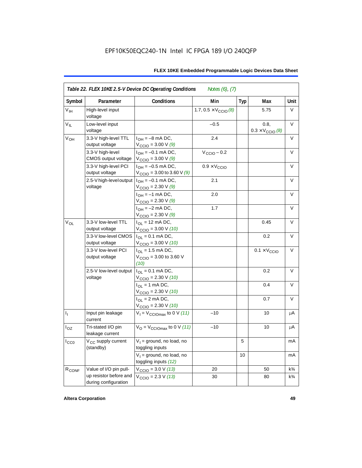| Symbol          | Parameter                                      | Conditions                                                                      | Min                                   | <b>Typ</b> | Max                                      | Unit           |
|-----------------|------------------------------------------------|---------------------------------------------------------------------------------|---------------------------------------|------------|------------------------------------------|----------------|
| V <sub>IH</sub> | High-level input<br>voltage                    |                                                                                 | 1.7, $0.5 \times V_{\text{CCIO}}$ (8) |            | 5.75                                     | V              |
| $V_{IL}$        | Low-level input<br>voltage                     |                                                                                 | $-0.5$                                |            | 0.8,<br>$0.3 \times V_{\text{CCIO}}$ (8) | V              |
| V <sub>OH</sub> | 3.3-V high-level TTL<br>output voltage         | $I_{OH} = -8$ mA DC,<br>$V_{\text{CCIO}} = 3.00 V(9)$                           | 2.4                                   |            |                                          | V              |
|                 | 3.3-V high-level<br>CMOS output voltage        | $I_{OH} = -0.1$ mA DC,<br>$V_{\text{CCIO}} = 3.00 V(9)$                         | $V_{\text{CCIO}} - 0.2$               |            |                                          | $\vee$         |
|                 | 3.3-V high-level PCI<br>output voltage         | $I_{OH} = -0.5$ mA DC,<br>$V_{\text{CCIO}} = 3.00$ to 3.60 V (9)                | $0.9 \times V_{\text{CCIO}}$          |            |                                          | $\vee$         |
|                 | 2.5-V high-level output<br>voltage             | $I_{OH} = -0.1$ mA DC,<br>$V_{\text{CCIO}} = 2.30 \text{ V} (9)$                | 2.1                                   |            |                                          | V              |
|                 |                                                | $I_{OH} = -1$ mA DC,<br>$V_{\text{CCIO}} = 2.30 \text{ V} (9)$                  | 2.0                                   |            |                                          | V              |
|                 |                                                | $I_{OH} = -2$ mA DC,<br>$V_{\text{CCIO}} = 2.30 \text{ V} (9)$                  | 1.7                                   |            |                                          | V              |
| $V_{OL}$        | 3.3-V low-level TTL<br>output voltage          | $I_{OL}$ = 12 mA DC,<br>$V_{\text{CCIO}} = 3.00 V (10)$                         |                                       |            | 0.45                                     | $\vee$         |
|                 | 3.3-V low-level CMOS<br>output voltage         | $I_{\text{OI}} = 0.1 \text{ mA} \text{ DC},$<br>$V_{\text{CCIO}} = 3.00 V (10)$ |                                       |            | 0.2                                      | $\vee$         |
|                 | 3.3-V low-level PCI<br>output voltage          | $I_{\Omega}$ = 1.5 mA DC,<br>$V_{\text{CCIO}} = 3.00$ to 3.60 V<br>(10)         |                                       |            | $0.1 \times V_{\text{CCIO}}$             | V              |
|                 | 2.5-V low-level output<br>voltage              | $I_{OL} = 0.1$ mA DC,<br>$V_{\text{CCIO}} = 2.30 V (10)$                        |                                       |            | 0.2                                      | $\vee$         |
|                 |                                                | $I_{OL}$ = 1 mA DC,<br>$V_{\text{CCIO}} = 2.30 V (10)$                          |                                       |            | 0.4                                      | $\vee$         |
|                 |                                                | $I_{OL}$ = 2 mA DC,<br>$V_{\text{CCIO}} = 2.30 V (10)$                          |                                       |            | 0.7                                      | V              |
| $I_1$           | Input pin leakage<br>current                   | $V_1 = V_{\text{CCIOMax}}$ to 0 V (11)                                          | $-10$                                 |            | 10                                       | μA             |
| $I_{OZ}$        | Tri-stated I/O pin<br>leakage current          | $V_{\rm O}$ = $V_{\rm CClOmax}$ to 0 V (11)                                     | $-10$                                 |            | 10                                       | μA             |
| $I_{CC0}$       | V <sub>CC</sub> supply current<br>(standby)    | $V_1$ = ground, no load, no<br>toggling inputs                                  |                                       | 5          |                                          | mA             |
|                 |                                                | $V_1$ = ground, no load, no<br>toggling inputs (12)                             |                                       | 10         |                                          | mA             |
| $R_{\rm CONF}$  | Value of I/O pin pull-                         | $V_{\text{CCIO}} = 3.0 \text{ V} (13)$                                          | 20                                    |            | 50                                       | $k\frac{3}{4}$ |
|                 | up resistor before and<br>during configuration | $V_{\text{CCIO}} = 2.3 V (13)$                                                  | 30                                    |            | 80                                       | $k\frac{3}{4}$ |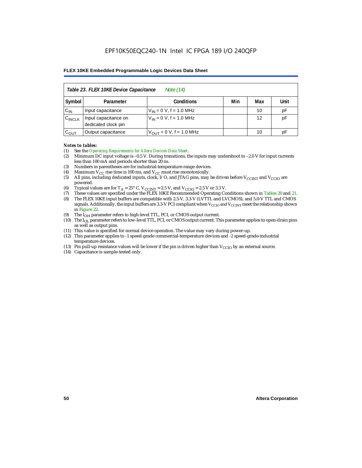|                    | Table 23. FLEX 10KE Device Capacitance<br>Note (14) |                              |     |     |      |  |  |  |
|--------------------|-----------------------------------------------------|------------------------------|-----|-----|------|--|--|--|
| Symbol             | Parameter                                           | <b>Conditions</b>            | Min | Max | Unit |  |  |  |
| $C_{IN}$           | Input capacitance                                   | $V_{IN} = 0 V$ , f = 1.0 MHz |     | 10  | pF   |  |  |  |
| $C_{\text{INCLK}}$ | Input capacitance on<br>dedicated clock pin         | $V_{IN} = 0 V$ , f = 1.0 MHz |     | 12  | pF   |  |  |  |
| $C_{OUT}$          | Output capacitance                                  | $V_{OUT} = 0 V, f = 1.0 MHz$ |     | 10  | рF   |  |  |  |

### *Notes to tables:*

- (1) See the *Operating Requirements for Altera Devices Data Sheet*.
- (2) Minimum DC input voltage is –0.5 V. During transitions, the inputs may undershoot to –2.0 V for input currents less than 100 mA and periods shorter than 20 ns.
- (3) Numbers in parentheses are for industrial-temperature-range devices.
- (4) Maximum  $V_{CC}$  rise time is 100 ms, and  $V_{CC}$  must rise monotonically.<br>(5) All pins, including dedicated inputs, clock, I/O, and JTAG pins, may
- All pins, including dedicated inputs, clock, I/O, and JTAG pins, may be driven before  $V_{CCTNT}$  and  $V_{CCTO}$  are powered.
- (6) Typical values are for  $T_A = 25^\circ$  C,  $V_{CClNT} = 2.5$  V, and  $V_{CClO} = 2.5$  V or 3.3 V.<br>(7) These values are specified under the FLEX 10KE Recommended Operating Co
- (7) These values are specified under the FLEX 10KE Recommended Operating Conditions shown in Tables 20 and 21.<br>(8) The FLEX 10KE input buffers are compatible with 2.5-V. 3.3-V (LVTTL and LVCMOS), and 5.0-V TTL and CMOS (8) The FLEX 10KE input buffers are compatible with 2.5-V, 3.3-V (LVTTL and LVCMOS), and 5.0-V TTL and CMOS
- signals. Additionally, the input buffers are 3.3-V PCI compliant when  $V_{\rm CCD}$  and  $V_{\rm CCINT}$  meet the relationship shown in Figure 22.
- (9) The  $I<sub>OH</sub>$  parameter refers to high-level TTL, PCI, or CMOS output current.
- (10) The IOL parameter refers to low-level TTL, PCI, or CMOS output current. This parameter applies to open-drain pins as well as output pins.
- (11) This value is specified for normal device operation. The value may vary during power-up.
- (12) This parameter applies to -1 speed-grade commercial-temperature devices and -2 speed-grade-industrial temperature devices.
- (13) Pin pull-up resistance values will be lower if the pin is driven higher than  $V_{CCIO}$  by an external source.
- (14) Capacitance is sample-tested only.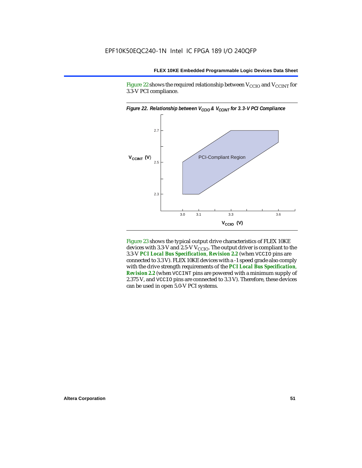Figure 22 shows the required relationship between  $V_{\text{CCIO}}$  and  $V_{\text{CCINT}}$  for 3.3-V PCI compliance.



Figure 23 shows the typical output drive characteristics of FLEX 10KE devices with 3.3-V and 2.5-V  $V_{\text{CCIO}}$ . The output driver is compliant to the 3.3-V *PCI Local Bus Specification*, *Revision 2.2* (when VCCIO pins are connected to 3.3 V). FLEX 10KE devices with a -1 speed grade also comply with the drive strength requirements of the *PCI Local Bus Specification*, *Revision 2.2* (when VCCINT pins are powered with a minimum supply of 2.375 V, and VCCIO pins are connected to 3.3 V). Therefore, these devices can be used in open 5.0-V PCI systems.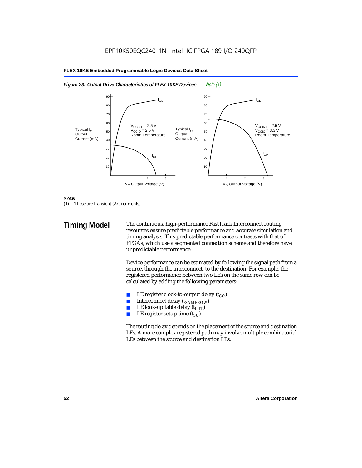



### *Note:*

(1) These are transient (AC) currents.

**Timing Model** The continuous, high-performance FastTrack Interconnect routing resources ensure predictable performance and accurate simulation and timing analysis. This predictable performance contrasts with that of FPGAs, which use a segmented connection scheme and therefore have unpredictable performance.

> Device performance can be estimated by following the signal path from a source, through the interconnect, to the destination. For example, the registered performance between two LEs on the same row can be calculated by adding the following parameters:

- LE register clock-to-output delay  $(t_{CO})$
- **■** Interconnect delay  $(t_{SAMEROW})$ <br> **■** I.E look-up table delay  $(t_{LUT})$
- LE look-up table delay  $(t_{LUT})$
- LE register setup time  $(t_{SI})$

The routing delay depends on the placement of the source and destination LEs. A more complex registered path may involve multiple combinatorial LEs between the source and destination LEs.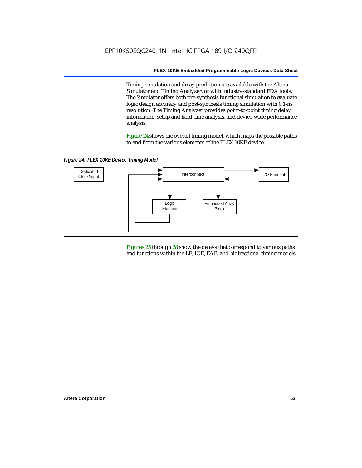Timing simulation and delay prediction are available with the Altera Simulator and Timing Analyzer, or with industry-standard EDA tools. The Simulator offers both pre-synthesis functional simulation to evaluate logic design accuracy and post-synthesis timing simulation with 0.1-ns resolution. The Timing Analyzer provides point-to-point timing delay information, setup and hold time analysis, and device-wide performance analysis.

Figure 24 shows the overall timing model, which maps the possible paths to and from the various elements of the FLEX 10KE device.

*Figure 24. FLEX 10KE Device Timing Model*



Figures 25 through 28 show the delays that correspond to various paths and functions within the LE, IOE, EAB, and bidirectional timing models.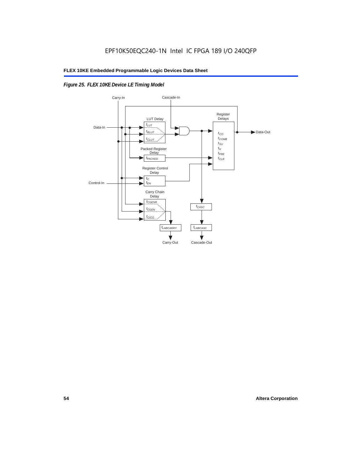# *Figure 25. FLEX 10KE Device LE Timing Model*

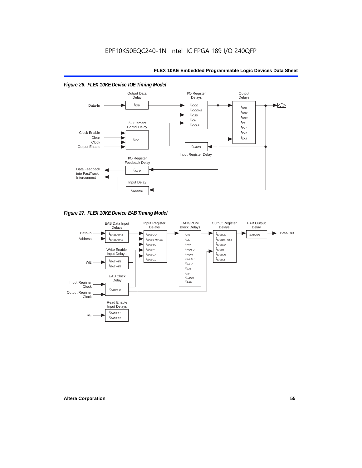### *Figure 26. FLEX 10KE Device IOE Timing Model* Output Data I/O Register **Output Delays Delay Delays**  $t_{\text{IOD}}$  $t_{IOCO}$  $\blacktriangleright$ Data-In  $t_{OD1}$  $t_{IOCOMB}$  $t_{OD2}$  $t_{IOSU}$  $t_{OD3}$  $t_{IOH}$ I/O Element  $t_{\chi z}$  $t_{IOCLR}$ Contol Delay  $t_{ZX1}$ Clock Enable  $t_{ZX2}$ Clear  $t_{7X3}$  $t_{IOC}$ Clock Output Enable  $t_{INREG}$ Input Register Delay I/O Register Feedback Delay Data Feedback  $t_{IOFD}$ into FastTrack Interconnect Input Delay  $t_{INCOMB}$

*Figure 27. FLEX 10KE Device EAB Timing Model*

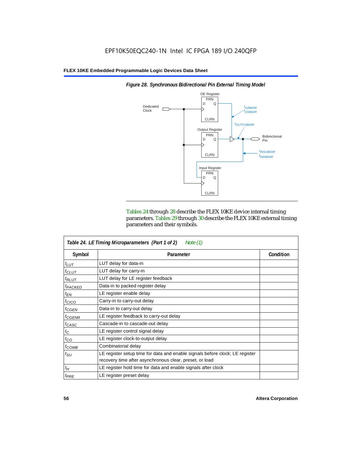

*Figure 28. Synchronous Bidirectional Pin External Timing Model*

Tables 24 through 28 describe the FLEX 10KE device internal timing parameters. Tables 29 through 30 describe the FLEX 10KE external timing parameters and their symbols.

|                     | Table 24. LE Timing Microparameters (Part 1 of 2)<br>Note (1)                                                                           |           |
|---------------------|-----------------------------------------------------------------------------------------------------------------------------------------|-----------|
| Symbol              | Parameter                                                                                                                               | Condition |
| $t_{LUT}$           | LUT delay for data-in                                                                                                                   |           |
| $t_{CLUT}$          | LUT delay for carry-in                                                                                                                  |           |
| $t_{RLUT}$          | LUT delay for LE register feedback                                                                                                      |           |
| <sup>t</sup> PACKED | Data-in to packed register delay                                                                                                        |           |
| $t_{EN}$            | LE register enable delay                                                                                                                |           |
| $t_{CICO}$          | Carry-in to carry-out delay                                                                                                             |           |
| $t_{GEN}$           | Data-in to carry-out delay                                                                                                              |           |
| ${}^t$ CGENR        | LE register feedback to carry-out delay                                                                                                 |           |
| $t_{CASC}$          | Cascade-in to cascade-out delay                                                                                                         |           |
| $t_C$               | LE register control signal delay                                                                                                        |           |
| $t_{CO}$            | LE register clock-to-output delay                                                                                                       |           |
| $t_{COMB}$          | Combinatorial delay                                                                                                                     |           |
| $t_{\rm SU}$        | LE register setup time for data and enable signals before clock; LE register<br>recovery time after asynchronous clear, preset, or load |           |
| $t_H$               | LE register hold time for data and enable signals after clock                                                                           |           |
| $t_{PRE}$           | LE register preset delay                                                                                                                |           |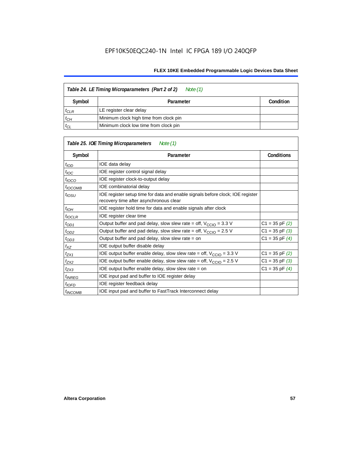| Table 24. LE Timing Microparameters (Part 2 of 2)<br>Note (1) |                                        |           |  |  |
|---------------------------------------------------------------|----------------------------------------|-----------|--|--|
| Symbol                                                        | Parameter                              | Condition |  |  |
| $t_{CLR}$                                                     | LE register clear delay                |           |  |  |
| $t_{CH}$                                                      | Minimum clock high time from clock pin |           |  |  |
| $t_{CL}$                                                      | Minimum clock low time from clock pin  |           |  |  |

|                     | Table 25. IOE Timing Microparameters<br>Note (1)                                                                         |                    |
|---------------------|--------------------------------------------------------------------------------------------------------------------------|--------------------|
| Symbol              | Parameter                                                                                                                | <b>Conditions</b>  |
| $t_{\mathit{IOD}}$  | IOE data delay                                                                                                           |                    |
| $t_{\text{IOC}}$    | IOE register control signal delay                                                                                        |                    |
| $t_{\text{IOCO}}$   | IOE register clock-to-output delay                                                                                       |                    |
| $t_{\text{IOCOMB}}$ | IOE combinatorial delay                                                                                                  |                    |
| t <sub>iosu</sub>   | IOE register setup time for data and enable signals before clock; IOE register<br>recovery time after asynchronous clear |                    |
| $t_{IOH}$           | IOE register hold time for data and enable signals after clock                                                           |                    |
| $t_{IOCLR}$         | IOE register clear time                                                                                                  |                    |
| $t_{OD1}$           | Output buffer and pad delay, slow slew rate = off, $V_{\text{CCIO}} = 3.3 \text{ V}$                                     | $C1 = 35$ pF $(2)$ |
| $t_{OD2}$           | Output buffer and pad delay, slow slew rate = off, $V_{\text{CCIO}} = 2.5$ V                                             | $C1 = 35$ pF $(3)$ |
| $t_{OD3}$           | Output buffer and pad delay, slow slew rate $=$ on                                                                       | $C1 = 35$ pF $(4)$ |
| $t_{XZ}$            | IOE output buffer disable delay                                                                                          |                    |
| $t_{ZX1}$           | IOE output buffer enable delay, slow slew rate = off, $V_{\text{CCIO}} = 3.3$ V                                          | $C1 = 35$ pF $(2)$ |
| t <sub>ZX2</sub>    | IOE output buffer enable delay, slow slew rate = off, $V_{\text{CCIO}} = 2.5 V$                                          | $C1 = 35$ pF $(3)$ |
| $t_{ZX3}$           | IOE output buffer enable delay, slow slew rate $=$ on                                                                    | $C1 = 35$ pF $(4)$ |
| <sup>t</sup> INREG  | IOE input pad and buffer to IOE register delay                                                                           |                    |
| $t_{IOFD}$          | IOE register feedback delay                                                                                              |                    |
| <sup>t</sup> INCOMB | IOE input pad and buffer to FastTrack Interconnect delay                                                                 |                    |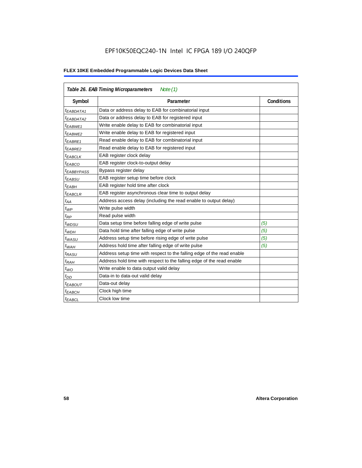# EPF10K50EQC240-1N Intel IC FPGA 189 I/O 240QFP

|                        | Table 26. EAB Timing Microparameters<br>Note $(1)$                     |                   |
|------------------------|------------------------------------------------------------------------|-------------------|
| Symbol                 | Parameter                                                              | <b>Conditions</b> |
| $t_{EABDATA1}$         | Data or address delay to EAB for combinatorial input                   |                   |
| <sup>t</sup> EABDATA2  | Data or address delay to EAB for registered input                      |                   |
| t <sub>EABWE1</sub>    | Write enable delay to EAB for combinatorial input                      |                   |
| t <sub>EABWE2</sub>    | Write enable delay to EAB for registered input                         |                   |
| <sup>t</sup> EABRE1    | Read enable delay to EAB for combinatorial input                       |                   |
| $t_{EABRE2}$           | Read enable delay to EAB for registered input                          |                   |
| $t_{EABCLK}$           | EAB register clock delay                                               |                   |
| $t_{EABCO}$            | EAB register clock-to-output delay                                     |                   |
| <sup>t</sup> EABBYPASS | Bypass register delay                                                  |                   |
| <sup>t</sup> EABSU     | EAB register setup time before clock                                   |                   |
| <sup>t</sup> EABH      | EAB register hold time after clock                                     |                   |
| $t_{EABCLR}$           | EAB register asynchronous clear time to output delay                   |                   |
| $t_{AA}$               | Address access delay (including the read enable to output delay)       |                   |
| $t_{WP}$               | Write pulse width                                                      |                   |
| $t_{RP}$               | Read pulse width                                                       |                   |
| $t_{WDSU}$             | Data setup time before falling edge of write pulse                     | (5)               |
| $t_{WDH}$              | Data hold time after falling edge of write pulse                       | (5)               |
| $t_{WASU}$             | Address setup time before rising edge of write pulse                   | (5)               |
| $t_{WAH}$              | Address hold time after falling edge of write pulse                    | (5)               |
| t <sub>RASU</sub>      | Address setup time with respect to the falling edge of the read enable |                   |
| $t_{RAH}$              | Address hold time with respect to the falling edge of the read enable  |                   |
| $t_{WO}$               | Write enable to data output valid delay                                |                   |
| $t_{DD}$               | Data-in to data-out valid delay                                        |                   |
| <sup>t</sup> EABOUT    | Data-out delay                                                         |                   |
| <sup>t</sup> EABCH     | Clock high time                                                        |                   |
| <sup>t</sup> EABCL     | Clock low time                                                         |                   |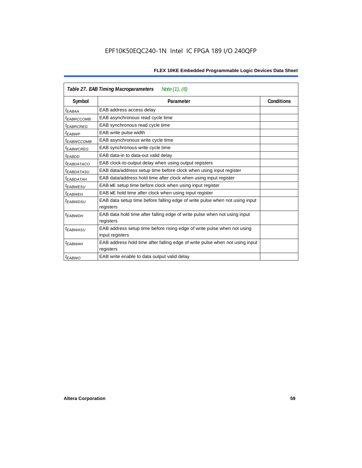|                        | Note $(1)$ , $(6)$<br>Table 27. EAB Timing Macroparameters                                |                   |  |  |  |
|------------------------|-------------------------------------------------------------------------------------------|-------------------|--|--|--|
| Symbol                 | Parameter                                                                                 | <b>Conditions</b> |  |  |  |
| <sup>t</sup> EABAA     | EAB address access delay                                                                  |                   |  |  |  |
| <sup>I</sup> EABRCCOMB | EAB asynchronous read cycle time                                                          |                   |  |  |  |
| <sup>t</sup> EABRCREG  | EAB synchronous read cycle time                                                           |                   |  |  |  |
| <sup>t</sup> EABWP     | EAB write pulse width                                                                     |                   |  |  |  |
| <sup>t</sup> ЕАВWССОМВ | EAB asynchronous write cycle time                                                         |                   |  |  |  |
| <sup>t</sup> EABWCREG  | EAB synchronous write cycle time                                                          |                   |  |  |  |
| <sup>t</sup> EABDD     | EAB data-in to data-out valid delay                                                       |                   |  |  |  |
| <sup>t</sup> EABDATACO | EAB clock-to-output delay when using output registers                                     |                   |  |  |  |
| <sup>t</sup> EABDATASU | EAB data/address setup time before clock when using input register                        |                   |  |  |  |
| <sup>t</sup> EABDATAH  | EAB data/address hold time after clock when using input register                          |                   |  |  |  |
| <sup>t</sup> EABWESU   | EAB WE setup time before clock when using input register                                  |                   |  |  |  |
| <sup>t</sup> EABWEH    | EAB WE hold time after clock when using input register                                    |                   |  |  |  |
| <sup>t</sup> EABWDSU   | EAB data setup time before falling edge of write pulse when not using input               |                   |  |  |  |
|                        | registers                                                                                 |                   |  |  |  |
| <sup>t</sup> EABWDH    | EAB data hold time after falling edge of write pulse when not using input                 |                   |  |  |  |
|                        | registers                                                                                 |                   |  |  |  |
| t <sub>EABWASU</sub>   | EAB address setup time before rising edge of write pulse when not using                   |                   |  |  |  |
|                        | input registers                                                                           |                   |  |  |  |
| t <sub>EABWAH</sub>    | EAB address hold time after falling edge of write pulse when not using input<br>registers |                   |  |  |  |
| <sup>t</sup> EABWO     | EAB write enable to data output valid delay                                               |                   |  |  |  |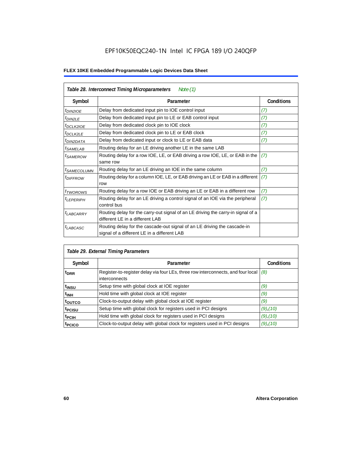# EPF10K50EQC240-1N Intel IC FPGA 189 I/O 240QFP

| Table 28. Interconnect Timing Microparameters<br>Note $(1)$ |                                                                                                                         |                   |  |  |  |
|-------------------------------------------------------------|-------------------------------------------------------------------------------------------------------------------------|-------------------|--|--|--|
| Symbol                                                      | Parameter                                                                                                               | <b>Conditions</b> |  |  |  |
| $tD$ IN2IOE                                                 | Delay from dedicated input pin to IOE control input                                                                     | (7)               |  |  |  |
| $t_{DIN2LE}$                                                | Delay from dedicated input pin to LE or EAB control input                                                               | (7)               |  |  |  |
| t <sub>DCLK2IOE</sub>                                       | Delay from dedicated clock pin to IOE clock                                                                             | (7)               |  |  |  |
| $t_{DCLK2LE}$                                               | Delay from dedicated clock pin to LE or EAB clock                                                                       | (7)               |  |  |  |
| <sup>t</sup> DIN2DATA                                       | Delay from dedicated input or clock to LE or EAB data                                                                   | (7)               |  |  |  |
| <sup>t</sup> SAMELAB                                        | Routing delay for an LE driving another LE in the same LAB                                                              |                   |  |  |  |
| <i>t</i> SAMEROW                                            | Routing delay for a row IOE, LE, or EAB driving a row IOE, LE, or EAB in the<br>same row                                | (7)               |  |  |  |
| <sup>t</sup> SAMECOLUMN                                     | Routing delay for an LE driving an IOE in the same column                                                               | (7)               |  |  |  |
| <i>t<sub>DIFFROW</sub></i>                                  | Routing delay for a column IOE, LE, or EAB driving an LE or EAB in a different<br>row                                   | (7)               |  |  |  |
| <i>t</i> <sub>TWOROWS</sub>                                 | Routing delay for a row IOE or EAB driving an LE or EAB in a different row                                              | (7)               |  |  |  |
| <sup>t</sup> LEPERIPH                                       | Routing delay for an LE driving a control signal of an IOE via the peripheral<br>control bus                            | (7)               |  |  |  |
| t <sub>LABCARRY</sub>                                       | Routing delay for the carry-out signal of an LE driving the carry-in signal of a<br>different LE in a different LAB     |                   |  |  |  |
| $t_{LABCASC}$                                               | Routing delay for the cascade-out signal of an LE driving the cascade-in<br>signal of a different LE in a different LAB |                   |  |  |  |

| Table 29. External Timing Parameters |                                                                                                   |                   |  |  |  |  |
|--------------------------------------|---------------------------------------------------------------------------------------------------|-------------------|--|--|--|--|
| Symbol                               | Parameter                                                                                         | <b>Conditions</b> |  |  |  |  |
| <sup>t</sup> DRR                     | Register-to-register delay via four LEs, three row interconnects, and four local<br>interconnects | (8)               |  |  |  |  |
| t <sub>insu</sub>                    | Setup time with global clock at IOE register                                                      | (9)               |  |  |  |  |
| $t_{\rm INH}$                        | Hold time with global clock at IOE register                                                       | (9)               |  |  |  |  |
| toutco                               | Clock-to-output delay with global clock at IOE register                                           | (9)               |  |  |  |  |
| t <sub>PCISU</sub>                   | Setup time with global clock for registers used in PCI designs                                    | $(9)$ , $(10)$    |  |  |  |  |
| <sup>t</sup> PCIH                    | Hold time with global clock for registers used in PCI designs                                     | $(9)$ , $(10)$    |  |  |  |  |
| <sup>T</sup> PCICO                   | Clock-to-output delay with global clock for registers used in PCI designs                         | $(9)$ , $(10)$    |  |  |  |  |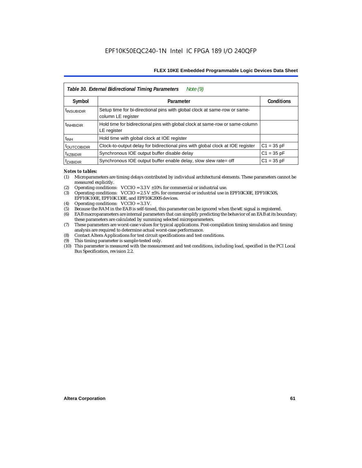|                           | Note $(9)$<br>Table 30. External Bidirectional Timing Parameters                                |                   |
|---------------------------|-------------------------------------------------------------------------------------------------|-------------------|
| Symbol                    | Parameter                                                                                       | <b>Conditions</b> |
| <sup>t</sup> INSUBIDIR    | Setup time for bi-directional pins with global clock at same-row or same-<br>column LE register |                   |
| <sup>t</sup> INHBIDIR     | Hold time for bidirectional pins with global clock at same-row or same-column<br>LE register    |                   |
| <sup>t</sup> INH          | Hold time with global clock at IOE register                                                     |                   |
| <b><i>LOUTCOBIDIR</i></b> | Clock-to-output delay for bidirectional pins with global clock at IOE register                  | $C1 = 35 pF$      |
| <sup>t</sup> xzbidir      | Synchronous IOE output buffer disable delay                                                     | $C1 = 35 pF$      |
| <sup>T</sup> ZXBIDIR      | Synchronous IOE output buffer enable delay, slow slew rate= off                                 | $C1 = 35 pF$      |

### *Notes to tables:*

- (1) Microparameters are timing delays contributed by individual architectural elements. These parameters cannot be measured explicitly.
- (2) Operating conditions:  $VCCIO = 3.3 V ±10%$  for commercial or industrial use.<br>(3) Operating conditions:  $VCCIO = 2.5 V ±5%$  for commercial or industrial use in
- Operating conditions: VCCIO =  $2.5$  V  $\pm 5$ % for commercial or industrial use in EPF10K30E, EPF10K50S, EPF10K100E, EPF10K130E, and EPF10K200S devices.
- (4) Operating conditions: VCCIO = 3.3 V.
- (5) Because the RAM in the EAB is self-timed, this parameter can be ignored when the WE signal is registered.<br>(6) EAB macroparameters are internal parameters that can simplify predicting the behavior of an EAB at its bor
- EAB macroparameters are internal parameters that can simplify predicting the behavior of an EAB at its boundary; these parameters are calculated by summing selected microparameters.
- (7) These parameters are worst-case values for typical applications. Post-compilation timing simulation and timing analysis are required to determine actual worst-case performance.
- (8) Contact Altera Applications for test circuit specifications and test conditions.
- (9) This timing parameter is sample-tested only.
- (10) This parameter is measured with the measurement and test conditions, including load, specified in the PCI Local Bus Specification, revision 2.2.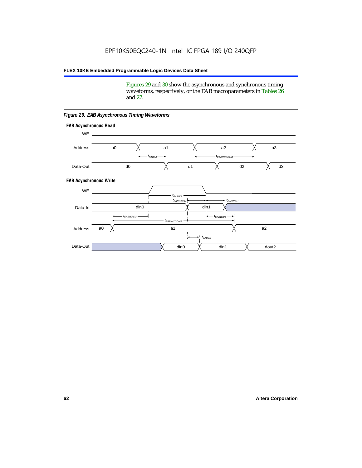Figures 29 and 30 show the asynchronous and synchronous timing waveforms, respectively, or the EAB macroparameters in Tables 26 and 27.

**EAB Asynchronous Write EAB Asynchronous Read** WE. a0 d0 d3  $t_{EABRCCOMB}$ a1 *《*、 a2 *《*、 a3 d2  $t_{FABA}$ d1 Address Data-Out WE a0 din1  $\chi$  dout2  $t_{EABDD}$ a1 a2 din1 din0  $t_{EABWCCOMB}$  $t_{EABWASU}$   $\longrightarrow$  $t_{EABWDSU}$  +  $\longrightarrow$   $t_{EABWDH}$  $t_{EABWP}$ Data-In din0 Address Data-Out

### *Figure 29. EAB Asynchronous Timing Waveforms*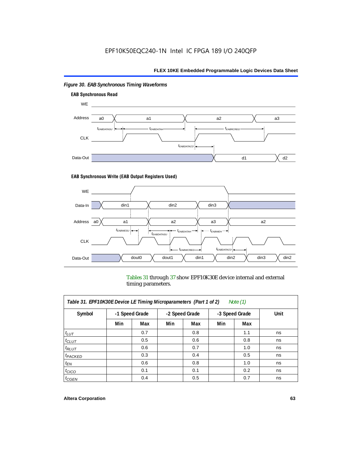

# *Figure 30. EAB Synchronous Timing Waveforms*

### **EAB Synchronous Write (EAB Output Registers Used)**



Tables 31 through 37 show EPF10K30E device internal and external timing parameters.

| Table 31. EPF10K30E Device LE Timing Microparameters (Part 1 of 2)<br>Note $(1)$ |     |                |     |                |     |                |      |
|----------------------------------------------------------------------------------|-----|----------------|-----|----------------|-----|----------------|------|
| Symbol                                                                           |     | -1 Speed Grade |     | -2 Speed Grade |     | -3 Speed Grade | Unit |
|                                                                                  | Min | Max            | Min | Max            | Min | Max            |      |
| $t_{LUT}$                                                                        |     | 0.7            |     | 0.8            |     | 1.1            | ns   |
| $t_{CLUT}$                                                                       |     | 0.5            |     | 0.6            |     | 0.8            | ns   |
| $t_{RLUT}$                                                                       |     | 0.6            |     | 0.7            |     | 1.0            | ns   |
| $t_{PACKED}$                                                                     |     | 0.3            |     | 0.4            |     | 0.5            | ns   |
| $t_{EN}$                                                                         |     | 0.6            |     | 0.8            |     | 1.0            | ns   |
| $t_{CICO}$                                                                       |     | 0.1            |     | 0.1            |     | 0.2            | ns   |
| $t_{GEN}$                                                                        |     | 0.4            |     | 0.5            |     | 0.7            | ns   |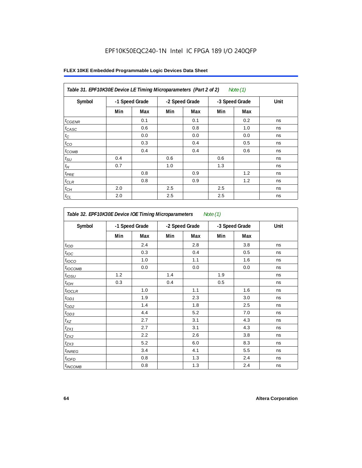# EPF10K50EQC240-1N Intel IC FPGA 189 I/O 240QFP

| Table 31. EPF10K30E Device LE Timing Microparameters (Part 2 of 2)<br>Note (1) |     |                |     |                |     |                |      |
|--------------------------------------------------------------------------------|-----|----------------|-----|----------------|-----|----------------|------|
| Symbol                                                                         |     | -1 Speed Grade |     | -2 Speed Grade |     | -3 Speed Grade | Unit |
|                                                                                | Min | Max            | Min | Max            | Min | Max            |      |
| $t_{GENR}$                                                                     |     | 0.1            |     | 0.1            |     | 0.2            | ns   |
| $t_{CASC}$                                                                     |     | 0.6            |     | 0.8            |     | 1.0            | ns   |
| $t_C$                                                                          |     | 0.0            |     | 0.0            |     | 0.0            | ns   |
| $t_{CO}$                                                                       |     | 0.3            |     | 0.4            |     | 0.5            | ns   |
| $t_{COMB}$                                                                     |     | 0.4            |     | 0.4            |     | 0.6            | ns   |
| $t_{\text{SU}}$                                                                | 0.4 |                | 0.6 |                | 0.6 |                | ns   |
| $t_{\mathcal{H}}$                                                              | 0.7 |                | 1.0 |                | 1.3 |                | ns   |
| $t_{PRE}$                                                                      |     | 0.8            |     | 0.9            |     | 1.2            | ns   |
| $t_{CLR}$                                                                      |     | 0.8            |     | 0.9            |     | 1.2            | ns   |
| $t_{\mathit{CH}}$                                                              | 2.0 |                | 2.5 |                | 2.5 |                | ns   |
| $t_{CL}$                                                                       | 2.0 |                | 2.5 |                | 2.5 |                | ns   |

| Symbol            |     | -1 Speed Grade |     | -2 Speed Grade |     | -3 Speed Grade | Unit |  |
|-------------------|-----|----------------|-----|----------------|-----|----------------|------|--|
|                   | Min | Max            | Min | Max            | Min | Max            |      |  |
| t <sub>IOD</sub>  |     | 2.4            |     | 2.8            |     | 3.8            | ns   |  |
| $t_{\text{IOC}}$  |     | 0.3            |     | 0.4            |     | 0.5            | ns   |  |
| $t_{IOCO}$        |     | 1.0            |     | 1.1            |     | 1.6            | ns   |  |
| $t_{IOCOMB}$      |     | 0.0            |     | 0.0            |     | 0.0            | ns   |  |
| t <sub>iOSU</sub> | 1.2 |                | 1.4 |                | 1.9 |                | ns   |  |
| $t_{IOL}$         | 0.3 |                | 0.4 |                | 0.5 |                | ns   |  |
| $t_{IOCLR}$       |     | 1.0            |     | 1.1            |     | 1.6            | ns   |  |
| $t_{OD1}$         |     | 1.9            |     | 2.3            |     | 3.0            | ns   |  |
| $t_{OD2}$         |     | 1.4            |     | 1.8            |     | 2.5            | ns   |  |
| $t_{OD3}$         |     | 4.4            |     | 5.2            |     | 7.0            | ns   |  |
| $t_{XZ}$          |     | 2.7            |     | 3.1            |     | 4.3            | ns   |  |
| $t_{ZX1}$         |     | 2.7            |     | 3.1            |     | 4.3            | ns   |  |
| $t_{ZX2}$         |     | 2.2            |     | 2.6            |     | 3.8            | ns   |  |
| $t_{ZX3}$         |     | 5.2            |     | 6.0            |     | 8.3            | ns   |  |
| $t_{INREG}$       |     | 3.4            |     | 4.1            |     | 5.5            | ns   |  |
| $t_{IOFD}$        |     | 0.8            |     | 1.3            |     | 2.4            | ns   |  |
| $t_{INCOMB}$      |     | 0.8            |     | 1.3            |     | 2.4            | ns   |  |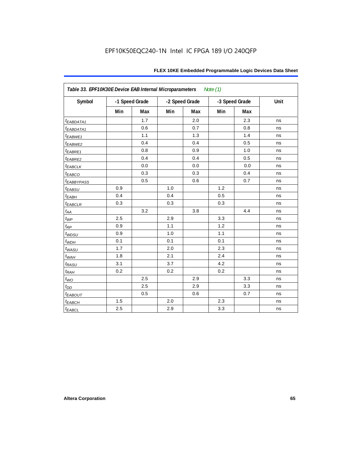| Table 33. EPF10K30E Device EAB Internal Microparameters<br>Note $(1)$ |     |                |     |                |                |     |      |  |  |
|-----------------------------------------------------------------------|-----|----------------|-----|----------------|----------------|-----|------|--|--|
| Symbol                                                                |     | -1 Speed Grade |     | -2 Speed Grade | -3 Speed Grade |     | Unit |  |  |
|                                                                       | Min | <b>Max</b>     | Min | Max            | Min            | Max |      |  |  |
| t <sub>EABDATA1</sub>                                                 |     | 1.7            |     | 2.0            |                | 2.3 | ns   |  |  |
| t <sub>EABDATA1</sub>                                                 |     | 0.6            |     | 0.7            |                | 0.8 | ns   |  |  |
| t <sub>EABWE1</sub>                                                   |     | 1.1            |     | 1.3            |                | 1.4 | ns   |  |  |
| t <sub>EABWE2</sub>                                                   |     | 0.4            |     | 0.4            |                | 0.5 | ns   |  |  |
| $t_{EABRE1}$                                                          |     | 0.8            |     | 0.9            |                | 1.0 | ns   |  |  |
| t <sub>EABRE2</sub>                                                   |     | 0.4            |     | 0.4            |                | 0.5 | ns   |  |  |
| <b><i>EABCLK</i></b>                                                  |     | 0.0            |     | 0.0            |                | 0.0 | ns   |  |  |
| t <sub>EABCO</sub>                                                    |     | 0.3            |     | 0.3            |                | 0.4 | ns   |  |  |
| <b><i>EABBYPASS</i></b>                                               |     | 0.5            |     | 0.6            |                | 0.7 | ns   |  |  |
| $t_{EABSU}$                                                           | 0.9 |                | 1.0 |                | 1.2            |     | ns   |  |  |
| $t_{EABH}$                                                            | 0.4 |                | 0.4 |                | 0.5            |     | ns   |  |  |
| $t_{EABCLR}$                                                          | 0.3 |                | 0.3 |                | 0.3            |     | ns   |  |  |
| $t_{AA}$                                                              |     | 3.2            |     | 3.8            |                | 4.4 | ns   |  |  |
| $t_{\mathit{WP}}$                                                     | 2.5 |                | 2.9 |                | 3.3            |     | ns   |  |  |
| $t_{\!R\!P}$                                                          | 0.9 |                | 1.1 |                | 1.2            |     | ns   |  |  |
| $t_{WDSU}$                                                            | 0.9 |                | 1.0 |                | 1.1            |     | ns   |  |  |
| $t_{WDH}$                                                             | 0.1 |                | 0.1 |                | 0.1            |     | ns   |  |  |
| $t_{WASU}$                                                            | 1.7 |                | 2.0 |                | 2.3            |     | ns   |  |  |
| $t_{WAH}$                                                             | 1.8 |                | 2.1 |                | 2.4            |     | ns   |  |  |
| $t_{RASU}$                                                            | 3.1 |                | 3.7 |                | 4.2            |     | ns   |  |  |
| $t_{R\underline{AH}}$                                                 | 0.2 |                | 0.2 |                | 0.2            |     | ns   |  |  |
| $t_{WO}$                                                              |     | 2.5            |     | 2.9            |                | 3.3 | ns   |  |  |
| $t_{DD}$                                                              |     | 2.5            |     | 2.9            |                | 3.3 | ns   |  |  |
| $t_{EABOUT}$                                                          |     | 0.5            |     | 0.6            |                | 0.7 | ns   |  |  |
| $t_{EABCH}$                                                           | 1.5 |                | 2.0 |                | 2.3            |     | ns   |  |  |
| $t_{EABCL}$                                                           | 2.5 |                | 2.9 |                | 3.3            |     | ns   |  |  |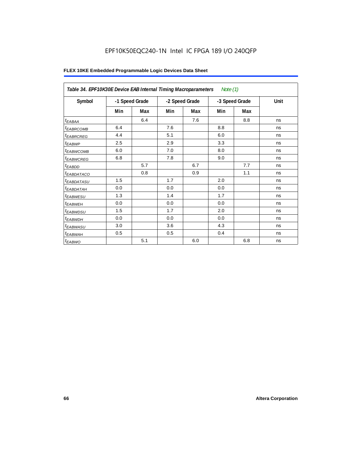# EPF10K50EQC240-1N Intel IC FPGA 189 I/O 240QFP

| Table 34. EPF10K30E Device EAB Internal Timing Macroparameters<br>Note $(1)$ |                |     |                |     |     |                |      |  |  |
|------------------------------------------------------------------------------|----------------|-----|----------------|-----|-----|----------------|------|--|--|
| Symbol                                                                       | -1 Speed Grade |     | -2 Speed Grade |     |     | -3 Speed Grade | Unit |  |  |
|                                                                              | Min            | Max | Min            | Max | Min | Max            |      |  |  |
| $t_{EABA}$                                                                   |                | 6.4 |                | 7.6 |     | 8.8            | ns   |  |  |
| <sup>t</sup> EABRCOMB                                                        | 6.4            |     | 7.6            |     | 8.8 |                | ns   |  |  |
| <sup>t</sup> EABRCREG                                                        | 4.4            |     | 5.1            |     | 6.0 |                | ns   |  |  |
| t <sub>EABWP</sub>                                                           | 2.5            |     | 2.9            |     | 3.3 |                | ns   |  |  |
| <sup>t</sup> ЕАВWСОМВ                                                        | 6.0            |     | 7.0            |     | 8.0 |                | ns   |  |  |
| <sup>t</sup> EABWCREG                                                        | 6.8            |     | 7.8            |     | 9.0 |                | ns   |  |  |
| <sup>t</sup> EABDD                                                           |                | 5.7 |                | 6.7 |     | 7.7            | ns   |  |  |
| <sup>t</sup> EABDATACO                                                       |                | 0.8 |                | 0.9 |     | 1.1            | ns   |  |  |
| <sup>t</sup> EABDATASU                                                       | 1.5            |     | 1.7            |     | 2.0 |                | ns   |  |  |
| <sup>t</sup> EABDATAH                                                        | 0.0            |     | 0.0            |     | 0.0 |                | ns   |  |  |
| <i>t<sub>EABWESU</sub></i>                                                   | 1.3            |     | 1.4            |     | 1.7 |                | ns   |  |  |
| <sup>t</sup> EABWEH                                                          | 0.0            |     | 0.0            |     | 0.0 |                | ns   |  |  |
| t <sub>EABWDSU</sub>                                                         | 1.5            |     | 1.7            |     | 2.0 |                | ns   |  |  |
| t <sub>EABWDH</sub>                                                          | 0.0            |     | 0.0            |     | 0.0 |                | ns   |  |  |
| t <sub>EABWASU</sub>                                                         | 3.0            |     | 3.6            |     | 4.3 |                | ns   |  |  |
| <sup>t</sup> EABWAH                                                          | 0.5            |     | 0.5            |     | 0.4 |                | ns   |  |  |
| $t_{EABWO}$                                                                  |                | 5.1 |                | 6.0 |     | 6.8            | ns   |  |  |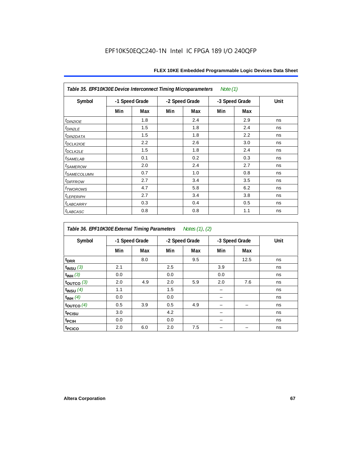| Table 35. EPF10K30E Device Interconnect Timing Microparameters<br>Note $(1)$ |                |     |     |                |     |                |      |  |  |  |
|------------------------------------------------------------------------------|----------------|-----|-----|----------------|-----|----------------|------|--|--|--|
| Symbol                                                                       | -1 Speed Grade |     |     | -2 Speed Grade |     | -3 Speed Grade | Unit |  |  |  |
|                                                                              | Min            | Max | Min | Max            | Min | Max            |      |  |  |  |
| $tD$ IN2IOE                                                                  |                | 1.8 |     | 2.4            |     | 2.9            | ns   |  |  |  |
| t <sub>DIN2LE</sub>                                                          |                | 1.5 |     | 1.8            |     | 2.4            | ns   |  |  |  |
| <sup>t</sup> DIN2DATA                                                        |                | 1.5 |     | 1.8            |     | 2.2            | ns   |  |  |  |
| t <sub>DCLK2IOE</sub>                                                        |                | 2.2 |     | 2.6            |     | 3.0            | ns   |  |  |  |
| $t_{DCLK2LE}$                                                                |                | 1.5 |     | 1.8            |     | 2.4            | ns   |  |  |  |
| <sup>t</sup> SAMELAB                                                         |                | 0.1 |     | 0.2            |     | 0.3            | ns   |  |  |  |
| <i>t<sub>SAMEROW</sub></i>                                                   |                | 2.0 |     | 2.4            |     | 2.7            | ns   |  |  |  |
| <i>t<sub>SAMECOLUMN</sub></i>                                                |                | 0.7 |     | 1.0            |     | 0.8            | ns   |  |  |  |
| t <sub>DIFFROW</sub>                                                         |                | 2.7 |     | 3.4            |     | 3.5            | ns   |  |  |  |
| <i>t</i> <sub>TWOROWS</sub>                                                  |                | 4.7 |     | 5.8            |     | 6.2            | ns   |  |  |  |
| <b><i>LEPERIPH</i></b>                                                       |                | 2.7 |     | 3.4            |     | 3.8            | ns   |  |  |  |
| t <sub>LABCARRY</sub>                                                        |                | 0.3 |     | 0.4            |     | 0.5            | ns   |  |  |  |
| t <sub>LABCASC</sub>                                                         |                | 0.8 |     | 0.8            |     | 1.1            | ns   |  |  |  |

| Table 36. EPF10K30E External Timing Parameters Notes (1), (2) |     |                |     |                |     |                |      |  |  |  |
|---------------------------------------------------------------|-----|----------------|-----|----------------|-----|----------------|------|--|--|--|
| Symbol                                                        |     | -1 Speed Grade |     | -2 Speed Grade |     | -3 Speed Grade | Unit |  |  |  |
|                                                               | Min | Max            | Min | Max            | Min | Max            |      |  |  |  |
| t <sub>DRR</sub>                                              |     | 8.0            |     | 9.5            |     | 12.5           | ns   |  |  |  |
| $t$ <sub>INSU</sub> $(3)$                                     | 2.1 |                | 2.5 |                | 3.9 |                | ns   |  |  |  |
| $t_{INH}$ (3)                                                 | 0.0 |                | 0.0 |                | 0.0 |                | ns   |  |  |  |
| $t_{OUTCO}$ (3)                                               | 2.0 | 4.9            | 2.0 | 5.9            | 2.0 | 7.6            | ns   |  |  |  |
| $t_{INSU}$ (4)                                                | 1.1 |                | 1.5 |                |     |                | ns   |  |  |  |
| $t_{INH}$ (4)                                                 | 0.0 |                | 0.0 |                |     |                | ns   |  |  |  |
| $t_{\text{OUTCO}}(4)$                                         | 0.5 | 3.9            | 0.5 | 4.9            |     |                | ns   |  |  |  |
| t <sub>PCISU</sub>                                            | 3.0 |                | 4.2 |                |     |                | ns   |  |  |  |
| t <sub>PCIH</sub>                                             | 0.0 |                | 0.0 |                |     |                | ns   |  |  |  |
| t <sub>PCICO</sub>                                            | 2.0 | 6.0            | 2.0 | 7.5            |     |                | ns   |  |  |  |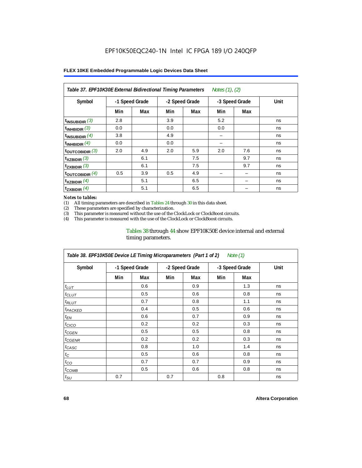| Table 37. EPF10K30E External Bidirectional Timing Parameters<br>Notes (1), (2) |                |     |     |                |     |                |      |  |  |  |
|--------------------------------------------------------------------------------|----------------|-----|-----|----------------|-----|----------------|------|--|--|--|
| Symbol                                                                         | -1 Speed Grade |     |     | -2 Speed Grade |     | -3 Speed Grade | Unit |  |  |  |
|                                                                                | Min            | Max | Min | Max            | Min | Max            |      |  |  |  |
| $t_{INSUBIDIR}$ (3)                                                            | 2.8            |     | 3.9 |                | 5.2 |                | ns   |  |  |  |
| $t_{INHBIDIR}$ (3)                                                             | 0.0            |     | 0.0 |                | 0.0 |                | ns   |  |  |  |
| $t_{INSUBIDIR}(4)$                                                             | 3.8            |     | 4.9 |                | -   |                | ns   |  |  |  |
| $t_{INHBIDIR}(4)$                                                              | 0.0            |     | 0.0 |                |     |                | ns   |  |  |  |
| $t_{\text{OUTCOBIDIR}}$ (3)                                                    | 2.0            | 4.9 | 2.0 | 5.9            | 2.0 | 7.6            | ns   |  |  |  |
| $t_{XZBIDIR}$ (3)                                                              |                | 6.1 |     | 7.5            |     | 9.7            | ns   |  |  |  |
| $t_{ZXBIDIR}$ (3)                                                              |                | 6.1 |     | 7.5            |     | 9.7            | ns   |  |  |  |
| $t_{\text{OUTCOBIDIR}}$ (4)                                                    | 0.5            | 3.9 | 0.5 | 4.9            |     |                | ns   |  |  |  |
| $t_{XZBIDIR}$ (4)                                                              |                | 5.1 |     | 6.5            |     |                | ns   |  |  |  |
| $t_{ZXBIDIR}$ (4)                                                              |                | 5.1 |     | 6.5            |     |                | ns   |  |  |  |

### *Notes to tables:*

(1) All timing parameters are described in Tables 24 through 30 in this data sheet.<br>(2) These parameters are specified by characterization.

(2) These parameters are specified by characterization.<br>(3) This parameter is measured without the use of the C

This parameter is measured without the use of the ClockLock or ClockBoost circuits.

(4) This parameter is measured with the use of the ClockLock or ClockBoost circuits.

### Tables 38 through 44 show EPF10K50E device internal and external timing parameters.

| Table 38. EPF10K50E Device LE Timing Microparameters (Part 1 of 2)<br>Note (1) |     |                |     |                |     |                |      |  |  |  |
|--------------------------------------------------------------------------------|-----|----------------|-----|----------------|-----|----------------|------|--|--|--|
| Symbol                                                                         |     | -1 Speed Grade |     | -2 Speed Grade |     | -3 Speed Grade | Unit |  |  |  |
|                                                                                | Min | Max            | Min | Max            | Min | Max            |      |  |  |  |
| $t_{LUT}$                                                                      |     | 0.6            |     | 0.9            |     | 1.3            | ns   |  |  |  |
| $t_{CLUT}$                                                                     |     | 0.5            |     | 0.6            |     | 0.8            | ns   |  |  |  |
| $t_{RLUT}$                                                                     |     | 0.7            |     | 0.8            |     | 1.1            | ns   |  |  |  |
| <b><i>t<sub>PACKED</sub></i></b>                                               |     | 0.4            |     | 0.5            |     | 0.6            | ns   |  |  |  |
| $t_{EN}$                                                                       |     | 0.6            |     | 0.7            |     | 0.9            | ns   |  |  |  |
| $t_{CICO}$                                                                     |     | 0.2            |     | 0.2            |     | 0.3            | ns   |  |  |  |
| $t_{GEN}$                                                                      |     | 0.5            |     | 0.5            |     | 0.8            | ns   |  |  |  |
| <sup>t</sup> CGENR                                                             |     | 0.2            |     | 0.2            |     | 0.3            | ns   |  |  |  |
| t <sub>CASC</sub>                                                              |     | 0.8            |     | 1.0            |     | 1.4            | ns   |  |  |  |
| $t_C$                                                                          |     | 0.5            |     | 0.6            |     | 0.8            | ns   |  |  |  |
| $t_{CO}$                                                                       |     | 0.7            |     | 0.7            |     | 0.9            | ns   |  |  |  |
| $t_{\text{COMB}}$                                                              |     | 0.5            |     | 0.6            |     | 0.8            | ns   |  |  |  |
| $t_{\text{SU}}$                                                                | 0.7 |                | 0.7 |                | 0.8 |                | ns   |  |  |  |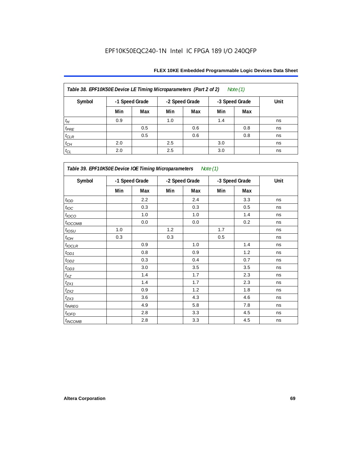| Table 38. EPF10K50E Device LE Timing Microparameters (Part 2 of 2)<br>Note $(1)$ |     |                |                                  |     |      |     |    |  |  |  |
|----------------------------------------------------------------------------------|-----|----------------|----------------------------------|-----|------|-----|----|--|--|--|
| Symbol                                                                           |     | -1 Speed Grade | -2 Speed Grade<br>-3 Speed Grade |     | Unit |     |    |  |  |  |
|                                                                                  | Min | Max            | Min                              | Max | Min  | Max |    |  |  |  |
| $t_H$                                                                            | 0.9 |                | 1.0                              |     | 1.4  |     | ns |  |  |  |
| $t_{PRE}$                                                                        |     | 0.5            |                                  | 0.6 |      | 0.8 | ns |  |  |  |
| $t_{CLR}$                                                                        |     | 0.5            |                                  | 0.6 |      | 0.8 | ns |  |  |  |
| $t_{CH}$                                                                         | 2.0 |                | 2.5                              |     | 3.0  |     | ns |  |  |  |
| $t_{CL}$                                                                         | 2.0 |                | 2.5                              |     | 3.0  |     | ns |  |  |  |

| Table 39. EPF10K50E Device IOE Timing Microparameters Note (1) |                |         |                |     |                |     |      |  |  |  |
|----------------------------------------------------------------|----------------|---------|----------------|-----|----------------|-----|------|--|--|--|
| Symbol                                                         | -1 Speed Grade |         | -2 Speed Grade |     | -3 Speed Grade |     | Unit |  |  |  |
|                                                                | Min            | Max     | Min            | Max | Min            | Max |      |  |  |  |
| t <sub>IOD</sub>                                               |                | 2.2     |                | 2.4 |                | 3.3 | ns   |  |  |  |
| $t_{\text{IOC}}$                                               |                | 0.3     |                | 0.3 |                | 0.5 | ns   |  |  |  |
| $t_{\text{LOCO}}$                                              |                | 1.0     |                | 1.0 |                | 1.4 | ns   |  |  |  |
| $t_{IOCOMB}$                                                   |                | 0.0     |                | 0.0 |                | 0.2 | ns   |  |  |  |
| $t_{IOSU}$                                                     | 1.0            |         | 1.2            |     | 1.7            |     | ns   |  |  |  |
| $t_{IOM}$                                                      | 0.3            |         | 0.3            |     | 0.5            |     | ns   |  |  |  |
| $t_{IOCLR}$                                                    |                | 0.9     |                | 1.0 |                | 1.4 | ns   |  |  |  |
| $t_{OD1}$                                                      |                | 0.8     |                | 0.9 |                | 1.2 | ns   |  |  |  |
| $t_{OD2}$                                                      |                | 0.3     |                | 0.4 |                | 0.7 | ns   |  |  |  |
| $t_{OD3}$                                                      |                | 3.0     |                | 3.5 |                | 3.5 | ns   |  |  |  |
| $t_{\mathsf{XZ}}$                                              |                | 1.4     |                | 1.7 |                | 2.3 | ns   |  |  |  |
| $t_{ZX1}$                                                      |                | 1.4     |                | 1.7 |                | 2.3 | ns   |  |  |  |
| $t_{ZX2}$                                                      |                | 0.9     |                | 1.2 |                | 1.8 | ns   |  |  |  |
| $t_{ZX3}$                                                      |                | 3.6     |                | 4.3 |                | 4.6 | ns   |  |  |  |
| $t_{INREG}$                                                    |                | 4.9     |                | 5.8 |                | 7.8 | ns   |  |  |  |
| $t_{IOED}$                                                     |                | 2.8     |                | 3.3 |                | 4.5 | ns   |  |  |  |
| $t_{INCOMB}$                                                   |                | $2.8\,$ |                | 3.3 |                | 4.5 | ns   |  |  |  |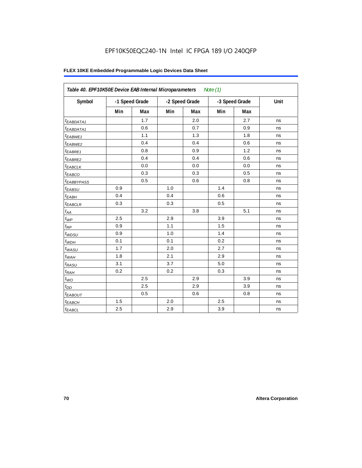# EPF10K50EQC240-1N Intel IC FPGA 189 I/O 240QFP

| Table 40. EPF10K50E Device EAB Internal Microparameters<br>Note $(1)$ |                |     |     |                |     |                |      |  |  |
|-----------------------------------------------------------------------|----------------|-----|-----|----------------|-----|----------------|------|--|--|
| Symbol                                                                | -1 Speed Grade |     |     | -2 Speed Grade |     | -3 Speed Grade | Unit |  |  |
|                                                                       | Min            | Max | Min | Max            | Min | Max            |      |  |  |
| t <sub>EABDATA1</sub>                                                 |                | 1.7 |     | 2.0            |     | 2.7            | ns   |  |  |
| $t_{EABDATA1}$                                                        |                | 0.6 |     | 0.7            |     | 0.9            | ns   |  |  |
| $t_{EABWE1}$                                                          |                | 1.1 |     | 1.3            |     | 1.8            | ns   |  |  |
| <sup>t</sup> EABWE2                                                   |                | 0.4 |     | 0.4            |     | 0.6            | ns   |  |  |
| t <sub>EABRE1</sub>                                                   |                | 0.8 |     | 0.9            |     | 1.2            | ns   |  |  |
| $t_{EABRE2}$                                                          |                | 0.4 |     | 0.4            |     | 0.6            | ns   |  |  |
| $t_{EABCLK}$                                                          |                | 0.0 |     | 0.0            |     | 0.0            | ns   |  |  |
| $t_{EABCO}$                                                           |                | 0.3 |     | 0.3            |     | 0.5            | ns   |  |  |
| <i><b>EABBYPASS</b></i>                                               |                | 0.5 |     | 0.6            |     | 0.8            | ns   |  |  |
| $t_{EABSU}$                                                           | 0.9            |     | 1.0 |                | 1.4 |                | ns   |  |  |
| $t_{EABH}$                                                            | 0.4            |     | 0.4 |                | 0.6 |                | ns   |  |  |
| $t_{EABCLR}$                                                          | 0.3            |     | 0.3 |                | 0.5 |                | ns   |  |  |
| $t_{AA}$                                                              |                | 3.2 |     | 3.8            |     | 5.1            | ns   |  |  |
| $t_{\mathit{WP}}$                                                     | 2.5            |     | 2.9 |                | 3.9 |                | ns   |  |  |
| $t_{RP}$                                                              | 0.9            |     | 1.1 |                | 1.5 |                | ns   |  |  |
| $t_{WDSU}$                                                            | 0.9            |     | 1.0 |                | 1.4 |                | ns   |  |  |
| $t_{WDH}$                                                             | 0.1            |     | 0.1 |                | 0.2 |                | ns   |  |  |
| $t_{WASU}$                                                            | 1.7            |     | 2.0 |                | 2.7 |                | ns   |  |  |
| $t_{WAH}$                                                             | 1.8            |     | 2.1 |                | 2.9 |                | ns   |  |  |
| $t_{RASU}$                                                            | 3.1            |     | 3.7 |                | 5.0 |                | ns   |  |  |
| $t_{RAH}$                                                             | 0.2            |     | 0.2 |                | 0.3 |                | ns   |  |  |
| $t_{WO}$                                                              |                | 2.5 |     | 2.9            |     | 3.9            | ns   |  |  |
| $t_{DD}$                                                              |                | 2.5 |     | 2.9            |     | 3.9            | ns   |  |  |
| t <sub>EABOUT</sub>                                                   |                | 0.5 |     | 0.6            |     | 0.8            | ns   |  |  |
| t <sub>EABCH</sub>                                                    | 1.5            |     | 2.0 |                | 2.5 |                | ns   |  |  |
| $t_{EABCL}$                                                           | 2.5            |     | 2.9 |                | 3.9 |                | ns   |  |  |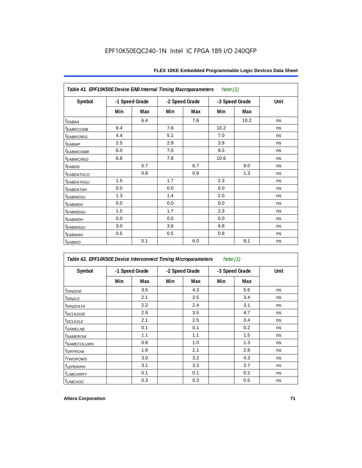| Note (1)<br>Table 41. EPF10K50E Device EAB Internal Timing Macroparameters |                |     |                |     |                |      |      |  |  |  |
|----------------------------------------------------------------------------|----------------|-----|----------------|-----|----------------|------|------|--|--|--|
| Symbol                                                                     | -1 Speed Grade |     | -2 Speed Grade |     | -3 Speed Grade |      | Unit |  |  |  |
|                                                                            | Min            | Max | Min            | Max | Min            | Max  |      |  |  |  |
| $t_{EABA}$                                                                 |                | 6.4 |                | 7.6 |                | 10.2 | ns   |  |  |  |
| <b><i>EABRCOMB</i></b>                                                     | 6.4            |     | 7.6            |     | 10.2           |      | ns   |  |  |  |
| t <sub>EABRCREG</sub>                                                      | 4.4            |     | 5.1            |     | 7.0            |      | ns   |  |  |  |
| t <sub>EABWP</sub>                                                         | 2.5            |     | 2.9            |     | 3.9            |      | ns   |  |  |  |
| <sup>t</sup> EABWCOMB                                                      | 6.0            |     | 7.0            |     | 9.5            |      | ns   |  |  |  |
| <sup>t</sup> EABWCREG                                                      | 6.8            |     | 7.8            |     | 10.6           |      | ns   |  |  |  |
| t <sub>EABDD</sub>                                                         |                | 5.7 |                | 6.7 |                | 9.0  | ns   |  |  |  |
| <sup>t</sup> EABDATACO                                                     |                | 0.8 |                | 0.9 |                | 1.3  | ns   |  |  |  |
| <sup>t</sup> EABDATASU                                                     | 1.5            |     | 1.7            |     | 2.3            |      | ns   |  |  |  |
| t <sub>eabdatah</sub>                                                      | 0.0            |     | 0.0            |     | 0.0            |      | ns   |  |  |  |
| <sup>t</sup> EABWESU                                                       | 1.3            |     | 1.4            |     | 2.0            |      | ns   |  |  |  |
| t <sub>EABWEH</sub>                                                        | 0.0            |     | 0.0            |     | 0.0            |      | ns   |  |  |  |
| <i>t<sub>EABWDSU</sub></i>                                                 | 1.5            |     | 1.7            |     | 2.3            |      | ns   |  |  |  |
| <sup>t</sup> EABWDH                                                        | 0.0            |     | 0.0            |     | 0.0            |      | ns   |  |  |  |
| t <sub>EABWASU</sub>                                                       | 3.0            |     | 3.6            |     | 4.8            |      | ns   |  |  |  |
| t <sub>EABWAH</sub>                                                        | 0.5            |     | 0.5            |     | 0.8            |      | ns   |  |  |  |
| $t_{EABWO}$                                                                |                | 5.1 |                | 6.0 |                | 8.1  | ns   |  |  |  |

| Table 42. EPF10K50E Device Interconnect Timing Microparameters<br>Note $(1)$ |                |     |                |     |                |     |      |  |  |  |
|------------------------------------------------------------------------------|----------------|-----|----------------|-----|----------------|-----|------|--|--|--|
| Symbol                                                                       | -1 Speed Grade |     | -2 Speed Grade |     | -3 Speed Grade |     | Unit |  |  |  |
|                                                                              | Min            | Max | Min            | Max | Min            | Max |      |  |  |  |
| $tD$ IN2IOE                                                                  |                | 3.5 |                | 4.3 |                | 5.6 | ns   |  |  |  |
| t <sub>DIN2LE</sub>                                                          |                | 2.1 |                | 2.5 |                | 3.4 | ns   |  |  |  |
| <sup>t</sup> DIN2DATA                                                        |                | 2.2 |                | 2.4 |                | 3.1 | ns   |  |  |  |
| $t$ DCLK2IOE                                                                 |                | 2.9 |                | 3.5 |                | 4.7 | ns   |  |  |  |
| $t$ DCLK2LE                                                                  |                | 2.1 |                | 2.5 |                | 3.4 | ns   |  |  |  |
| <sup>t</sup> SAMELAB                                                         |                | 0.1 |                | 0.1 |                | 0.2 | ns   |  |  |  |
| <i>t</i> SAMEROW                                                             |                | 1.1 |                | 1.1 |                | 1.5 | ns   |  |  |  |
| <i>t<sub>SAMECOLUMN</sub></i>                                                |                | 0.8 |                | 1.0 |                | 1.3 | ns   |  |  |  |
| <i>t<sub>DIFFROW</sub></i>                                                   |                | 1.9 |                | 2.1 |                | 2.8 | ns   |  |  |  |
| <i>t</i> TWOROWS                                                             |                | 3.0 |                | 3.2 |                | 4.3 | ns   |  |  |  |
| <b><i>LEPERIPH</i></b>                                                       |                | 3.1 |                | 3.3 |                | 3.7 | ns   |  |  |  |
| <b><i>LABCARRY</i></b>                                                       |                | 0.1 |                | 0.1 |                | 0.2 | ns   |  |  |  |
| t <sub>LABCASC</sub>                                                         |                | 0.3 |                | 0.3 |                | 0.5 | ns   |  |  |  |

 $\mathbf{r}$ 

٦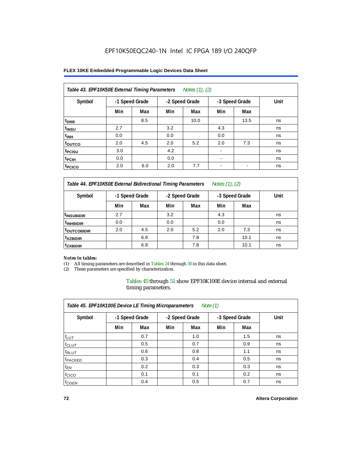## **FLEX 10KE Embedded Programmable Logic Devices Data Sheet**

| Table 43. EPF10K50E External Timing Parameters<br>Notes $(1)$ , $(2)$ |                |     |     |                |                          |                |      |  |  |  |
|-----------------------------------------------------------------------|----------------|-----|-----|----------------|--------------------------|----------------|------|--|--|--|
| Symbol                                                                | -1 Speed Grade |     |     | -2 Speed Grade |                          | -3 Speed Grade | Unit |  |  |  |
|                                                                       | Min            | Max | Min | Max            | Min                      | Max            |      |  |  |  |
| t <sub>DRR</sub>                                                      |                | 8.5 |     | 10.0           |                          | 13.5           | ns   |  |  |  |
| <sup>t</sup> insu                                                     | 2.7            |     | 3.2 |                | 4.3                      |                | ns   |  |  |  |
| $t_{\text{INH}}$                                                      | 0.0            |     | 0.0 |                | 0.0                      |                | ns   |  |  |  |
| toutco                                                                | 2.0            | 4.5 | 2.0 | 5.2            | 2.0                      | 7.3            | ns   |  |  |  |
| <sup>t</sup> PCISU                                                    | 3.0            |     | 4.2 |                | $\blacksquare$           |                | ns   |  |  |  |
| <sup>t</sup> PCIH                                                     | 0.0            |     | 0.0 |                | $\overline{\phantom{a}}$ |                | ns   |  |  |  |
| <sup>t</sup> PCICO                                                    | 2.0            | 6.0 | 2.0 | 7.7            |                          |                | ns   |  |  |  |

*Table 44. EPF10K50E External Bidirectional Timing Parameters Notes (1), (2)*

| Symbol                 | -1 Speed Grade |     | -2 Speed Grade |     | -3 Speed Grade |      | Unit |
|------------------------|----------------|-----|----------------|-----|----------------|------|------|
|                        | Min            | Max | Min            | Max | Min            | Max  |      |
| <sup>t</sup> INSUBIDIR | 2.7            |     | 3.2            |     | 4.3            |      | ns   |
| <sup>t</sup> INHBIDIR  | 0.0            |     | 0.0            |     | 0.0            |      | ns   |
| <b>TOUTCOBIDIR</b>     | 2.0            | 4.5 | 2.0            | 5.2 | 2.0            | 7.3  | ns   |
| <sup>t</sup> xzbidir   |                | 6.8 |                | 7.8 |                | 10.1 | ns   |
| <sup>t</sup> zxbidir   |                | 6.8 |                | 7.8 |                | 10.1 | ns   |

### *Notes to tables:*

(1) All timing parameters are described in Tables 24 through 30 in this data sheet.

(2) These parameters are specified by characterization.

Tables 45 through 51 show EPF10K100E device internal and external timing parameters.

| Table 45. EPF10K100E Device LE Timing Microparameters<br>Note $(1)$ |                |     |                |     |                |     |      |  |  |  |
|---------------------------------------------------------------------|----------------|-----|----------------|-----|----------------|-----|------|--|--|--|
| Symbol                                                              | -1 Speed Grade |     | -2 Speed Grade |     | -3 Speed Grade |     | Unit |  |  |  |
|                                                                     | Min            | Max | Min            | Max | Min            | Max |      |  |  |  |
| $t_{LUT}$                                                           |                | 0.7 |                | 1.0 |                | 1.5 | ns   |  |  |  |
| $t_{CLUT}$                                                          |                | 0.5 |                | 0.7 |                | 0.9 | ns   |  |  |  |
| $t_{RLUT}$                                                          |                | 0.6 |                | 0.8 |                | 1.1 | ns   |  |  |  |
| <sup>t</sup> PACKED                                                 |                | 0.3 |                | 0.4 |                | 0.5 | ns   |  |  |  |
| $t_{EN}$                                                            |                | 0.2 |                | 0.3 |                | 0.3 | ns   |  |  |  |
| $t_{CICO}$                                                          |                | 0.1 |                | 0.1 |                | 0.2 | ns   |  |  |  |
| $t_{\text{GEN}}$                                                    |                | 0.4 |                | 0.5 |                | 0.7 | ns   |  |  |  |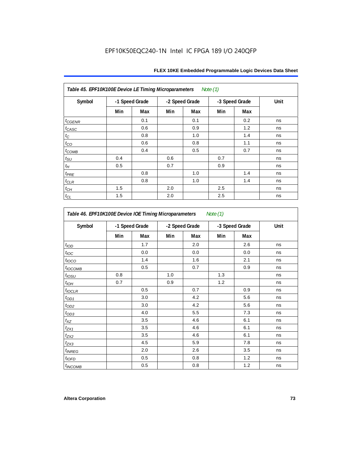| Table 45. EPF10K100E Device LE Timing Microparameters<br>Note (1) |     |                |     |                |     |                |      |  |  |  |
|-------------------------------------------------------------------|-----|----------------|-----|----------------|-----|----------------|------|--|--|--|
| Symbol                                                            |     | -1 Speed Grade |     | -2 Speed Grade |     | -3 Speed Grade | Unit |  |  |  |
|                                                                   | Min | Max            | Min | Max            | Min | Max            |      |  |  |  |
| $t_{CGENR}$                                                       |     | 0.1            |     | 0.1            |     | 0.2            | ns   |  |  |  |
| $t_{CASC}$                                                        |     | 0.6            |     | 0.9            |     | 1.2            | ns   |  |  |  |
| $t_{\rm C}$                                                       |     | 0.8            |     | 1.0            |     | 1.4            | ns   |  |  |  |
| $t_{CO}$                                                          |     | 0.6            |     | 0.8            |     | 1.1            | ns   |  |  |  |
| $t_{COMB}$                                                        |     | 0.4            |     | 0.5            |     | 0.7            | ns   |  |  |  |
| $t_{\text{SU}}$                                                   | 0.4 |                | 0.6 |                | 0.7 |                | ns   |  |  |  |
| $t_H$                                                             | 0.5 |                | 0.7 |                | 0.9 |                | ns   |  |  |  |
| $t_{PRE}$                                                         |     | 0.8            |     | 1.0            |     | 1.4            | ns   |  |  |  |
| $t_{\text{CLR}}$                                                  |     | 0.8            |     | 1.0            |     | 1.4            | ns   |  |  |  |
| $t_{CH}$                                                          | 1.5 |                | 2.0 |                | 2.5 |                | ns   |  |  |  |
| $t_{CL}$                                                          | 1.5 |                | 2.0 |                | 2.5 |                | ns   |  |  |  |

| Symbol                    |     | -1 Speed Grade | -2 Speed Grade |     |     | -3 Speed Grade | Unit |
|---------------------------|-----|----------------|----------------|-----|-----|----------------|------|
|                           | Min | Max            | Min            | Max | Min | Max            |      |
| t <sub>IOD</sub>          |     | 1.7            |                | 2.0 |     | 2.6            | ns   |
| $t_{\text{IOC}}$          |     | 0.0            |                | 0.0 |     | 0.0            | ns   |
| $t_{\text{IOCO}}$         |     | 1.4            |                | 1.6 |     | 2.1            | ns   |
| t <sub>IOCOMB</sub>       |     | 0.5            |                | 0.7 |     | 0.9            | ns   |
| $t_{\textit{IOSU}}$       | 0.8 |                | 1.0            |     | 1.3 |                | ns   |
| $t_{IOH}$                 | 0.7 |                | 0.9            |     | 1.2 |                | ns   |
| $t_{IOCLR}$               |     | 0.5            |                | 0.7 |     | 0.9            | ns   |
| $t_{OD1}$                 |     | 3.0            |                | 4.2 |     | 5.6            | ns   |
| $t_{OD2}$                 |     | 3.0            |                | 4.2 |     | 5.6            | ns   |
| $t_{OD3}$                 |     | 4.0            |                | 5.5 |     | 7.3            | ns   |
| $t_{XZ}$                  |     | 3.5            |                | 4.6 |     | 6.1            | ns   |
| $t_{ZX1}$                 |     | 3.5            |                | 4.6 |     | 6.1            | ns   |
| $t_{ZX2}$                 |     | 3.5            |                | 4.6 |     | 6.1            | ns   |
| $t_{ZX3}$                 |     | 4.5            |                | 5.9 |     | 7.8            | ns   |
| <i>t</i> <sub>INREG</sub> |     | 2.0            |                | 2.6 |     | 3.5            | ns   |
| $t_{IOED}$                |     | 0.5            |                | 0.8 |     | 1.2            | ns   |
| <sup>t</sup> INCOMB       |     | 0.5            |                | 0.8 |     | 1.2            | ns   |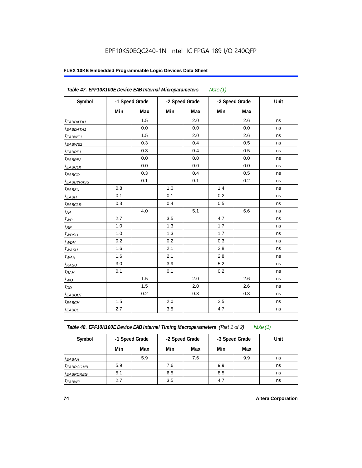## **FLEX 10KE Embedded Programmable Logic Devices Data Sheet**

|                        | Table 47. EPF10K100E Device EAB Internal Microparameters<br>Note $(1)$ |     |                |     |                |     |      |  |  |  |  |
|------------------------|------------------------------------------------------------------------|-----|----------------|-----|----------------|-----|------|--|--|--|--|
| Symbol                 | -1 Speed Grade                                                         |     | -2 Speed Grade |     | -3 Speed Grade |     | Unit |  |  |  |  |
|                        | Min                                                                    | Max | Min            | Max | Min            | Max |      |  |  |  |  |
| <sup>t</sup> EABDATA1  |                                                                        | 1.5 |                | 2.0 |                | 2.6 | ns   |  |  |  |  |
| $t_{EABDATA1}$         |                                                                        | 0.0 |                | 0.0 |                | 0.0 | ns   |  |  |  |  |
| $t_{EABWE1}$           |                                                                        | 1.5 |                | 2.0 |                | 2.6 | ns   |  |  |  |  |
| t <sub>EABWE2</sub>    |                                                                        | 0.3 |                | 0.4 |                | 0.5 | ns   |  |  |  |  |
| t <sub>EABRE1</sub>    |                                                                        | 0.3 |                | 0.4 |                | 0.5 | ns   |  |  |  |  |
| $t_{EABRE2}$           |                                                                        | 0.0 |                | 0.0 |                | 0.0 | ns   |  |  |  |  |
| $t_{EABCLK}$           |                                                                        | 0.0 |                | 0.0 |                | 0.0 | ns   |  |  |  |  |
| $t_{EABCO}$            |                                                                        | 0.3 |                | 0.4 |                | 0.5 | ns   |  |  |  |  |
| t <sub>EABBYPASS</sub> |                                                                        | 0.1 |                | 0.1 |                | 0.2 | ns   |  |  |  |  |
| $t_{EABSU}$            | 0.8                                                                    |     | 1.0            |     | 1.4            |     | ns   |  |  |  |  |
| $t_{EABH}$             | 0.1                                                                    |     | 0.1            |     | 0.2            |     | ns   |  |  |  |  |
| $t_{EABCLR}$           | 0.3                                                                    |     | 0.4            |     | 0.5            |     | ns   |  |  |  |  |
| $t_{AA}$               |                                                                        | 4.0 |                | 5.1 |                | 6.6 | ns   |  |  |  |  |
| $t_{WP}$               | 2.7                                                                    |     | 3.5            |     | 4.7            |     | ns   |  |  |  |  |
| $t_{RP}$               | 1.0                                                                    |     | 1.3            |     | 1.7            |     | ns   |  |  |  |  |
| $t_{WDSU}$             | 1.0                                                                    |     | 1.3            |     | 1.7            |     | ns   |  |  |  |  |
| $t_{WDH}$              | 0.2                                                                    |     | 0.2            |     | 0.3            |     | ns   |  |  |  |  |
| $t_{WASU}$             | 1.6                                                                    |     | 2.1            |     | 2.8            |     | ns   |  |  |  |  |
| $t_{WAH}$              | 1.6                                                                    |     | 2.1            |     | 2.8            |     | ns   |  |  |  |  |
| $t_{RASU}$             | 3.0                                                                    |     | 3.9            |     | 5.2            |     | ns   |  |  |  |  |
| $t_{RAH}$              | 0.1                                                                    |     | 0.1            |     | 0.2            |     | ns   |  |  |  |  |
| $t_{WO}$               |                                                                        | 1.5 |                | 2.0 |                | 2.6 | ns   |  |  |  |  |
| $t_{DD}$               |                                                                        | 1.5 |                | 2.0 |                | 2.6 | ns   |  |  |  |  |
| $t_{EABOUT}$           |                                                                        | 0.2 |                | 0.3 |                | 0.3 | ns   |  |  |  |  |
| <sup>t</sup> EABCH     | 1.5                                                                    |     | 2.0            |     | 2.5            |     | ns   |  |  |  |  |
| $t_{EABCL}$            | 2.7                                                                    |     | 3.5            |     | 4.7            |     | ns   |  |  |  |  |

*Table 48. EPF10K100E Device EAB Internal Timing Macroparameters (Part 1 of 2) Note (1)*

| Symbol                | -1 Speed Grade |     | -2 Speed Grade |     |     | -3 Speed Grade | Unit |
|-----------------------|----------------|-----|----------------|-----|-----|----------------|------|
|                       | Min            | Max | Min            | Max | Min | Max            |      |
| $t_{EABA}$            |                | 5.9 |                | 7.6 |     | 9.9            | ns   |
| <sup>t</sup> EABRCOMB | 5.9            |     | 7.6            |     | 9.9 |                | ns   |
| <sup>t</sup> EABRCREG | 5.1            |     | 6.5            |     | 8.5 |                | ns   |
| $t_{EABWP}$           | 2.7            |     | 3.5            |     | 4.7 |                | ns   |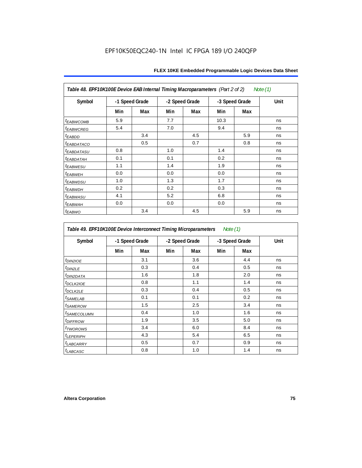| Table 48. EPF10K100E Device EAB Internal Timing Macroparameters (Part 2 of 2)<br>Note (1) |                |     |     |                |                |     |      |  |  |  |
|-------------------------------------------------------------------------------------------|----------------|-----|-----|----------------|----------------|-----|------|--|--|--|
| Symbol                                                                                    | -1 Speed Grade |     |     | -2 Speed Grade | -3 Speed Grade |     | Unit |  |  |  |
|                                                                                           | Min            | Max | Min | Max            | Min            | Max |      |  |  |  |
| <sup>t</sup> EABWCOMB                                                                     | 5.9            |     | 7.7 |                | 10.3           |     | ns   |  |  |  |
| <sup>t</sup> EABWCREG                                                                     | 5.4            |     | 7.0 |                | 9.4            |     | ns   |  |  |  |
| <sup>t</sup> EABDD                                                                        |                | 3.4 |     | 4.5            |                | 5.9 | ns   |  |  |  |
| <b><i>EABDATACO</i></b>                                                                   |                | 0.5 |     | 0.7            |                | 0.8 | ns   |  |  |  |
| <sup>t</sup> EABDATASU                                                                    | 0.8            |     | 1.0 |                | 1.4            |     | ns   |  |  |  |
| <sup>t</sup> EABDATAH                                                                     | 0.1            |     | 0.1 |                | 0.2            |     | ns   |  |  |  |
| <sup>t</sup> EABWESU                                                                      | 1.1            |     | 1.4 |                | 1.9            |     | ns   |  |  |  |
| <b><i>EABWEH</i></b>                                                                      | 0.0            |     | 0.0 |                | 0.0            |     | ns   |  |  |  |
| <sup>t</sup> EABWDSU                                                                      | 1.0            |     | 1.3 |                | 1.7            |     | ns   |  |  |  |
| <sup>t</sup> EABWDH                                                                       | 0.2            |     | 0.2 |                | 0.3            |     | ns   |  |  |  |
| <sup>t</sup> EABWASU                                                                      | 4.1            |     | 5.2 |                | 6.8            |     | ns   |  |  |  |
| <sup>t</sup> EABWAH                                                                       | 0.0            |     | 0.0 |                | 0.0            |     | ns   |  |  |  |
| <sup>t</sup> EABWO                                                                        |                | 3.4 |     | 4.5            |                | 5.9 | ns   |  |  |  |

*Table 49. EPF10K100E Device Interconnect Timing Microparameters Note (1)*

| Symbol                     |     | -1 Speed Grade |     | -2 Speed Grade |     | -3 Speed Grade | Unit |
|----------------------------|-----|----------------|-----|----------------|-----|----------------|------|
|                            | Min | Max            | Min | Max            | Min | Max            |      |
| $tD$ IN2IOE                |     | 3.1            |     | 3.6            |     | 4.4            | ns   |
| t <sub>DIN2LE</sub>        |     | 0.3            |     | 0.4            |     | 0.5            | ns   |
| <sup>t</sup> DIN2DATA      |     | 1.6            |     | 1.8            |     | 2.0            | ns   |
| $t_{DCLK2IOE}$             |     | 0.8            |     | 1.1            |     | 1.4            | ns   |
| t <sub>DCLK2LE</sub>       |     | 0.3            |     | 0.4            |     | 0.5            | ns   |
| <sup>t</sup> SAMELAB       |     | 0.1            |     | 0.1            |     | 0.2            | ns   |
| <i>t</i> SAMEROW           |     | 1.5            |     | 2.5            |     | 3.4            | ns   |
| <sup>t</sup> SAMECOLUMN    |     | 0.4            |     | 1.0            |     | 1.6            | ns   |
| <i>t<sub>DIFFROW</sub></i> |     | 1.9            |     | 3.5            |     | 5.0            | ns   |
| <i>t</i> TWOROWS           |     | 3.4            |     | 6.0            |     | 8.4            | ns   |
| <sup>t</sup> LEPERIPH      |     | 4.3            |     | 5.4            |     | 6.5            | ns   |
| t <sub>LABCARRY</sub>      |     | 0.5            |     | 0.7            |     | 0.9            | ns   |
| <sup>t</sup> LABCASC       |     | 0.8            |     | 1.0            |     | 1.4            | ns   |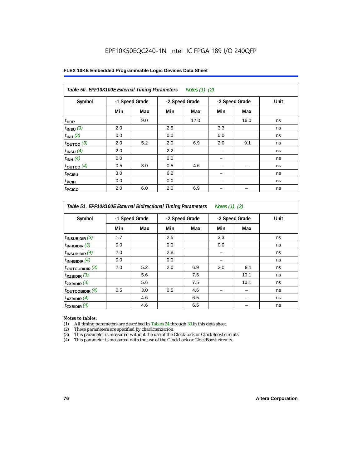| FLEX 10KE Embedded Programmable Logic Devices Data Sheet |  |
|----------------------------------------------------------|--|
|----------------------------------------------------------|--|

| Table 50. EPF10K100E External Timing Parameters Notes (1), (2) |                |     |     |                |     |                |      |  |  |  |
|----------------------------------------------------------------|----------------|-----|-----|----------------|-----|----------------|------|--|--|--|
| Symbol                                                         | -1 Speed Grade |     |     | -2 Speed Grade |     | -3 Speed Grade | Unit |  |  |  |
|                                                                | Min            | Max | Min | Max            | Min | Max            |      |  |  |  |
| t <sub>DRR</sub>                                               |                | 9.0 |     | 12.0           |     | 16.0           | ns   |  |  |  |
| $t_{INSU}$ (3)                                                 | 2.0            |     | 2.5 |                | 3.3 |                | ns   |  |  |  |
| $t_{INH}$ (3)                                                  | 0.0            |     | 0.0 |                | 0.0 |                | ns   |  |  |  |
| $t_{OUTCO}$ (3)                                                | 2.0            | 5.2 | 2.0 | 6.9            | 2.0 | 9.1            | ns   |  |  |  |
| $t_{INSU}$ (4)                                                 | 2.0            |     | 2.2 |                |     |                | ns   |  |  |  |
| $t_{INH}$ (4)                                                  | 0.0            |     | 0.0 |                |     |                | ns   |  |  |  |
| $t_{OUTCO}$ (4)                                                | 0.5            | 3.0 | 0.5 | 4.6            |     |                | ns   |  |  |  |
| t <sub>PCISU</sub>                                             | 3.0            |     | 6.2 |                |     |                | ns   |  |  |  |
| t <sub>PCIH</sub>                                              | 0.0            |     | 0.0 |                |     |                | ns   |  |  |  |
| t <sub>PCICO</sub>                                             | 2.0            | 6.0 | 2.0 | 6.9            |     |                | ns   |  |  |  |

*Table 51. EPF10K100E External Bidirectional Timing Parameters Notes (1), (2)*

| Symbol                      |     | -1 Speed Grade |     | -2 Speed Grade |     | -3 Speed Grade | Unit |
|-----------------------------|-----|----------------|-----|----------------|-----|----------------|------|
|                             | Min | Max            | Min | Max            | Min | Max            |      |
| $t_{INSUBIDIR}$ (3)         | 1.7 |                | 2.5 |                | 3.3 |                | ns   |
| $t_{INHBIDIR}$ (3)          | 0.0 |                | 0.0 |                | 0.0 |                | ns   |
| $t_{INSUBIDIR}(4)$          | 2.0 |                | 2.8 |                |     |                | ns   |
| $t_{INHBIDIR}(4)$           | 0.0 |                | 0.0 |                |     |                | ns   |
| $t_{\text{OUTCOBIDIR}}$ (3) | 2.0 | 5.2            | 2.0 | 6.9            | 2.0 | 9.1            | ns   |
| $t_{XZBIDIR}$ (3)           |     | 5.6            |     | 7.5            |     | 10.1           | ns   |
| $t_{ZXBIDIR}$ (3)           |     | 5.6            |     | 7.5            |     | 10.1           | ns   |
| $t_{\text{OUTCOBIDIR}}$ (4) | 0.5 | 3.0            | 0.5 | 4.6            |     |                | ns   |
| $t_{XZBIDIR}$ (4)           |     | 4.6            |     | 6.5            |     |                | ns   |
| $t_{ZXBIDIR}$ (4)           |     | 4.6            |     | 6.5            |     |                | ns   |

### *Notes to tables:*

(1) All timing parameters are described in Tables 24 through 30 in this data sheet.

(2) These parameters are specified by characterization.

(3) This parameter is measured without the use of the ClockLock or ClockBoost circuits.

(4) This parameter is measured with the use of the ClockLock or ClockBoost circuits.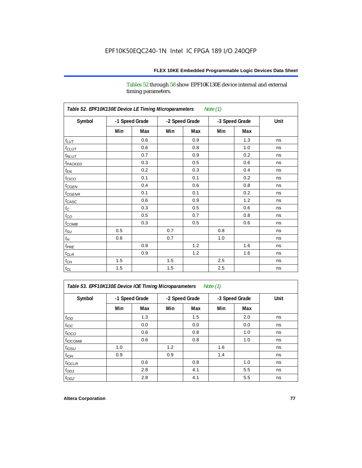Tables 52 through 58 show EPF10K130E device internal and external timing parameters.

| Table 52. EPF10K130E Device LE Timing Microparameters<br><b>Note (1)</b> |     |                |     |                |     |                |      |  |  |
|--------------------------------------------------------------------------|-----|----------------|-----|----------------|-----|----------------|------|--|--|
| Symbol                                                                   |     | -1 Speed Grade |     | -2 Speed Grade |     | -3 Speed Grade | Unit |  |  |
|                                                                          | Min | Max            | Min | Max            | Min | Max            |      |  |  |
| $t_{LUT}$                                                                |     | 0.6            |     | 0.9            |     | 1.3            | ns   |  |  |
| $t_{CLUT}$                                                               |     | 0.6            |     | 0.8            |     | 1.0            | ns   |  |  |
| $t_{RLUT}$                                                               |     | 0.7            |     | 0.9            |     | 0.2            | ns   |  |  |
| t <sub>PACKED</sub>                                                      |     | 0.3            |     | 0.5            |     | 0.6            | ns   |  |  |
| $t_{EN}$                                                                 |     | 0.2            |     | 0.3            |     | 0.4            | ns   |  |  |
| $t_{CICO}$                                                               |     | 0.1            |     | 0.1            |     | 0.2            | ns   |  |  |
| $t_{CGEN}$                                                               |     | 0.4            |     | 0.6            |     | 0.8            | ns   |  |  |
| $t_{\text{CGENR}}$                                                       |     | 0.1            |     | 0.1            |     | 0.2            | ns   |  |  |
| $t_{CASC}$                                                               |     | 0.6            |     | 0.9            |     | 1.2            | ns   |  |  |
| $t_{\rm C}$                                                              |     | 0.3            |     | 0.5            |     | 0.6            | ns   |  |  |
| $t_{CO}$                                                                 |     | 0.5            |     | 0.7            |     | 0.8            | ns   |  |  |
| $t_{\text{COMB}}$                                                        |     | 0.3            |     | 0.5            |     | 0.6            | ns   |  |  |
| $t_{\rm SU}$                                                             | 0.5 |                | 0.7 |                | 0.8 |                | ns   |  |  |
| $t_H$                                                                    | 0.6 |                | 0.7 |                | 1.0 |                | ns   |  |  |
| $t_{PRE}$                                                                |     | 0.9            |     | 1.2            |     | 1.6            | ns   |  |  |
| $t_{CLR}$                                                                |     | 0.9            |     | 1.2            |     | 1.6            | ns   |  |  |
| $t_{CH}$                                                                 | 1.5 |                | 1.5 |                | 2.5 |                | ns   |  |  |
| $t_{\rm CL}$                                                             | 1.5 |                | 1.5 |                | 2.5 |                | ns   |  |  |

*Table 53. EPF10K130E Device IOE Timing Microparameters Note (1)*

| Symbol           |     | -1 Speed Grade |     | -2 Speed Grade |     | -3 Speed Grade | Unit |
|------------------|-----|----------------|-----|----------------|-----|----------------|------|
|                  | Min | Max            | Min | Max            | Min | Max            |      |
| t <sub>IOD</sub> |     | 1.3            |     | 1.5            |     | 2.0            | ns   |
| $t_{\text{IOC}}$ |     | 0.0            |     | 0.0            |     | 0.0            | ns   |
| $t_{IOCO}$       |     | 0.6            |     | 0.8            |     | 1.0            | ns   |
| $t_{IOCOMB}$     |     | 0.6            |     | 0.8            |     | 1.0            | ns   |
| $t_{IOSU}$       | 1.0 |                | 1.2 |                | 1.6 |                | ns   |
| $t_{IOH}$        | 0.9 |                | 0.9 |                | 1.4 |                | ns   |
| $t_{IOCLR}$      |     | 0.6            |     | 0.8            |     | 1.0            | ns   |
| $t_{OD1}$        |     | 2.8            |     | 4.1            |     | 5.5            | ns   |
| $t_{OD2}$        |     | 2.8            |     | 4.1            |     | 5.5            | ns   |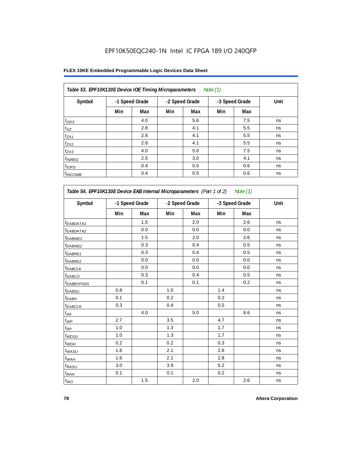## **FLEX 10KE Embedded Programmable Logic Devices Data Sheet**

| Table 53. EPF10K130E Device IOE Timing Microparameters<br>Note $(1)$ |                |     |     |                |     |                |      |  |  |  |  |
|----------------------------------------------------------------------|----------------|-----|-----|----------------|-----|----------------|------|--|--|--|--|
| Symbol                                                               | -1 Speed Grade |     |     | -2 Speed Grade |     | -3 Speed Grade | Unit |  |  |  |  |
|                                                                      | Min            | Max | Min | Max            | Min | Max            |      |  |  |  |  |
| $t_{OD3}$                                                            |                | 4.0 |     | 5.6            |     | 7.5            | ns   |  |  |  |  |
| $t_{XZ}$                                                             |                | 2.8 |     | 4.1            |     | 5.5            | ns   |  |  |  |  |
| $t_{ZX1}$                                                            |                | 2.8 |     | 4.1            |     | 5.5            | ns   |  |  |  |  |
| $t_{ZX2}$                                                            |                | 2.8 |     | 4.1            |     | 5.5            | ns   |  |  |  |  |
| $t_{ZX3}$                                                            |                | 4.0 |     | 5.6            |     | 7.5            | ns   |  |  |  |  |
| $t_{INREG}$                                                          |                | 2.5 |     | 3.0            |     | 4.1            | ns   |  |  |  |  |
| $t_{IOFD}$                                                           |                | 0.4 |     | 0.5            |     | 0.6            | ns   |  |  |  |  |
| $t_{INCOMB}$                                                         |                | 0.4 |     | 0.5            |     | 0.6            | ns   |  |  |  |  |

| Symbol                       |     | -1 Speed Grade |     | -2 Speed Grade |     | -3 Speed Grade |    |
|------------------------------|-----|----------------|-----|----------------|-----|----------------|----|
|                              | Min | Max            | Min | Max            | Min | Max            |    |
| <sup>t</sup> EABDATA1        |     | 1.5            |     | 2.0            |     | 2.6            | ns |
| <sup>t</sup> EABDATA2        |     | 0.0            |     | 0.0            |     | 0.0            | ns |
| t <sub>EABWE1</sub>          |     | 1.5            |     | 2.0            |     | 2.6            | ns |
| <sup>t</sup> EABWE2          |     | 0.3            |     | 0.4            |     | 0.5            | ns |
| t <sub>EABRE1</sub>          |     | 0.3            |     | 0.4            |     | 0.5            | ns |
| t <sub>EABRE2</sub>          |     | 0.0            |     | 0.0            |     | 0.0            | ns |
| $t_{EABCLK}$                 |     | 0.0            |     | 0.0            |     | 0.0            | ns |
| t <sub>EABCO</sub>           |     | 0.3            |     | 0.4            |     | 0.5            | ns |
| t <sub>EABBYPASS</sub>       |     | 0.1            |     | 0.1            |     | 0.2            | ns |
| $t_{EABSU}$                  | 0.8 |                | 1.0 |                | 1.4 |                | ns |
| t <sub>EABH</sub>            | 0.1 |                | 0.2 |                | 0.2 |                | ns |
| <sup>t</sup> EABCLR          | 0.3 |                | 0.4 |                | 0.5 |                | ns |
| $t_{\mathcal{A}\mathcal{A}}$ |     | 4.0            |     | 5.0            |     | 6.6            | ns |
| $t_{\mathcal{WP}}$           | 2.7 |                | 3.5 |                | 4.7 |                | ns |
| $t_{\mathsf{RP}}$            | 1.0 |                | 1.3 |                | 1.7 |                | ns |
| $t_{WDSU}$                   | 1.0 |                | 1.3 |                | 1.7 |                | ns |
| $t_{WDH}$                    | 0.2 |                | 0.2 |                | 0.3 |                | ns |
| $t_{WASU}$                   | 1.6 |                | 2.1 |                | 2.8 |                | ns |
| $t_{WAH}$                    | 1.6 |                | 2.1 |                | 2.8 |                | ns |
| $t_{RASU}$                   | 3.0 |                | 3.9 |                | 5.2 |                | ns |
| $t_{RAH}$                    | 0.1 |                | 0.1 |                | 0.2 |                | ns |
| $t_{WO}$                     |     | $1.5$          |     | 2.0            |     | 2.6            | ns |

'n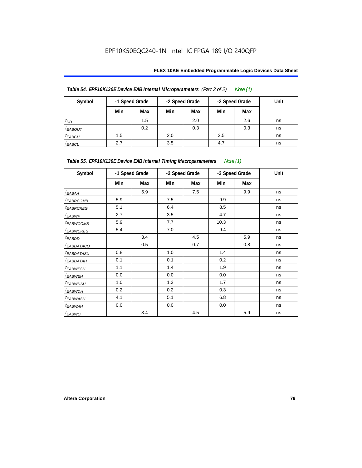| Table 54. EPF10K130E Device EAB Internal Microparameters (Part 2 of 2)<br>Note (1) |                                                    |     |     |     |     |     |      |  |  |  |  |
|------------------------------------------------------------------------------------|----------------------------------------------------|-----|-----|-----|-----|-----|------|--|--|--|--|
| Symbol                                                                             | -1 Speed Grade<br>-2 Speed Grade<br>-3 Speed Grade |     |     |     |     |     | Unit |  |  |  |  |
|                                                                                    | Min                                                | Max | Min | Max | Min | Max |      |  |  |  |  |
| $t_{DD}$                                                                           |                                                    | 1.5 |     | 2.0 |     | 2.6 | ns   |  |  |  |  |
| <b><i>EABOUT</i></b>                                                               |                                                    | 0.2 |     | 0.3 |     | 0.3 | ns   |  |  |  |  |
| $t_{EABCH}$                                                                        | 1.5                                                |     | 2.0 |     | 2.5 |     | ns   |  |  |  |  |
| $t_{EABCL}$                                                                        | 2.7                                                |     | 3.5 |     | 4.7 |     | ns   |  |  |  |  |

| Table 55. EPF10K130E Device EAB Internal Timing Macroparameters Note (1) |     |                |     |                |      |                |             |  |  |
|--------------------------------------------------------------------------|-----|----------------|-----|----------------|------|----------------|-------------|--|--|
| Symbol                                                                   |     | -1 Speed Grade |     | -2 Speed Grade |      | -3 Speed Grade | <b>Unit</b> |  |  |
|                                                                          | Min | Max            | Min | Max            | Min  | Max            |             |  |  |
| $t_{EABA}$                                                               |     | 5.9            |     | 7.5            |      | 9.9            | ns          |  |  |
| <sup>t</sup> EABRCOMB                                                    | 5.9 |                | 7.5 |                | 9.9  |                | ns          |  |  |
| <sup>t</sup> EABRCREG                                                    | 5.1 |                | 6.4 |                | 8.5  |                | ns          |  |  |
| t <sub>EABWP</sub>                                                       | 2.7 |                | 3.5 |                | 4.7  |                | ns          |  |  |
| <sup>t</sup> EABWCOMB                                                    | 5.9 |                | 7.7 |                | 10.3 |                | ns          |  |  |
| <sup>t</sup> EABWCREG                                                    | 5.4 |                | 7.0 |                | 9.4  |                | ns          |  |  |
| <sup>t</sup> EABDD                                                       |     | 3.4            |     | 4.5            |      | 5.9            | ns          |  |  |
| <sup>t</sup> EABDATACO                                                   |     | 0.5            |     | 0.7            |      | 0.8            | ns          |  |  |
| <sup>t</sup> EABDATASU                                                   | 0.8 |                | 1.0 |                | 1.4  |                | ns          |  |  |
| <sup>t</sup> EABDATAH                                                    | 0.1 |                | 0.1 |                | 0.2  |                | ns          |  |  |
| t <sub>EABWESU</sub>                                                     | 1.1 |                | 1.4 |                | 1.9  |                | ns          |  |  |
| <sup>t</sup> EABWEH                                                      | 0.0 |                | 0.0 |                | 0.0  |                | ns          |  |  |
| <sup>t</sup> EABWDSU                                                     | 1.0 |                | 1.3 |                | 1.7  |                | ns          |  |  |
| <sup>t</sup> EABWDH                                                      | 0.2 |                | 0.2 |                | 0.3  |                | ns          |  |  |
| <sup>t</sup> EABWASU                                                     | 4.1 |                | 5.1 |                | 6.8  |                | ns          |  |  |
| <sup>t</sup> EABWAH                                                      | 0.0 |                | 0.0 |                | 0.0  |                | ns          |  |  |
| t <sub>EABWO</sub>                                                       |     | 3.4            |     | 4.5            |      | 5.9            | ns          |  |  |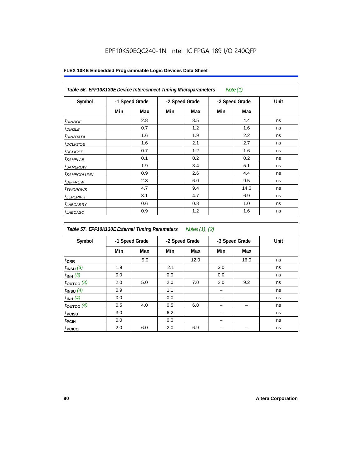| Table 56. EPF10K130E Device Interconnect Timing Microparameters<br>Note $(1)$ |                |     |                |     |                |      |      |  |  |  |
|-------------------------------------------------------------------------------|----------------|-----|----------------|-----|----------------|------|------|--|--|--|
| Symbol                                                                        | -1 Speed Grade |     | -2 Speed Grade |     | -3 Speed Grade |      | Unit |  |  |  |
|                                                                               | Min            | Max | Min            | Max | Min            | Max  |      |  |  |  |
| $t_{DIN2IOE}$                                                                 |                | 2.8 |                | 3.5 |                | 4.4  | ns   |  |  |  |
| $t_{DIN2LE}$                                                                  |                | 0.7 |                | 1.2 |                | 1.6  | ns   |  |  |  |
| <sup>t</sup> DIN2DATA                                                         |                | 1.6 |                | 1.9 |                | 2.2  | ns   |  |  |  |
| $t_{DCLK2IOE}$                                                                |                | 1.6 |                | 2.1 |                | 2.7  | ns   |  |  |  |
| <sup>t</sup> DCLK2LE                                                          |                | 0.7 |                | 1.2 |                | 1.6  | ns   |  |  |  |
| <sup>t</sup> SAMELAB                                                          |                | 0.1 |                | 0.2 |                | 0.2  | ns   |  |  |  |
| <sup>t</sup> SAMEROW                                                          |                | 1.9 |                | 3.4 |                | 5.1  | ns   |  |  |  |
| <sup>t</sup> SAMECOLUMN                                                       |                | 0.9 |                | 2.6 |                | 4.4  | ns   |  |  |  |
| <i>t<sub>DIFFROW</sub></i>                                                    |                | 2.8 |                | 6.0 |                | 9.5  | ns   |  |  |  |
| <sup>t</sup> TWOROWS                                                          |                | 4.7 |                | 9.4 |                | 14.6 | ns   |  |  |  |
| <sup>t</sup> LEPERIPH                                                         |                | 3.1 |                | 4.7 |                | 6.9  | ns   |  |  |  |
| <sup>t</sup> LABCARRY                                                         |                | 0.6 |                | 0.8 |                | 1.0  | ns   |  |  |  |
| t <sub>LABCASC</sub>                                                          |                | 0.9 |                | 1.2 |                | 1.6  | ns   |  |  |  |

| Table 57. EPF10K130E External Timing Parameters Notes (1), (2) |                |     |     |                |     |                |      |  |  |  |
|----------------------------------------------------------------|----------------|-----|-----|----------------|-----|----------------|------|--|--|--|
| Symbol                                                         | -1 Speed Grade |     |     | -2 Speed Grade |     | -3 Speed Grade | Unit |  |  |  |
|                                                                | Min            | Max | Min | Max            | Min | Max            |      |  |  |  |
| t <sub>DRR</sub>                                               |                | 9.0 |     | 12.0           |     | 16.0           | ns   |  |  |  |
| $t_{INSU}$ (3)                                                 | 1.9            |     | 2.1 |                | 3.0 |                | ns   |  |  |  |
| $t_{INH}$ (3)                                                  | 0.0            |     | 0.0 |                | 0.0 |                | ns   |  |  |  |
| $t_{OUTCO}$ (3)                                                | 2.0            | 5.0 | 2.0 | 7.0            | 2.0 | 9.2            | ns   |  |  |  |
| $t_{INSU}$ (4)                                                 | 0.9            |     | 1.1 |                |     |                | ns   |  |  |  |
| $t_{INH}$ (4)                                                  | 0.0            |     | 0.0 |                |     |                | ns   |  |  |  |
| toutco $(4)$                                                   | 0.5            | 4.0 | 0.5 | 6.0            |     |                | ns   |  |  |  |
| t <sub>PCISU</sub>                                             | 3.0            |     | 6.2 |                |     |                | ns   |  |  |  |
| <sup>t</sup> PCIH                                              | 0.0            |     | 0.0 |                |     |                | ns   |  |  |  |
| t <sub>PCICO</sub>                                             | 2.0            | 6.0 | 2.0 | 6.9            |     |                | ns   |  |  |  |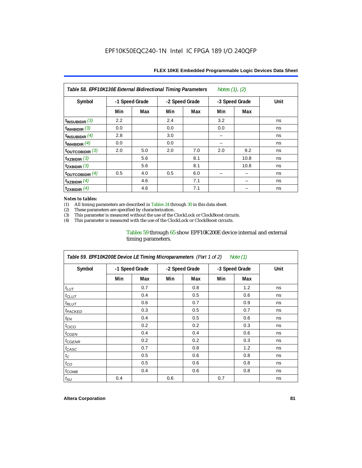| Table 58. EPF10K130E External Bidirectional Timing Parameters<br>Notes (1), (2) |                |     |                |     |                |      |      |  |  |  |
|---------------------------------------------------------------------------------|----------------|-----|----------------|-----|----------------|------|------|--|--|--|
| Symbol                                                                          | -1 Speed Grade |     | -2 Speed Grade |     | -3 Speed Grade |      | Unit |  |  |  |
|                                                                                 | Min            | Max | Min            | Max | Min            | Max  |      |  |  |  |
| $t_{INSUBIDIR}$ (3)                                                             | 2.2            |     | 2.4            |     | 3.2            |      | ns   |  |  |  |
| $\mathsf{t}_{\mathsf{INHBIDIR}}(3)$                                             | 0.0            |     | 0.0            |     | 0.0            |      | ns   |  |  |  |
| $\mathsf{t}_{\mathsf{INSUBIDIR}}$ (4)                                           | 2.8            |     | 3.0            |     |                |      | ns   |  |  |  |
| $t_{INHBIDIR}$ $(4)$                                                            | 0.0            |     | 0.0            |     |                |      | ns   |  |  |  |
| $\frac{1}{2}$ toutcobidir $\frac{3}{2}$                                         | 2.0            | 5.0 | 2.0            | 7.0 | 2.0            | 9.2  | ns   |  |  |  |
| $\mathsf{t}_{\mathsf{XZBIDIR}}$ (3)                                             |                | 5.6 |                | 8.1 |                | 10.8 | ns   |  |  |  |
| $\mathsf{t}_{\mathsf{ZXBIDIR}}(3)$                                              |                | 5.6 |                | 8.1 |                | 10.8 | ns   |  |  |  |
| toutcobidir $(4)$                                                               | 0.5            | 4.0 | 0.5            | 6.0 |                |      | ns   |  |  |  |
| $t_{XZBIDIR}$ $(4)$                                                             |                | 4.6 |                | 7.1 |                |      | ns   |  |  |  |
| $\mathsf{t}_{\mathsf{ZXBIDIR}}$ (4)                                             |                | 4.6 |                | 7.1 |                |      | ns   |  |  |  |

### *Notes to tables:*

(1) All timing parameters are described in Tables 24 through 30 in this data sheet.<br>(2) These parameters are specified by characterization.

(2) These parameters are specified by characterization.<br>
(3) This parameter is measured without the use of the C

This parameter is measured without the use of the ClockLock or ClockBoost circuits.

(4) This parameter is measured with the use of the ClockLock or ClockBoost circuits.

## Tables 59 through 65 show EPF10K200E device internal and external timing parameters.

| Table 59. EPF10K200E Device LE Timing Microparameters (Part 1 of 2) Note (1) |                |     |     |                |                |     |      |  |  |  |
|------------------------------------------------------------------------------|----------------|-----|-----|----------------|----------------|-----|------|--|--|--|
| Symbol                                                                       | -1 Speed Grade |     |     | -2 Speed Grade | -3 Speed Grade |     | Unit |  |  |  |
|                                                                              | Min            | Max | Min | Max            | Min            | Max |      |  |  |  |
| $t_{LUT}$                                                                    |                | 0.7 |     | 0.8            |                | 1.2 | ns   |  |  |  |
| $t_{CLUT}$                                                                   |                | 0.4 |     | 0.5            |                | 0.6 | ns   |  |  |  |
| $t_{RLUT}$                                                                   |                | 0.6 |     | 0.7            |                | 0.9 | ns   |  |  |  |
| <sup>t</sup> PACKED                                                          |                | 0.3 |     | 0.5            |                | 0.7 | ns   |  |  |  |
| $t_{EN}$                                                                     |                | 0.4 |     | 0.5            |                | 0.6 | ns   |  |  |  |
| $t_{CICO}$                                                                   |                | 0.2 |     | 0.2            |                | 0.3 | ns   |  |  |  |
| $t_{GEN}$                                                                    |                | 0.4 |     | 0.4            |                | 0.6 | ns   |  |  |  |
| <sup>t</sup> CGENR                                                           |                | 0.2 |     | 0.2            |                | 0.3 | ns   |  |  |  |
| $t_{CASC}$                                                                   |                | 0.7 |     | 0.8            |                | 1.2 | ns   |  |  |  |
| $t_{\rm C}$                                                                  |                | 0.5 |     | 0.6            |                | 0.8 | ns   |  |  |  |
| $t_{CO}$                                                                     |                | 0.5 |     | 0.6            |                | 0.8 | ns   |  |  |  |
| $t_{COMB}$                                                                   |                | 0.4 |     | 0.6            |                | 0.8 | ns   |  |  |  |
| $t_{\text{SU}}$                                                              | 0.4            |     | 0.6 |                | 0.7            |     | ns   |  |  |  |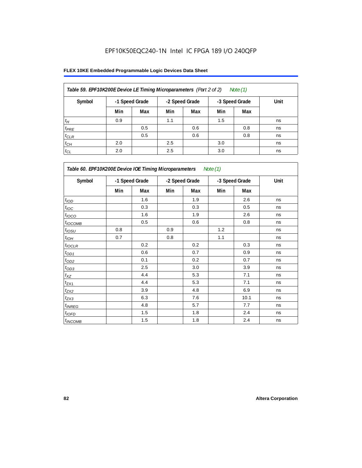| Table 59. EPF10K200E Device LE Timing Microparameters (Part 2 of 2) |                |     |                |     |                | Note $(1)$ |      |
|---------------------------------------------------------------------|----------------|-----|----------------|-----|----------------|------------|------|
| Symbol                                                              | -1 Speed Grade |     | -2 Speed Grade |     | -3 Speed Grade |            | Unit |
|                                                                     | Min            | Max | Min            | Max | Min            | Max        |      |
| $t_H$                                                               | 0.9            |     | 1.1            |     | 1.5            |            | ns   |
| $t_{PRE}$                                                           |                | 0.5 |                | 0.6 |                | 0.8        | ns   |
| $t_{CLR}$                                                           |                | 0.5 |                | 0.6 |                | 0.8        | ns   |
| $t_{CH}$                                                            | 2.0            |     | 2.5            |     | 3.0            |            | ns   |
| $t_{CL}$                                                            | 2.0            |     | 2.5            |     | 3.0            |            | ns   |

| Table 60. EPF10K200E Device IOE Timing Microparameters<br>Note (1) |                |       |                |     |                |      |      |  |  |  |
|--------------------------------------------------------------------|----------------|-------|----------------|-----|----------------|------|------|--|--|--|
| Symbol                                                             | -1 Speed Grade |       | -2 Speed Grade |     | -3 Speed Grade |      | Unit |  |  |  |
|                                                                    | Min            | Max   | Min            | Max | Min            | Max  |      |  |  |  |
| $t_{\rm IOD}$                                                      |                | 1.6   |                | 1.9 |                | 2.6  | ns   |  |  |  |
| $t_{\text{IOC}}$                                                   |                | 0.3   |                | 0.3 |                | 0.5  | ns   |  |  |  |
| t <sub>IOCO</sub>                                                  |                | 1.6   |                | 1.9 |                | 2.6  | ns   |  |  |  |
| $t_{IOCOMB}$                                                       |                | 0.5   |                | 0.6 |                | 0.8  | ns   |  |  |  |
| $t_{IOSU}$                                                         | 0.8            |       | 0.9            |     | 1.2            |      | ns   |  |  |  |
| $t_{IOH}$                                                          | 0.7            |       | 0.8            |     | 1.1            |      | ns   |  |  |  |
| $t_{IOCLR}$                                                        |                | 0.2   |                | 0.2 |                | 0.3  | ns   |  |  |  |
| $t_{OD1}$                                                          |                | 0.6   |                | 0.7 |                | 0.9  | ns   |  |  |  |
| $t_{OD2}$                                                          |                | 0.1   |                | 0.2 |                | 0.7  | ns   |  |  |  |
| $t_{\underline{OD3}}$                                              |                | 2.5   |                | 3.0 |                | 3.9  | ns   |  |  |  |
| $t_{\mathsf{XZ}}$                                                  |                | 4.4   |                | 5.3 |                | 7.1  | ns   |  |  |  |
| $t_{ZX1}$                                                          |                | 4.4   |                | 5.3 |                | 7.1  | ns   |  |  |  |
| $t_{ZX2}$                                                          |                | 3.9   |                | 4.8 |                | 6.9  | ns   |  |  |  |
| $t_{ZX3}$                                                          |                | 6.3   |                | 7.6 |                | 10.1 | ns   |  |  |  |
| $t_{INREG}$                                                        |                | 4.8   |                | 5.7 |                | 7.7  | ns   |  |  |  |
| $t_{IOFD}$                                                         |                | 1.5   |                | 1.8 |                | 2.4  | ns   |  |  |  |
| $t_{INCOMB}$                                                       |                | $1.5$ |                | 1.8 |                | 2.4  | ns   |  |  |  |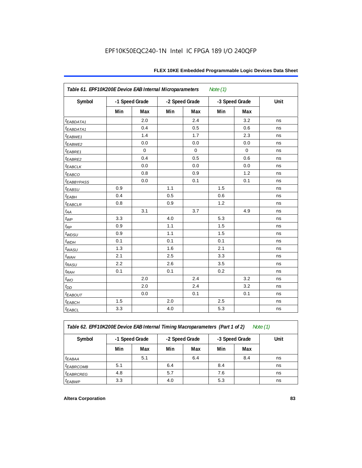| Symbol                 | -1 Speed Grade |             |     | -2 Speed Grade |     | -3 Speed Grade | Unit |
|------------------------|----------------|-------------|-----|----------------|-----|----------------|------|
|                        | Min            | Max         | Min | Max            | Min | Max            |      |
| t <sub>EABDATA1</sub>  |                | 2.0         |     | 2.4            |     | 3.2            | ns   |
| <sup>t</sup> EABDATA1  |                | 0.4         |     | 0.5            |     | 0.6            | ns   |
| t <sub>EABWE1</sub>    |                | 1.4         |     | 1.7            |     | 2.3            | ns   |
| t <sub>EABWE2</sub>    |                | 0.0         |     | 0.0            |     | 0.0            | ns   |
| t <sub>EABRE1</sub>    |                | $\mathbf 0$ |     | $\mathbf 0$    |     | $\mathbf 0$    | ns   |
| t <sub>EABRE2</sub>    |                | 0.4         |     | 0.5            |     | 0.6            | ns   |
| $t_{EABCLK}$           |                | 0.0         |     | 0.0            |     | 0.0            | ns   |
| t <sub>EABCO</sub>     |                | 0.8         |     | 0.9            |     | 1.2            | ns   |
| t <sub>EABBYPASS</sub> |                | 0.0         |     | 0.1            |     | 0.1            | ns   |
| t <sub>EABSU</sub>     | 0.9            |             | 1.1 |                | 1.5 |                | ns   |
| t <sub>EABH</sub>      | 0.4            |             | 0.5 |                | 0.6 |                | ns   |
| t <sub>EABCLR</sub>    | 0.8            |             | 0.9 |                | 1.2 |                | ns   |
| $t_{AA}$               |                | 3.1         |     | 3.7            |     | 4.9            | ns   |
| $t_{WP}$               | 3.3            |             | 4.0 |                | 5.3 |                | ns   |
| $t_{RP}$               | 0.9            |             | 1.1 |                | 1.5 |                | ns   |
| t <sub>WDSU</sub>      | 0.9            |             | 1.1 |                | 1.5 |                | ns   |
| $t_{WDH}$              | 0.1            |             | 0.1 |                | 0.1 |                | ns   |
| t <sub>WASU</sub>      | 1.3            |             | 1.6 |                | 2.1 |                | ns   |
| $t_{WAH}$              | 2.1            |             | 2.5 |                | 3.3 |                | ns   |
| $t_{\mathsf{RASU}}$    | 2.2            |             | 2.6 |                | 3.5 |                | ns   |
| $t_{\mathsf{RAH}}$     | 0.1            |             | 0.1 |                | 0.2 |                | ns   |
| $t_{WO}$               |                | 2.0         |     | 2.4            |     | 3.2            | ns   |
| $t_{DD}$               |                | 2.0         |     | 2.4            |     | 3.2            | ns   |
| t <sub>ЕАВОUТ</sub>    |                | 0.0         |     | 0.1            |     | 0.1            | ns   |
|                        |                |             |     |                |     |                |      |

*Table 62. EPF10K200E Device EAB Internal Timing Macroparameters (Part 1 of 2) Note (1)*

tEABCH 1.5 2.0 2.5 ns  $t_{EABCL}$  | 3.3 | | 4.0 | | 5.3 | | | ns

| Symbol                |     | -1 Speed Grade | -2 Speed Grade<br>-3 Speed Grade |     |     |     | Unit |  |
|-----------------------|-----|----------------|----------------------------------|-----|-----|-----|------|--|
|                       | Min | Max            | Min                              | Max | Min | Max |      |  |
| <sup>t</sup> EABAA    |     | 5.1            |                                  | 6.4 |     | 8.4 | ns   |  |
| <sup>t</sup> EABRCOMB | 5.1 |                | 6.4                              |     | 8.4 |     | ns   |  |
| <sup>t</sup> EABRCREG | 4.8 |                | 5.7                              |     | 7.6 |     | ns   |  |
| <sup>t</sup> EABWP    | 3.3 |                | 4.0                              |     | 5.3 |     | ns   |  |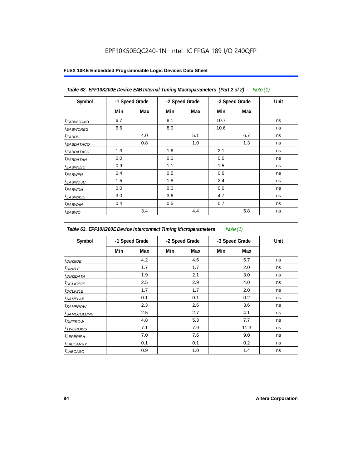| Table 62. EPF10K200E Device EAB Internal Timing Macroparameters (Part 2 of 2)<br>Note $(1)$ |     |                |     |                |      |                |      |  |  |
|---------------------------------------------------------------------------------------------|-----|----------------|-----|----------------|------|----------------|------|--|--|
| Symbol                                                                                      |     | -1 Speed Grade |     | -2 Speed Grade |      | -3 Speed Grade | Unit |  |  |
|                                                                                             | Min | Max            | Min | Max            | Min  | Max            |      |  |  |
| <sup>t</sup> EABWCOMB                                                                       | 6.7 |                | 8.1 |                | 10.7 |                | ns   |  |  |
| <sup>t</sup> EABWCREG                                                                       | 6.6 |                | 8.0 |                | 10.6 |                | ns   |  |  |
| <sup>t</sup> EABDD                                                                          |     | 4.0            |     | 5.1            |      | 6.7            | ns   |  |  |
| <sup>t</sup> EABDATACO                                                                      |     | 0.8            |     | 1.0            |      | 1.3            | ns   |  |  |
| <sup>t</sup> EABDATASU                                                                      | 1.3 |                | 1.6 |                | 2.1  |                | ns   |  |  |
| <sup>t</sup> EABDATAH                                                                       | 0.0 |                | 0.0 |                | 0.0  |                | ns   |  |  |
| <sup>t</sup> EABWESU                                                                        | 0.9 |                | 1.1 |                | 1.5  |                | ns   |  |  |
| $t_{EABWEH}$                                                                                | 0.4 |                | 0.5 |                | 0.6  |                | ns   |  |  |
| <sup>t</sup> EABWDSU                                                                        | 1.5 |                | 1.8 |                | 2.4  |                | ns   |  |  |
| <sup>t</sup> EABWDH                                                                         | 0.0 |                | 0.0 |                | 0.0  |                | ns   |  |  |
| <sup>t</sup> EABWASU                                                                        | 3.0 |                | 3.6 |                | 4.7  |                | ns   |  |  |
| <sup>t</sup> EABWAH                                                                         | 0.4 |                | 0.5 |                | 0.7  |                | ns   |  |  |
| $t_{EABWO}$                                                                                 |     | 3.4            |     | 4.4            |      | 5.8            | ns   |  |  |

| Table 63. EPF10K200E Device Interconnect Timing Microparameters<br>Note $(1)$ |                |     |                |     |                |      |      |  |  |
|-------------------------------------------------------------------------------|----------------|-----|----------------|-----|----------------|------|------|--|--|
| Symbol                                                                        | -1 Speed Grade |     | -2 Speed Grade |     | -3 Speed Grade |      | Unit |  |  |
|                                                                               | Min            | Max | Min            | Max | Min            | Max  |      |  |  |
| $t_{DIN2IOE}$                                                                 |                | 4.2 |                | 4.6 |                | 5.7  | ns   |  |  |
| $t_{DIN2LE}$                                                                  |                | 1.7 |                | 1.7 |                | 2.0  | ns   |  |  |
| <sup>t</sup> DIN2DATA                                                         |                | 1.9 |                | 2.1 |                | 3.0  | ns   |  |  |
| <sup>t</sup> DCLK2IOE                                                         |                | 2.5 |                | 2.9 |                | 4.0  | ns   |  |  |
| <sup>t</sup> DCLK2LE                                                          |                | 1.7 |                | 1.7 |                | 2.0  | ns   |  |  |
| <sup>t</sup> SAMELAB                                                          |                | 0.1 |                | 0.1 |                | 0.2  | ns   |  |  |
| <sup>t</sup> SAMEROW                                                          |                | 2.3 |                | 2.6 |                | 3.6  | ns   |  |  |
| <sup>t</sup> SAMECOLUMN                                                       |                | 2.5 |                | 2.7 |                | 4.1  | ns   |  |  |
| <sup>t</sup> DIFFROW                                                          |                | 4.8 |                | 5.3 |                | 7.7  | ns   |  |  |
| t <sub>TWOROWS</sub>                                                          |                | 7.1 |                | 7.9 |                | 11.3 | ns   |  |  |
| $t_{LEPERIPH}$                                                                |                | 7.0 |                | 7.6 |                | 9.0  | ns   |  |  |
| <sup>t</sup> LABCARRY                                                         |                | 0.1 |                | 0.1 |                | 0.2  | ns   |  |  |
| <sup>t</sup> LABCASC                                                          |                | 0.9 |                | 1.0 |                | 1.4  | ns   |  |  |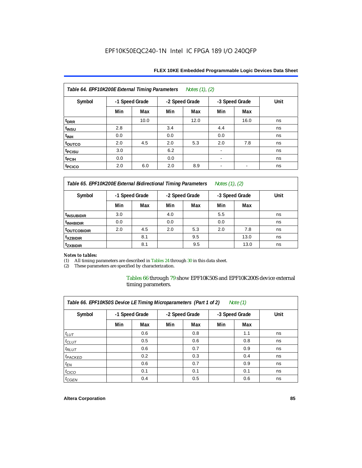| Notes (1), (2)<br>Table 64. EPF10K200E External Timing Parameters |                |      |     |                |     |                          |      |  |  |
|-------------------------------------------------------------------|----------------|------|-----|----------------|-----|--------------------------|------|--|--|
| Symbol                                                            | -1 Speed Grade |      |     | -2 Speed Grade |     | -3 Speed Grade           | Unit |  |  |
|                                                                   | Min            | Max  | Min | Max            | Min | Max                      |      |  |  |
| t <sub>DRR</sub>                                                  |                | 10.0 |     | 12.0           |     | 16.0                     | ns   |  |  |
| t <sub>INSU</sub>                                                 | 2.8            |      | 3.4 |                | 4.4 |                          | ns   |  |  |
| $t_{\text{INH}}$                                                  | 0.0            |      | 0.0 |                | 0.0 |                          | ns   |  |  |
| toutco                                                            | 2.0            | 4.5  | 2.0 | 5.3            | 2.0 | 7.8                      | ns   |  |  |
| <sup>t</sup> PCISU                                                | 3.0            |      | 6.2 |                |     |                          | ns   |  |  |
| t <sub>PCIH</sub>                                                 | 0.0            |      | 0.0 |                |     |                          | ns   |  |  |
| t <sub>PCICO</sub>                                                | 2.0            | 6.0  | 2.0 | 8.9            | -   | $\overline{\phantom{a}}$ | ns   |  |  |

*Table 65. EPF10K200E External Bidirectional Timing Parameters Notes (1), (2)*

| Symbol                  | -1 Speed Grade |     |     | -2 Speed Grade |     | -3 Speed Grade | Unit |  |
|-------------------------|----------------|-----|-----|----------------|-----|----------------|------|--|
|                         | Min            | Max | Min | Max            | Min | Max            |      |  |
| <sup>t</sup> INSUBIDIR  | 3.0            |     | 4.0 |                | 5.5 |                | ns   |  |
| <sup>t</sup> INHBIDIR   | 0.0            |     | 0.0 |                | 0.0 |                | ns   |  |
| <sup>T</sup> OUTCOBIDIR | 2.0            | 4.5 | 2.0 | 5.3            | 2.0 | 7.8            | ns   |  |
| <sup>t</sup> xzbidir    |                | 8.1 |     | 9.5            |     | 13.0           | ns   |  |
| <sup>t</sup> zxbidir    |                | 8.1 |     | 9.5            |     | 13.0           | ns   |  |

# *Notes to tables:*

(1) All timing parameters are described in Tables 24 through 30 in this data sheet.<br>(2) These parameters are specified by characterization.

These parameters are specified by characterization.

Tables 66 through 79 show EPF10K50S and EPF10K200S device external timing parameters.

| Table 66. EPF10K50S Device LE Timing Microparameters (Part 1 of 2)<br>Note $(1)$ |     |                |     |                |     |                |      |  |  |
|----------------------------------------------------------------------------------|-----|----------------|-----|----------------|-----|----------------|------|--|--|
| Symbol                                                                           |     | -1 Speed Grade |     | -2 Speed Grade |     | -3 Speed Grade | Unit |  |  |
|                                                                                  | Min | Max            | Min | Max            | Min | Max            |      |  |  |
| $t_{LUT}$                                                                        |     | 0.6            |     | 0.8            |     | 1.1            | ns   |  |  |
| $t_{CLUT}$                                                                       |     | 0.5            |     | 0.6            |     | 0.8            | ns   |  |  |
| $t_{RLUT}$                                                                       |     | 0.6            |     | 0.7            |     | 0.9            | ns   |  |  |
| <sup>t</sup> PACKED                                                              |     | 0.2            |     | 0.3            |     | 0.4            | ns   |  |  |
| $t_{EN}$                                                                         |     | 0.6            |     | 0.7            |     | 0.9            | ns   |  |  |
| $t_{CICO}$                                                                       |     | 0.1            |     | 0.1            |     | 0.1            | ns   |  |  |
| $t_{GEN}$                                                                        |     | 0.4            |     | 0.5            |     | 0.6            | ns   |  |  |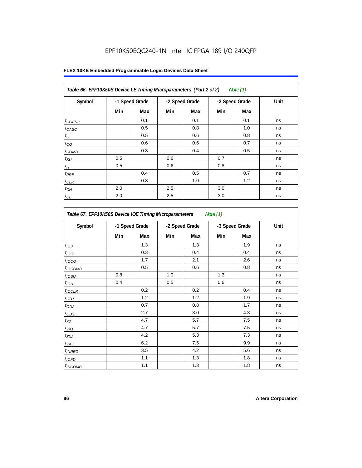| Table 66. EPF10K50S Device LE Timing Microparameters (Part 2 of 2)<br>Note (1) |                |     |     |                |     |                |      |  |
|--------------------------------------------------------------------------------|----------------|-----|-----|----------------|-----|----------------|------|--|
| Symbol                                                                         | -1 Speed Grade |     |     | -2 Speed Grade |     | -3 Speed Grade | Unit |  |
|                                                                                | Min            | Max | Min | Max            | Min | Max            |      |  |
| $t_{CGENR}$                                                                    |                | 0.1 |     | 0.1            |     | 0.1            | ns   |  |
| $t_{CASC}$                                                                     |                | 0.5 |     | 0.8            |     | 1.0            | ns   |  |
| $t_C$                                                                          |                | 0.5 |     | 0.6            |     | 0.8            | ns   |  |
| $t_{CO}$                                                                       |                | 0.6 |     | 0.6            |     | 0.7            | ns   |  |
| $t_{COMB}$                                                                     |                | 0.3 |     | 0.4            |     | 0.5            | ns   |  |
| $t_{\text{SU}}$                                                                | 0.5            |     | 0.6 |                | 0.7 |                | ns   |  |
| $t_H\,$                                                                        | 0.5            |     | 0.6 |                | 0.8 |                | ns   |  |
| $t_{PRE}$                                                                      |                | 0.4 |     | 0.5            |     | 0.7            | ns   |  |
| $t_{CLR}$                                                                      |                | 0.8 |     | 1.0            |     | 1.2            | ns   |  |
| $t_{\mathit{CH}}$                                                              | 2.0            |     | 2.5 |                | 3.0 |                | ns   |  |
| $t_{CL}$                                                                       | 2.0            |     | 2.5 |                | 3.0 |                | ns   |  |

| Table 67. EPF10K50S Device IOE Timing Microparameters<br>Note (1) |     |                |     |                |     |                |      |  |  |
|-------------------------------------------------------------------|-----|----------------|-----|----------------|-----|----------------|------|--|--|
| Symbol                                                            |     | -1 Speed Grade |     | -2 Speed Grade |     | -3 Speed Grade | Unit |  |  |
|                                                                   | Min | Max            | Min | Max            | Min | Max            |      |  |  |
| t <sub>IOD</sub>                                                  |     | 1.3            |     | 1.3            |     | 1.9            | ns   |  |  |
| $t_{\text{IOC}}$                                                  |     | 0.3            |     | 0.4            |     | 0.4            | ns   |  |  |
| t <sub>IOCO</sub>                                                 |     | 1.7            |     | 2.1            |     | 2.6            | ns   |  |  |
| $t_{IOCOMB}$                                                      |     | 0.5            |     | 0.6            |     | 0.8            | ns   |  |  |
| t <sub>iosu</sub>                                                 | 0.8 |                | 1.0 |                | 1.3 |                | ns   |  |  |
| $t_{IOM}$                                                         | 0.4 |                | 0.5 |                | 0.6 |                | ns   |  |  |
| $t_{IOCLR}$                                                       |     | 0.2            |     | 0.2            |     | 0.4            | ns   |  |  |
| $t_{OD1}$                                                         |     | 1.2            |     | 1.2            |     | 1.9            | ns   |  |  |
| $t_{OD2}$                                                         |     | 0.7            |     | 0.8            |     | 1.7            | ns   |  |  |
| $t_{OD3}$                                                         |     | 2.7            |     | 3.0            |     | 4.3            | ns   |  |  |
| $t_{\mathsf{XZ}}$                                                 |     | 4.7            |     | 5.7            |     | 7.5            | ns   |  |  |
| $t_{ZX1}$                                                         |     | 4.7            |     | 5.7            |     | 7.5            | ns   |  |  |
| $t_{ZX2}$                                                         |     | 4.2            |     | 5.3            |     | 7.3            | ns   |  |  |
| $t_{ZX3}$                                                         |     | 6.2            |     | 7.5            |     | 9.9            | ns   |  |  |
| <i>t</i> <sub>INREG</sub>                                         |     | 3.5            |     | 4.2            |     | 5.6            | ns   |  |  |
| $t_{IOFD}$                                                        |     | 1.1            |     | 1.3            |     | 1.8            | ns   |  |  |
| $t_{INCOMB}$                                                      |     | 1.1            |     | 1.3            |     | 1.8            | ns   |  |  |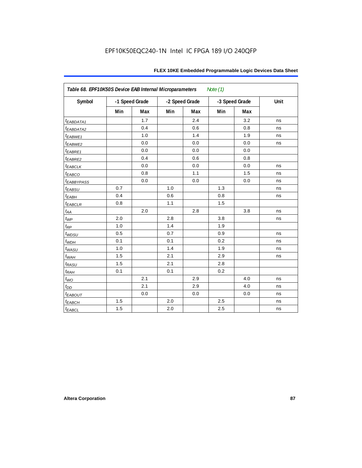| FLEX 10KE Embedded Programmable Logic Devices Data Sheet |  |
|----------------------------------------------------------|--|
|----------------------------------------------------------|--|

| Table 68. EPF10K50S Device EAB Internal Microparameters<br>Note $(1)$ |     |                |                |     |     |                |      |  |  |
|-----------------------------------------------------------------------|-----|----------------|----------------|-----|-----|----------------|------|--|--|
| Symbol                                                                |     | -1 Speed Grade | -2 Speed Grade |     |     | -3 Speed Grade | Unit |  |  |
|                                                                       | Min | Max            | Min            | Max | Min | Max            |      |  |  |
| <i>EABDATA1</i>                                                       |     | 1.7            |                | 2.4 |     | 3.2            | ns   |  |  |
| t <sub>EABDATA2</sub>                                                 |     | 0.4            |                | 0.6 |     | 0.8            | ns   |  |  |
| t <sub>EABWE1</sub>                                                   |     | 1.0            |                | 1.4 |     | 1.9            | ns   |  |  |
| t <sub>EABWE2</sub>                                                   |     | 0.0            |                | 0.0 |     | 0.0            | ns   |  |  |
| t <sub>EABRE1</sub>                                                   |     | 0.0            |                | 0.0 |     | 0.0            |      |  |  |
| t <sub>EABRE2</sub>                                                   |     | 0.4            |                | 0.6 |     | 0.8            |      |  |  |
| $t_{EABCLK}$                                                          |     | 0.0            |                | 0.0 |     | 0.0            | ns   |  |  |
| t <sub>EABCO</sub>                                                    |     | 0.8            |                | 1.1 |     | 1.5            | ns   |  |  |
| <b><i>EABBYPASS</i></b>                                               |     | 0.0            |                | 0.0 |     | 0.0            | ns   |  |  |
| $t_{EABSU}$                                                           | 0.7 |                | 1.0            |     | 1.3 |                | ns   |  |  |
| t <sub>EABH</sub>                                                     | 0.4 |                | 0.6            |     | 0.8 |                | ns   |  |  |
| $t_{EABCLR}$                                                          | 0.8 |                | 1.1            |     | 1.5 |                |      |  |  |
| $t_{\mathit{AA}}$                                                     |     | 2.0            |                | 2.8 |     | 3.8            | ns   |  |  |
| $t_{WP}$                                                              | 2.0 |                | 2.8            |     | 3.8 |                | ns   |  |  |
| $t_{\!R\!P}$                                                          | 1.0 |                | 1.4            |     | 1.9 |                |      |  |  |
| $t_{WDSU}$                                                            | 0.5 |                | 0.7            |     | 0.9 |                | ns   |  |  |
| $t_{WDH}$                                                             | 0.1 |                | 0.1            |     | 0.2 |                | ns   |  |  |
| $t_{WASU}$                                                            | 1.0 |                | 1.4            |     | 1.9 |                | ns   |  |  |
| $t_{WAH}$                                                             | 1.5 |                | 2.1            |     | 2.9 |                | ns   |  |  |
| $t_{RASU}$                                                            | 1.5 |                | 2.1            |     | 2.8 |                |      |  |  |
| $t_{RAH}$                                                             | 0.1 |                | 0.1            |     | 0.2 |                |      |  |  |
| $t_{WO}$                                                              |     | 2.1            |                | 2.9 |     | 4.0            | ns   |  |  |
| $t_{DD}$                                                              |     | 2.1            |                | 2.9 |     | 4.0            | ns   |  |  |
| $t_{EABOUT}$                                                          |     | 0.0            |                | 0.0 |     | 0.0            | ns   |  |  |
| $t_{EABCH}$                                                           | 1.5 |                | 2.0            |     | 2.5 |                | ns   |  |  |
| $t_{EABCL}$                                                           | 1.5 |                | 2.0            |     | 2.5 |                | ns   |  |  |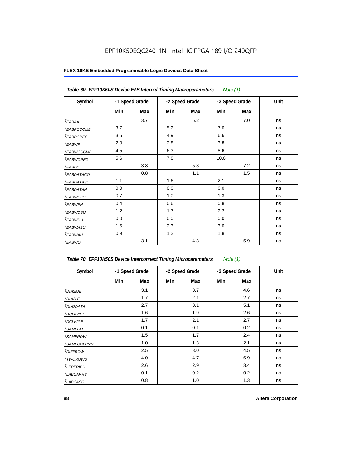| Table 69. EPF10K50S Device EAB Internal Timing Macroparameters |     |                |     |                | Note $(1)$ |                |      |
|----------------------------------------------------------------|-----|----------------|-----|----------------|------------|----------------|------|
| Symbol                                                         |     | -1 Speed Grade |     | -2 Speed Grade |            | -3 Speed Grade | Unit |
|                                                                | Min | Max            | Min | Max            | Min        | Max            |      |
| <sup>t</sup> EABAA                                             |     | 3.7            |     | 5.2            |            | 7.0            | ns   |
| <sup>t</sup> EABRCCOMB                                         | 3.7 |                | 5.2 |                | 7.0        |                | ns   |
| <sup>t</sup> EABRCREG                                          | 3.5 |                | 4.9 |                | 6.6        |                | ns   |
| <sup>t</sup> EABWP                                             | 2.0 |                | 2.8 |                | 3.8        |                | ns   |
| <sup>t</sup> ЕАВWССОМВ                                         | 4.5 |                | 6.3 |                | 8.6        |                | ns   |
| <sup>t</sup> EABWCREG                                          | 5.6 |                | 7.8 |                | 10.6       |                | ns   |
| $t_{EABDD}$                                                    |     | 3.8            |     | 5.3            |            | 7.2            | ns   |
| <sup>t</sup> EABDATACO                                         |     | 0.8            |     | 1.1            |            | 1.5            | ns   |
| <sup>t</sup> EABDATASU                                         | 1.1 |                | 1.6 |                | 2.1        |                | ns   |
| <sup>t</sup> EABDATAH                                          | 0.0 |                | 0.0 |                | 0.0        |                | ns   |
| <sup>t</sup> EABWESU                                           | 0.7 |                | 1.0 |                | 1.3        |                | ns   |
| <sup>t</sup> EABWEH                                            | 0.4 |                | 0.6 |                | 0.8        |                | ns   |
| <sup>t</sup> EABWDSU                                           | 1.2 |                | 1.7 |                | 2.2        |                | ns   |
| <sup>t</sup> EABWDH                                            | 0.0 |                | 0.0 |                | 0.0        |                | ns   |
| <sup>t</sup> EABWASU                                           | 1.6 |                | 2.3 |                | 3.0        |                | ns   |
| <sup>t</sup> EABWAH                                            | 0.9 |                | 1.2 |                | 1.8        |                | ns   |
| <sup>t</sup> EABWO                                             |     | 3.1            |     | 4.3            |            | 5.9            | ns   |

| Table 70. EPF10K50S Device Interconnect Timing Microparameters<br>Note $(1)$ |     |                |     |                |     |                |      |  |  |  |  |
|------------------------------------------------------------------------------|-----|----------------|-----|----------------|-----|----------------|------|--|--|--|--|
| Symbol                                                                       |     | -1 Speed Grade |     | -2 Speed Grade |     | -3 Speed Grade | Unit |  |  |  |  |
|                                                                              | Min | Max            | Min | Max            | Min | Max            |      |  |  |  |  |
| <i>t<sub>DIN2IOE</sub></i>                                                   |     | 3.1            |     | 3.7            |     | 4.6            | ns   |  |  |  |  |
| <sup>t</sup> DIN2LE                                                          |     | 1.7            |     | 2.1            |     | 2.7            | ns   |  |  |  |  |
| <sup>t</sup> DIN2DATA                                                        |     | 2.7            |     | 3.1            |     | 5.1            | ns   |  |  |  |  |
| <sup>t</sup> DCLK2IOE                                                        |     | 1.6            |     | 1.9            |     | 2.6            | ns   |  |  |  |  |
| <sup>t</sup> DCLK2LE                                                         |     | 1.7            |     | 2.1            |     | 2.7            | ns   |  |  |  |  |
| <sup>t</sup> SAMELAB                                                         |     | 0.1            |     | 0.1            |     | 0.2            | ns   |  |  |  |  |
| <sup>t</sup> SAMEROW                                                         |     | 1.5            |     | 1.7            |     | 2.4            | ns   |  |  |  |  |
| <sup>t</sup> SAMECOLUMN                                                      |     | 1.0            |     | 1.3            |     | 2.1            | ns   |  |  |  |  |
| <sup>t</sup> DIFFROW                                                         |     | 2.5            |     | 3.0            |     | 4.5            | ns   |  |  |  |  |
| <sup>t</sup> TWOROWS                                                         |     | 4.0            |     | 4.7            |     | 6.9            | ns   |  |  |  |  |
| <sup>t</sup> LEPERIPH                                                        |     | 2.6            |     | 2.9            |     | 3.4            | ns   |  |  |  |  |
| <sup>t</sup> LABCARRY                                                        |     | 0.1            |     | 0.2            |     | 0.2            | ns   |  |  |  |  |
| <sup>t</sup> LABCASC                                                         |     | 0.8            |     | 1.0            |     | 1.3            | ns   |  |  |  |  |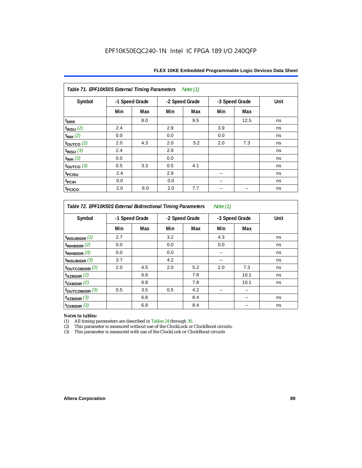| Table 71. EPF10K50S External Timing Parameters Note (1) |     |                |     |                |     |                |      |  |  |  |  |
|---------------------------------------------------------|-----|----------------|-----|----------------|-----|----------------|------|--|--|--|--|
| Symbol                                                  |     | -1 Speed Grade |     | -2 Speed Grade |     | -3 Speed Grade | Unit |  |  |  |  |
|                                                         | Min | Max            | Min | Max            | Min | Max            |      |  |  |  |  |
| t <sub>DRR</sub>                                        |     | 8.0            |     | 9.5            |     | 12.5           | ns   |  |  |  |  |
| $t_{INSU}$ (2)                                          | 2.4 |                | 2.9 |                | 3.9 |                | ns   |  |  |  |  |
| $t_{INH}$ (2)                                           | 0.0 |                | 0.0 |                | 0.0 |                | ns   |  |  |  |  |
| $t_{OUTCO}$ (2)                                         | 2.0 | 4.3            | 2.0 | 5.2            | 2.0 | 7.3            | ns   |  |  |  |  |
| $t_{INSU}$ (3)                                          | 2.4 |                | 2.9 |                |     |                | ns   |  |  |  |  |
| $t_{INH}$ (3)                                           | 0.0 |                | 0.0 |                |     |                | ns   |  |  |  |  |
| $t_{OUTCO}$ (3)                                         | 0.5 | 3.3            | 0.5 | 4.1            |     |                | ns   |  |  |  |  |
| t <sub>PCISU</sub>                                      | 2.4 |                | 2.9 |                |     |                | ns   |  |  |  |  |
| t <sub>PCIH</sub>                                       | 0.0 |                | 0.0 |                |     |                | ns   |  |  |  |  |
| t <sub>PCICO</sub>                                      | 2.0 | 6.0            | 2.0 | 7.7            |     |                | ns   |  |  |  |  |

*Table 72. EPF10K50S External Bidirectional Timing Parameters Note (1)*

| Symbol                     | -1 Speed Grade |     | -2 Speed Grade |     | -3 Speed Grade |      | Unit |  |
|----------------------------|----------------|-----|----------------|-----|----------------|------|------|--|
|                            | Min            | Max | Min            | Max | Min            | Max  |      |  |
| $t_{\text{INSUBIDIR}}(2)$  | 2.7            |     | 3.2            |     | 4.3            |      | ns   |  |
| $t_{INHBIDIR}$ (2)         | 0.0            |     | 0.0            |     | 0.0            |      | ns   |  |
| $t_{INHBIDIR}$ (3)         | 0.0            |     | 0.0            |     |                |      | ns   |  |
| $t_{INSUBIDIR}$ (3)        | 3.7            |     | 4.2            |     |                |      | ns   |  |
| $t_{\text{OUTCOBIDIR}}(2)$ | 2.0            | 4.5 | 2.0            | 5.2 | 2.0            | 7.3  | ns   |  |
| $t_{XZBIDIR}$ (2)          |                | 6.8 |                | 7.8 |                | 10.1 | ns   |  |
| $t_{ZXBIDIR}$ (2)          |                | 6.8 |                | 7.8 |                | 10.1 | ns   |  |
| toutcobidir $(3)$          | 0.5            | 3.5 | 0.5            | 4.2 |                |      |      |  |
| $t_{XZBIDIR}$ (3)          |                | 6.8 |                | 8.4 |                |      | ns   |  |
| $t_{ZXBIDIR}$ (3)          |                | 6.8 |                | 8.4 |                |      | ns   |  |

*Notes to tables:* All timing parameters are described in Tables 24 through 30.

(2) This parameter is measured without use of the ClockLock or ClockBoost circuits.<br>(3) This parameter is measured with use of the ClockLock or ClockBoost circuits

This parameter is measured with use of the ClockLock or ClockBoost circuits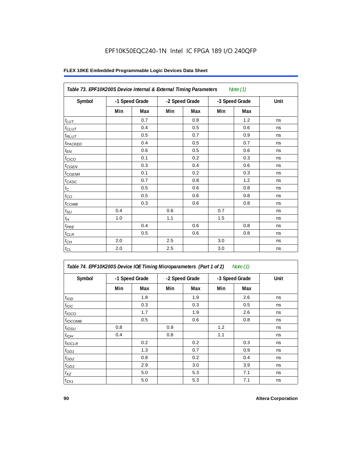|                     | Table 73. EPF10K200S Device Internal & External Timing Parameters<br>Note $(1)$ |     |     |                |                |     |      |  |  |  |  |  |
|---------------------|---------------------------------------------------------------------------------|-----|-----|----------------|----------------|-----|------|--|--|--|--|--|
| Symbol              | -1 Speed Grade                                                                  |     |     | -2 Speed Grade | -3 Speed Grade |     | Unit |  |  |  |  |  |
|                     | Min                                                                             | Max | Min | Max            | Min            | Max |      |  |  |  |  |  |
| $t_{LUT}$           |                                                                                 | 0.7 |     | 0.8            |                | 1.2 | ns   |  |  |  |  |  |
| $t_{CLUT}$          |                                                                                 | 0.4 |     | 0.5            |                | 0.6 | ns   |  |  |  |  |  |
| $t_{RLUT}$          |                                                                                 | 0.5 |     | 0.7            |                | 0.9 | ns   |  |  |  |  |  |
| t <sub>PACKED</sub> |                                                                                 | 0.4 |     | 0.5            |                | 0.7 | ns   |  |  |  |  |  |
| $t_{EN}$            |                                                                                 | 0.6 |     | 0.5            |                | 0.6 | ns   |  |  |  |  |  |
| t <sub>CICO</sub>   |                                                                                 | 0.1 |     | 0.2            |                | 0.3 | ns   |  |  |  |  |  |
| $t_{CGEN}$          |                                                                                 | 0.3 |     | 0.4            |                | 0.6 | ns   |  |  |  |  |  |
| $t_{\text{GENR}}$   |                                                                                 | 0.1 |     | 0.2            |                | 0.3 | ns   |  |  |  |  |  |
| $t_{CASC}$          |                                                                                 | 0.7 |     | 0.8            |                | 1.2 | ns   |  |  |  |  |  |
| $t_{\rm C}$         |                                                                                 | 0.5 |     | 0.6            |                | 0.8 | ns   |  |  |  |  |  |
| $t_{CO}$            |                                                                                 | 0.5 |     | 0.6            |                | 0.8 | ns   |  |  |  |  |  |
| $t_{COMB}$          |                                                                                 | 0.3 |     | 0.6            |                | 0.8 | ns   |  |  |  |  |  |
| $t_{\text{SU}}$     | 0.4                                                                             |     | 0.6 |                | 0.7            |     | ns   |  |  |  |  |  |
| $t_H\,$             | 1.0                                                                             |     | 1.1 |                | 1.5            |     | ns   |  |  |  |  |  |
| $t_{PRE}$           |                                                                                 | 0.4 |     | 0.6            |                | 0.8 | ns   |  |  |  |  |  |
| $t_{CLR}$           |                                                                                 | 0.5 |     | 0.6            |                | 0.8 | ns   |  |  |  |  |  |
| $t_{CH}$            | 2.0                                                                             |     | 2.5 |                | 3.0            |     | ns   |  |  |  |  |  |
| $t_{CL}$            | 2.0                                                                             |     | 2.5 |                | 3.0            |     | ns   |  |  |  |  |  |

| Table 74. EPF10K200S Device IOE Timing Microparameters (Part 1 of 2) Note (1) |  |  |  |  |
|-------------------------------------------------------------------------------|--|--|--|--|
|-------------------------------------------------------------------------------|--|--|--|--|

| Symbol           |     | -1 Speed Grade |     | -2 Speed Grade |     | -3 Speed Grade | Unit |  |
|------------------|-----|----------------|-----|----------------|-----|----------------|------|--|
|                  | Min | Max            | Min | Max            | Min | <b>Max</b>     |      |  |
| t <sub>IOD</sub> |     | 1.8            |     | 1.9            |     | 2.6            | ns   |  |
| $t_{\text{IOC}}$ |     | 0.3            |     | 0.3            |     | 0.5            | ns   |  |
| $t_{IOCO}$       |     | 1.7            |     | 1.9            |     | 2.6            | ns   |  |
| $t_{IOCOMB}$     |     | 0.5            |     | 0.6            |     | 0.8            | ns   |  |
| $t_{IOSU}$       | 0.8 |                | 0.9 |                | 1.2 |                | ns   |  |
| $t_{IOH}$        | 0.4 |                | 0.8 |                | 1.1 |                | ns   |  |
| $t_{IOCLR}$      |     | 0.2            |     | 0.2            |     | 0.3            | ns   |  |
| $t_{OD1}$        |     | 1.3            |     | 0.7            |     | 0.9            | ns   |  |
| $t_{OD2}$        |     | 0.8            |     | 0.2            |     | 0.4            | ns   |  |
| $t_{OD3}$        |     | 2.9            |     | 3.0            |     | 3.9            | ns   |  |
| $t_{XZ}$         |     | 5.0            |     | 5.3            |     | 7.1            | ns   |  |
| $t_{ZX1}$        |     | 5.0            |     | 5.3            |     | 7.1            | ns   |  |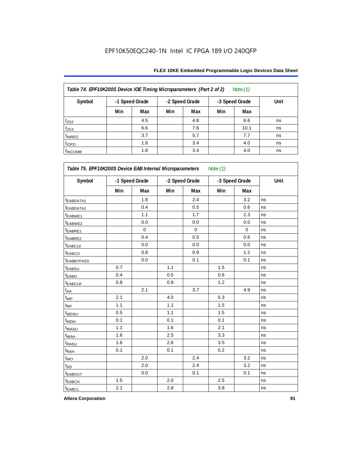## **FLEX 10KE Embedded Programmable Logic Devices Data Sheet**

| Table 74. EPF10K200S Device IOE Timing Microparameters (Part 2 of 2)<br>Note $(1)$ |     |                |                |     |                |      |      |  |  |  |  |
|------------------------------------------------------------------------------------|-----|----------------|----------------|-----|----------------|------|------|--|--|--|--|
| Symbol                                                                             |     | -1 Speed Grade | -2 Speed Grade |     | -3 Speed Grade |      | Unit |  |  |  |  |
|                                                                                    | Min | Max            | Min            | Max | Min            | Max  |      |  |  |  |  |
| $t_{ZX2}$                                                                          |     | 4.5            |                | 4.8 |                | 6.6  | ns   |  |  |  |  |
| $t_{ZX3}$                                                                          |     | 6.6            |                | 7.6 |                | 10.1 | ns   |  |  |  |  |
| $t_{INREG}$                                                                        |     | 3.7            |                | 5.7 |                | 7.7  | ns   |  |  |  |  |
| $t_{IOFD}$                                                                         |     | 1.8            |                | 3.4 |                | 4.0  | ns   |  |  |  |  |
| $t_{INCOMB}$                                                                       |     | 1.8            |                | 3.4 |                | 4.0  | ns   |  |  |  |  |

| Symbol                  | -1 Speed Grade |             | -2 Speed Grade |             | -3 Speed Grade |             | Unit |  |
|-------------------------|----------------|-------------|----------------|-------------|----------------|-------------|------|--|
|                         | Min            | Max         | Min            | Max         | Min            | Max         |      |  |
| t <sub>EABDATA1</sub>   |                | 1.8         |                | 2.4         |                | 3.2         | ns   |  |
| t <sub>EABDATA1</sub>   |                | 0.4         |                | 0.5         |                | 0.6         | ns   |  |
| t <sub>EABWE1</sub>     |                | 1.1         |                | 1.7         |                | 2.3         | ns   |  |
| t <sub>EABWE2</sub>     |                | 0.0         |                | $0.0\,$     |                | 0.0         | ns   |  |
| <sup>t</sup> EABRE1     |                | $\mathbf 0$ |                | $\mathbf 0$ |                | $\mathbf 0$ | ns   |  |
| t <sub>EABRE2</sub>     |                | 0.4         |                | 0.5         |                | 0.6         | ns   |  |
| t <sub>EABCLK</sub>     |                | 0.0         |                | 0.0         |                | 0.0         | ns   |  |
| t <sub>EABCO</sub>      |                | 0.8         |                | 0.9         |                | 1.2         | ns   |  |
| <b><i>EABBYPASS</i></b> |                | 0.0         |                | 0.1         |                | 0.1         | ns   |  |
| t <sub>EABSU</sub>      | 0.7            |             | 1.1            |             | 1.5            |             | ns   |  |
| <sup>t</sup> EABH       | 0.4            |             | 0.5            |             | 0.6            |             | ns   |  |
| t <sub>EABCLR</sub>     | 0.8            |             | 0.9            |             | 1.2            |             | ns   |  |
| $t_{AA}$                |                | 2.1         |                | 3.7         |                | 4.9         | ns   |  |
| $t_{WP}$                | 2.1            |             | 4.0            |             | 5.3            |             | ns   |  |
| t <sub>RP</sub>         | 1.1            |             | 1.1            |             | 1.5            |             | ns   |  |
| t <sub>WDSU</sub>       | 0.5            |             | 1.1            |             | 1.5            |             | ns   |  |
| t <sub>WDH</sub>        | 0.1            |             | 0.1            |             | 0.1            |             | ns   |  |
| t <sub>WASU</sub>       | 1.1            |             | 1.6            |             | 2.1            |             | ns   |  |
| t <sub>WAH</sub>        | 1.6            |             | 2.5            |             | 3.3            |             | ns   |  |
| t <sub>RASU</sub>       | 1.6            |             | 2.6            |             | 3.5            |             | ns   |  |
| t <sub>RAH</sub>        | 0.1            |             | 0.1            |             | 0.2            |             | ns   |  |
| $t_{WO}$                |                | 2.0         |                | 2.4         |                | 3.2         | ns   |  |
| t <sub>DD</sub>         |                | 2.0         |                | 2.4         |                | 3.2         | ns   |  |
| <b><i>EABOUT</i></b>    |                | 0.0         |                | 0.1         |                | 0.1         | ns   |  |
| t <sub>EABCH</sub>      | 1.5            |             | 2.0            |             | 2.5            |             | ns   |  |
| t <sub>EABCL</sub>      | 2.1            |             | 2.8            |             | 3.8            |             | ns   |  |

**Altera Corporation 91**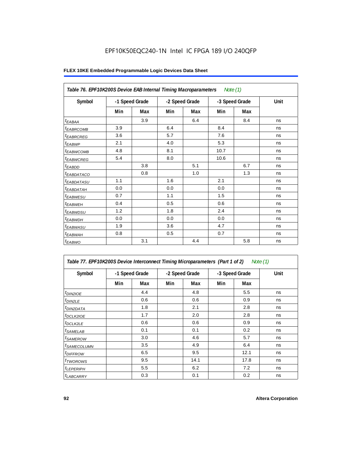|                        | Table 76. EPF10K200S Device EAB Internal Timing Macroparameters Note (1) |     |                |     |                |     |      |  |  |  |  |  |
|------------------------|--------------------------------------------------------------------------|-----|----------------|-----|----------------|-----|------|--|--|--|--|--|
| Symbol                 | -1 Speed Grade                                                           |     | -2 Speed Grade |     | -3 Speed Grade |     | Unit |  |  |  |  |  |
|                        | Min                                                                      | Max | Min            | Max | Min            | Max |      |  |  |  |  |  |
| $t_{EABA}$             |                                                                          | 3.9 |                | 6.4 |                | 8.4 | ns   |  |  |  |  |  |
| <sup>t</sup> EABRCOMB  | 3.9                                                                      |     | 6.4            |     | 8.4            |     | ns   |  |  |  |  |  |
| <sup>t</sup> EABRCREG  | 3.6                                                                      |     | 5.7            |     | 7.6            |     | ns   |  |  |  |  |  |
| <sup>t</sup> EABWP     | 2.1                                                                      |     | 4.0            |     | 5.3            |     | ns   |  |  |  |  |  |
| <sup>t</sup> EABWCOMB  | 4.8                                                                      |     | 8.1            |     | 10.7           |     | ns   |  |  |  |  |  |
| <sup>t</sup> EABWCREG  | 5.4                                                                      |     | 8.0            |     | 10.6           |     | ns   |  |  |  |  |  |
| $t_{EABDD}$            |                                                                          | 3.8 |                | 5.1 |                | 6.7 | ns   |  |  |  |  |  |
| <sup>t</sup> EABDATACO |                                                                          | 0.8 |                | 1.0 |                | 1.3 | ns   |  |  |  |  |  |
| <sup>t</sup> EABDATASU | 1.1                                                                      |     | 1.6            |     | 2.1            |     | ns   |  |  |  |  |  |
| <sup>t</sup> ЕАВDАТАН  | 0.0                                                                      |     | 0.0            |     | 0.0            |     | ns   |  |  |  |  |  |
| <sup>t</sup> EABWESU   | 0.7                                                                      |     | 1.1            |     | 1.5            |     | ns   |  |  |  |  |  |
| <sup>t</sup> EABWEH    | 0.4                                                                      |     | 0.5            |     | 0.6            |     | ns   |  |  |  |  |  |
| <sup>t</sup> EABWDSU   | 1.2                                                                      |     | 1.8            |     | 2.4            |     | ns   |  |  |  |  |  |
| <sup>t</sup> EABWDH    | 0.0                                                                      |     | 0.0            |     | 0.0            |     | ns   |  |  |  |  |  |
| <sup>t</sup> EABWASU   | 1.9                                                                      |     | 3.6            |     | 4.7            |     | ns   |  |  |  |  |  |
| <sup>t</sup> EABWAH    | 0.8                                                                      |     | 0.5            |     | 0.7            |     | ns   |  |  |  |  |  |
| $t_{EABWO}$            |                                                                          | 3.1 |                | 4.4 |                | 5.8 | ns   |  |  |  |  |  |

| Table 77. EPF10K200S Device Interconnect Timing Microparameters (Part 1 of 2)<br>Note (1) |     |                |                |      |                |      |      |  |  |  |
|-------------------------------------------------------------------------------------------|-----|----------------|----------------|------|----------------|------|------|--|--|--|
| Symbol                                                                                    |     | -1 Speed Grade | -2 Speed Grade |      | -3 Speed Grade |      | Unit |  |  |  |
|                                                                                           | Min | Max            | Min            | Max  | Min            | Max  |      |  |  |  |
| <i>t<sub>DIN2IOE</sub></i>                                                                |     | 4.4            |                | 4.8  |                | 5.5  | ns   |  |  |  |
| t <sub>DIN2LE</sub>                                                                       |     | 0.6            |                | 0.6  |                | 0.9  | ns   |  |  |  |
| <sup>t</sup> DIN2DATA                                                                     |     | 1.8            |                | 2.1  |                | 2.8  | ns   |  |  |  |
| <sup>t</sup> DCLK2IOE                                                                     |     | 1.7            |                | 2.0  |                | 2.8  | ns   |  |  |  |
| $t$ DCLK2LE                                                                               |     | 0.6            |                | 0.6  |                | 0.9  | ns   |  |  |  |
| <sup>t</sup> SAMELAB                                                                      |     | 0.1            |                | 0.1  |                | 0.2  | ns   |  |  |  |
| <i>t</i> SAMEROW                                                                          |     | 3.0            |                | 4.6  |                | 5.7  | ns   |  |  |  |
| <sup>t</sup> SAMECOLUMN                                                                   |     | 3.5            |                | 4.9  |                | 6.4  | ns   |  |  |  |
| <i>t<sub>DIFFROW</sub></i>                                                                |     | 6.5            |                | 9.5  |                | 12.1 | ns   |  |  |  |
| <sup>t</sup> TWOROWS                                                                      |     | 9.5            |                | 14.1 |                | 17.8 | ns   |  |  |  |
| <sup>t</sup> LEPERIPH                                                                     |     | 5.5            |                | 6.2  |                | 7.2  | ns   |  |  |  |
| <b><i>LABCARRY</i></b>                                                                    |     | 0.3            |                | 0.1  |                | 0.2  | ns   |  |  |  |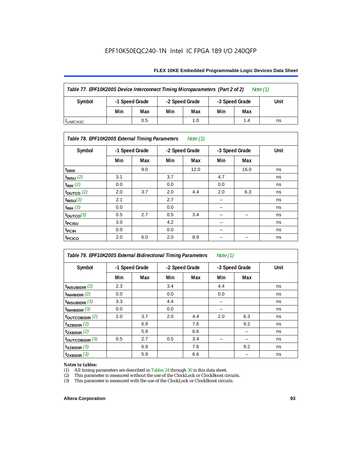## **FLEX 10KE Embedded Programmable Logic Devices Data Sheet**

| Table 77. EPF10K200S Device Interconnect Timing Microparameters (Part 2 of 2)<br>Note $(1)$ |                |     |                |     |                |     |      |  |  |  |
|---------------------------------------------------------------------------------------------|----------------|-----|----------------|-----|----------------|-----|------|--|--|--|
| Symbol                                                                                      | -1 Speed Grade |     | -2 Speed Grade |     | -3 Speed Grade |     | Unit |  |  |  |
|                                                                                             | Min            | Max | Min            | Max | Min            | Max |      |  |  |  |
| <sup>I</sup> LABCASC                                                                        |                | 0.5 |                | 1.0 |                | 1.4 | ns   |  |  |  |

## *Table 78. EPF10K200S External Timing Parameters Note (1)*

| Symbol                    |     | -1 Speed Grade |     | -2 Speed Grade |     | -3 Speed Grade | Unit |
|---------------------------|-----|----------------|-----|----------------|-----|----------------|------|
|                           | Min | Max            | Min | Max            | Min | Max            |      |
| $t_{DRR}$                 |     | 9.0            |     | 12.0           |     | 16.0           | ns   |
| $t$ <sub>INSU</sub> $(2)$ | 3.1 |                | 3.7 |                | 4.7 |                | ns   |
| $t_{INH}$ (2)             | 0.0 |                | 0.0 |                | 0.0 |                | ns   |
| $t_{OUTCO}$ (2)           | 2.0 | 3.7            | 2.0 | 4.4            | 2.0 | 6.3            | ns   |
| $t_{INSU}(3)$             | 2.1 |                | 2.7 |                |     |                | ns   |
| $t_{INH}$ (3)             | 0.0 |                | 0.0 |                | -   |                | ns   |
| $t_{\text{OUTCO}}(3)$     | 0.5 | 2.7            | 0.5 | 3.4            | -   | -              | ns   |
| t <sub>PCISU</sub>        | 3.0 |                | 4.2 |                | -   |                | ns   |
| t <sub>PCIH</sub>         | 0.0 |                | 0.0 |                | -   |                | ns   |
| t <sub>PCICO</sub>        | 2.0 | 6.0            | 2.0 | 8.9            |     |                | ns   |

*Table 79. EPF10K200S External Bidirectional Timing Parameters Note (1)* Symbol | -1 Speed Grade | -2 Speed Grade | -3 Speed Grade | Unit **Min Max Min Max Min Max t<sub>INSUBIDIR</sub>** (2) 2.3  $\begin{vmatrix} 2.3 & 3.4 \\ 2.3 & 3.4 \end{vmatrix}$  4.4  $\begin{vmatrix} 4.4 & 3.4 \\ 3.4 & 4.4 \end{vmatrix}$  ns **t**<sub>INHBIDIR</sub> (2) 0.0 0.0 0.0 0.0 0.0 ns  $t_{\text{INSUBIDIR}}(3)$  3.3  $4.4$   $$ **tINHBIDIR** (3) 0.0 0.0 – ns **tOUTCOBIDIR** (2) 2.0 3.7 2.0 4.4 2.0 6.3 ns **t<sub>XZBIDIR</sub> (2)** | 6.9 | 7.6 | 9.2 | ns **t<sub>zxbidir</sub>** (2) 5.9 6.6 ns **tOUTCOBIDIR** (3) 0.5 2.7 0.5 3.4 – – ns **t**<sub>XZBIDIR</sub> (3)  $\begin{vmatrix} 6.9 \\ 6.9 \end{vmatrix}$  7.6  $\begin{vmatrix} 7.6 \\ 9.2 \end{vmatrix}$  ns **t<sub>zxbidir</sub>** (3) | 5.9 | 6.6 | | – | ns

# *Notes to tables:*<br>(1) All timing p

(1) All timing parameters are described in Tables  $24$  through  $30$  in this data sheet.<br>(2) This parameter is measured without the use of the ClockLock or ClockBoost ci

(2) This parameter is measured without the use of the ClockLock or ClockBoost circuits.<br>(3) This parameter is measured with the use of the ClockLock or ClockBoost circuits.

This parameter is measured with the use of the ClockLock or ClockBoost circuits.

### **Altera Corporation 93**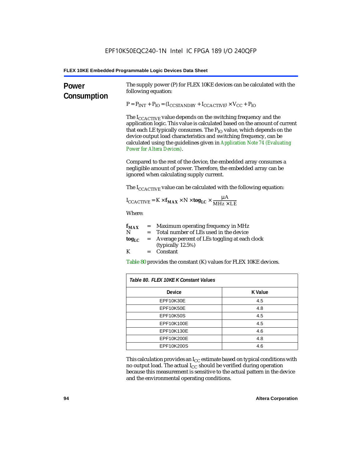| Power<br>Consumption | The supply power (P) for FLEX 10KE devices can be calculated with the<br>following equation:                                                                                                                                                                                                                                                                                                                                        |                |  |  |
|----------------------|-------------------------------------------------------------------------------------------------------------------------------------------------------------------------------------------------------------------------------------------------------------------------------------------------------------------------------------------------------------------------------------------------------------------------------------|----------------|--|--|
|                      | $P = P_{INT} + P_{IO} = (I_{COSTANDBY} + I_{CCACTIVE}) \times V_{CC} + P_{IO}$                                                                                                                                                                                                                                                                                                                                                      |                |  |  |
|                      | The I <sub>CCACTIVE</sub> value depends on the switching frequency and the<br>application logic. This value is calculated based on the amount of current<br>that each LE typically consumes. The P <sub>IO</sub> value, which depends on the<br>device output load characteristics and switching frequency, can be<br>calculated using the guidelines given in Application Note 74 (Evaluating<br><b>Power for Altera Devices).</b> |                |  |  |
|                      | Compared to the rest of the device, the embedded array consumes a<br>negligible amount of power. Therefore, the embedded array can be<br>ignored when calculating supply current.                                                                                                                                                                                                                                                   |                |  |  |
|                      | The $I_{\text{CCACTIVE}}$ value can be calculated with the following equation:                                                                                                                                                                                                                                                                                                                                                      |                |  |  |
|                      | $I_{\text{CCACTIVE}} = K \times f_{\text{MAX}} \times N \times \text{tog}_{\text{LC}} \times \frac{\mu A}{\text{MHz} \times \text{LE}}$                                                                                                                                                                                                                                                                                             |                |  |  |
|                      | Where:                                                                                                                                                                                                                                                                                                                                                                                                                              |                |  |  |
|                      | $=$ Maximum operating frequency in MHz<br>$f_{MAX}$<br>Total number of LEs used in the device<br>N<br>$=$ $-$                                                                                                                                                                                                                                                                                                                       |                |  |  |
|                      | Average percent of LEs toggling at each clock<br>$\log_{LC}$<br>$=$<br>(typically 12.5%)                                                                                                                                                                                                                                                                                                                                            |                |  |  |
|                      | K<br>Constant<br>$=$                                                                                                                                                                                                                                                                                                                                                                                                                |                |  |  |
|                      | Table 80 provides the constant (K) values for FLEX 10KE devices.                                                                                                                                                                                                                                                                                                                                                                    |                |  |  |
|                      | Table 80. FLEX 10KE K Constant Values                                                                                                                                                                                                                                                                                                                                                                                               |                |  |  |
|                      | Device                                                                                                                                                                                                                                                                                                                                                                                                                              | <b>K</b> Value |  |  |
|                      | EPF10K30E                                                                                                                                                                                                                                                                                                                                                                                                                           | 4.5            |  |  |
|                      | EPF10K50E<br>4.8                                                                                                                                                                                                                                                                                                                                                                                                                    |                |  |  |
|                      | <b>EPF10K50S</b><br>4.5                                                                                                                                                                                                                                                                                                                                                                                                             |                |  |  |
|                      | EPF10K100E<br>4.5                                                                                                                                                                                                                                                                                                                                                                                                                   |                |  |  |
|                      | EPF10K130E<br>4.6                                                                                                                                                                                                                                                                                                                                                                                                                   |                |  |  |
|                      | EPF10K200E<br>4.8                                                                                                                                                                                                                                                                                                                                                                                                                   |                |  |  |
|                      | EPF10K200S                                                                                                                                                                                                                                                                                                                                                                                                                          | 4.6            |  |  |

This calculation provides an  $\rm I_{CC}$  estimate based on typical conditions with no output load. The actual I $_{\rm CC}$  should be verified during operation because this measurement is sensitive to the actual pattern in the device and the environmental operating conditions.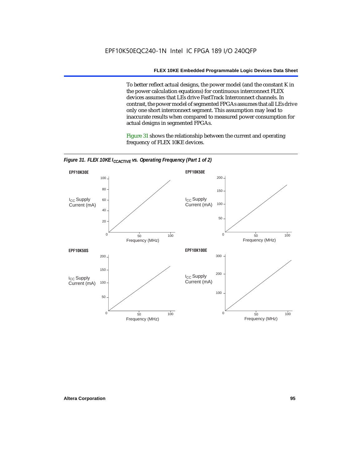To better reflect actual designs, the power model (and the constant K in the power calculation equations) for continuous interconnect FLEX devices assumes that LEs drive FastTrack Interconnect channels. In contrast, the power model of segmented FPGAs assumes that all LEs drive only one short interconnect segment. This assumption may lead to inaccurate results when compared to measured power consumption for actual designs in segmented FPGAs.

Figure 31 shows the relationship between the current and operating frequency of FLEX 10KE devices.



*Figure 31. FLEX 10KE I<sub>CCACTIVE</sub> vs. Operating Frequency (Part 1 of 2)*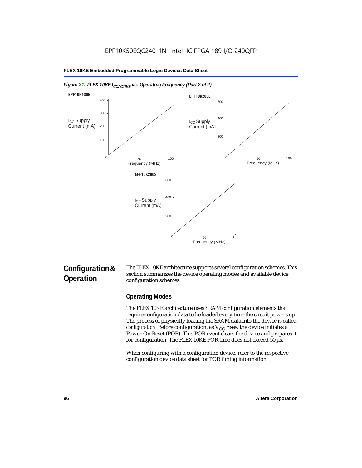

## *Figure 31. FLEX 10KE I<sub>CCACTIVE</sub> vs. Operating Frequency (Part 2 of 2)*

# **Configuration & Operation**

The FLEX 10KE architecture supports several configuration schemes. This section summarizes the device operating modes and available device configuration schemes.

## **Operating Modes**

The FLEX 10KE architecture uses SRAM configuration elements that require configuration data to be loaded every time the circuit powers up. The process of physically loading the SRAM data into the device is called *configuration.* Before configuration, as  $V_{CC}$  rises, the device initiates a Power-On Reset (POR). This POR event clears the device and prepares it for configuration. The FLEX 10KE POR time does not exceed 50 µs.

When configuring with a configuration device, refer to the respective configuration device data sheet for POR timing information.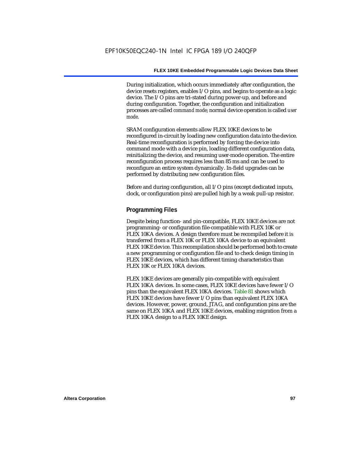During initialization, which occurs immediately after configuration, the device resets registers, enables I/O pins, and begins to operate as a logic device. The I/O pins are tri-stated during power-up, and before and during configuration. Together, the configuration and initialization processes are called *command mode*; normal device operation is called *user mode*.

SRAM configuration elements allow FLEX 10KE devices to be reconfigured in-circuit by loading new configuration data into the device. Real-time reconfiguration is performed by forcing the device into command mode with a device pin, loading different configuration data, reinitializing the device, and resuming user-mode operation. The entire reconfiguration process requires less than 85 ms and can be used to reconfigure an entire system dynamically. In-field upgrades can be performed by distributing new configuration files.

Before and during configuration, all I/O pins (except dedicated inputs, clock, or configuration pins) are pulled high by a weak pull-up resistor.

## **Programming Files**

Despite being function- and pin-compatible, FLEX 10KE devices are not programming- or configuration file-compatible with FLEX 10K or FLEX 10KA devices. A design therefore must be recompiled before it is transferred from a FLEX 10K or FLEX 10KA device to an equivalent FLEX 10KE device. This recompilation should be performed both to create a new programming or configuration file and to check design timing in FLEX 10KE devices, which has different timing characteristics than FLEX 10K or FLEX 10KA devices.

FLEX 10KE devices are generally pin-compatible with equivalent FLEX 10KA devices. In some cases, FLEX 10KE devices have fewer I/O pins than the equivalent FLEX 10KA devices. Table 81 shows which FLEX 10KE devices have fewer I/O pins than equivalent FLEX 10KA devices. However, power, ground, JTAG, and configuration pins are the same on FLEX 10KA and FLEX 10KE devices, enabling migration from a FLEX 10KA design to a FLEX 10KE design.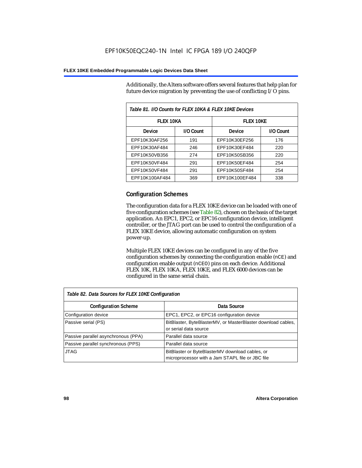Additionally, the Altera software offers several features that help plan for future device migration by preventing the use of conflicting I/O pins.

| Table 81. I/O Counts for FLEX 10KA & FLEX 10KE Devices |           |                  |           |  |
|--------------------------------------------------------|-----------|------------------|-----------|--|
| <b>FLEX 10KA</b>                                       |           | <b>FLEX 10KE</b> |           |  |
| <b>Device</b>                                          | I/O Count | <b>Device</b>    | I/O Count |  |
| EPF10K30AF256                                          | 191       | EPF10K30EF256    | 176       |  |
| EPF10K30AF484                                          | 246       | EPF10K30EF484    | 220       |  |
| EPF10K50VB356                                          | 274       | EPF10K50SB356    | 220       |  |
| EPF10K50VF484                                          | 291       | EPF10K50EF484    | 254       |  |
| EPF10K50VF484                                          | 291       | EPF10K50SF484    | 254       |  |
| EPF10K100AF484                                         | 369       | EPF10K100EF484   | 338       |  |

## **Configuration Schemes**

The configuration data for a FLEX 10KE device can be loaded with one of five configuration schemes (see Table 82), chosen on the basis of the target application. An EPC1, EPC2, or EPC16 configuration device, intelligent controller, or the JTAG port can be used to control the configuration of a FLEX 10KE device, allowing automatic configuration on system power-up.

Multiple FLEX 10KE devices can be configured in any of the five configuration schemes by connecting the configuration enable (nCE) and configuration enable output (nCEO) pins on each device. Additional FLEX 10K, FLEX 10KA, FLEX 10KE, and FLEX 6000 devices can be configured in the same serial chain.

| Table 82. Data Sources for FLEX 10KE Configuration |                                                                                                     |  |
|----------------------------------------------------|-----------------------------------------------------------------------------------------------------|--|
| <b>Configuration Scheme</b>                        | Data Source                                                                                         |  |
| Configuration device                               | EPC1, EPC2, or EPC16 configuration device                                                           |  |
| Passive serial (PS)                                | BitBlaster, ByteBlasterMV, or MasterBlaster download cables,<br>or serial data source               |  |
| Passive parallel asynchronous (PPA)                | Parallel data source                                                                                |  |
| Passive parallel synchronous (PPS)                 | Parallel data source                                                                                |  |
| <b>JTAG</b>                                        | BitBlaster or ByteBlasterMV download cables, or<br>microprocessor with a Jam STAPL file or JBC file |  |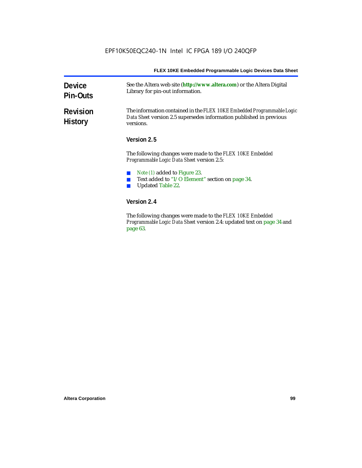| <b>Device</b><br><b>Pin-Outs</b>  | See the Altera web site (http://www.altera.com) or the Altera Digital<br>Library for pin-out information.                                                  |  |
|-----------------------------------|------------------------------------------------------------------------------------------------------------------------------------------------------------|--|
| <b>Revision</b><br><b>History</b> | The information contained in the FLEX 10KE Embedded Programmable Logic<br>Data Sheet version 2.5 supersedes information published in previous<br>versions. |  |
|                                   | Version 2.5                                                                                                                                                |  |
|                                   | The following changes were made to the FLEX 10KE Embedded<br><i>Programmable Logic Data Sheet version 2.5:</i>                                             |  |
|                                   | Note (1) added to Figure 23.<br>Text added to "I/O Element" section on page 34.<br><b>Updated Table 22.</b>                                                |  |
|                                   | Version 2.4                                                                                                                                                |  |
|                                   | The fillends a decorate come and details. IT EV 101/E Each dd.d                                                                                            |  |

The following changes were made to the *FLEX 10KE Embedded Programmable Logic Data Sheet* version 2.4: updated text on page 34 and page 63.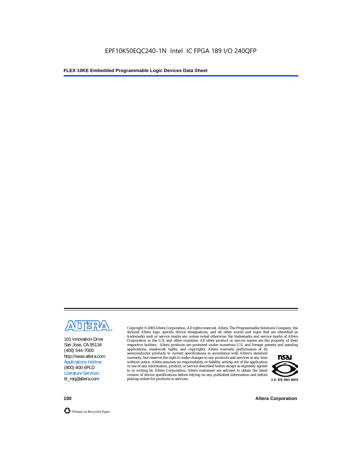

101 Innovation Drive San Jose, CA 95134 (408) 544-7000 http://www.altera.com Applications Hotline: (800) 800-EPLD Literature Services: lit\_req@altera.com

Copyright © 2003 Altera Corporation. All rights reserved. Altera, The Programmable Solutions Company, the stylized Altera logo, specific device designations, and all other words and logos that are identified as trademarks and/or service marks are, unless noted otherwise, the trademarks and service marks of Altera Corporation in the U.S. and other countries. All other product or service names are the property of their respective holders. Altera products are protected under numerous U.S. and foreign patents and pending

applications, maskwork rights, and copyrights. Altera warrants performance of its semiconductor products to current specifications in accordance with Altera's standard warranty, but reserves the right to make changes to any products and services at any time without notice. Altera assumes no responsibility or liability arising out of the application or use of any information, product, or service described herein except as expressly agreed to in writing by Altera Corporation. Altera customers are advised to obtain the latest version of device specifications before relying on any published information and before placing orders for products or services.



**100 Altera Corporation**